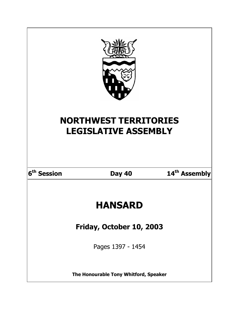| <b>NORTHWEST TERRITORIES</b><br><b>LEGISLATIVE ASSEMBLY</b> |               |                           |  |
|-------------------------------------------------------------|---------------|---------------------------|--|
| 6 <sup>th</sup> Session                                     | <b>Day 40</b> | 14 <sup>th</sup> Assembly |  |
| <b>HANSARD</b>                                              |               |                           |  |
| Friday, October 10, 2003                                    |               |                           |  |
| Pages 1397 - 1454                                           |               |                           |  |
| The Honourable Tony Whitford, Speaker                       |               |                           |  |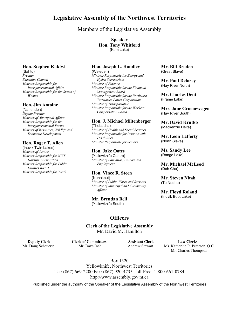# **Legislative Assembly of the Northwest Territories**

Members of the Legislative Assembly

**Speaker Hon. Tony Whitford** (Kam Lake)

# **Hon. Stephen Kakfwi**

(Sahtu) *Premier Executive Council Minister Responsible for Intergovernmental Affairs Minister Responsible for the Status of Women* 

# **Hon. Jim Antoine**

(Nahendeh) *Deputy Premier Minister of Aboriginal Affairs Minister Responsible for the Intergovernmental Forum Minister of Resources, Wildlife and Economic Development* 

# **Hon. Roger T. Allen**

(Inuvik Twin Lakes) *Minister of Justice Minister Responsible for NWT Housing Corporation Minister Responsible for Public Utilities Board Minister Responsible for Youth* 

# **Hon. Joseph L. Handley** (Weledeh)

*Minister Responsible for Energy and Hydro Secretariats Minister of Finance Minister Responsible for the Financial Management Board Minister Responsible for the Northwest Territories Power Corporation Minister of Transportation Minister Responsible for the Workers' Compensation Board* 

# **Hon. J. Michael Miltenberger** (Thebacha)

*Minister of Health and Social Services Minister Responsible for Persons with Disabilities Minister Responsible for Seniors* 

# **Hon. Jake Ootes**

(Yellowknife Centre) *Minister of Education, Culture and Employment* 

# **Hon. Vince R. Steen**  (Nunakput) *Minister of Public Works and Services*

*Minister of Municipal and Community Affairs* 

**Mr. Brendan Bell** (Yellowknife South)

# **Officers**

**Clerk of the Legislative Assembly**  Mr. David M. Hamilton

**Mr. Bill Braden** (Great Slave)

**Mr. Paul Delorey** (Hay River North)

**Mr. Charles Dent**  (Frame Lake)

**Mrs. Jane Groenewegen**  (Hay River South)

**Mr. David Krutko** (Mackenzie Delta)

**Mr. Leon Lafferty**  (North Slave)

**Ms. Sandy Lee**  (Range Lake)

**Mr. Michael McLeod**  (Deh Cho)

**Mr. Steven Nitah** (Tu Nedhe)

**Mr. Floyd Roland** (Inuvik Boot Lake)

 **Deputy Clerk Clerk of Committees Assistant Clerk Law Clerks** Mr. Doug Schauerte Mr. Dave Inch Andrew Stewart Ms. Katherine R. Peterson, Q.C. Mr. Charles Thompson

> Box 1320 Yellowknife, Northwest Territories Tel: (867) 669-2200 Fax: (867) 920-4735 Toll-Free: 1-800-661-0784 http://www.assembly.gov.nt.ca

Published under the authority of the Speaker of the Legislative Assembly of the Northwest Territories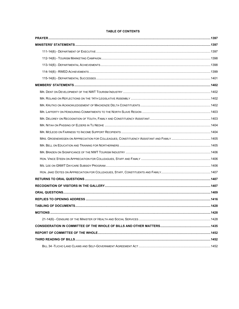# TABLE OF CONTENTS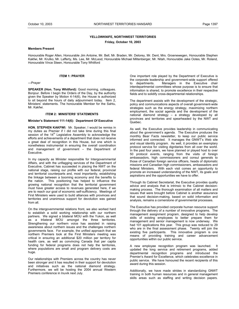# **YELLOWKNIFE, NORTHWEST TERRITORIES**

**Friday, October 10, 2003** 

#### **Members Present**

Honourable Roger Allen, Honourable Jim Antoine, Mr. Bell, Mr. Braden, Mr. Delorey, Mr. Dent, Mrs. Groenewegen, Honourable Stephen Kakfwi, Mr. Krutko, Mr. Lafferty, Ms. Lee, Mr. McLeod, Honourable Michael Miltenberger, Mr. Nitah, Honourable Jake Ootes, Mr. Roland, Honourable Vince Steen, Honourable Tony Whitford

#### **ITEM 1: PRAYER**

---Prayer

**SPEAKER (Hon. Tony Whitford):** Good morning, colleagues. Bonjour. Before I begin the Orders of the Day, by the authority given the Speaker by Motion 4-14(6), the House is authorized to sit beyond the hours of daily adjournment today. Item 2, Ministers' statements. The honourable Member for the Sahtu, Mr. Kakfwi.

## **ITEM 2: MINISTERS' STATEMENTS**

#### **Minister's Statement 111-14(6): Department Of Executive**

**HON. STEPHEN KAKFWI:** Mr. Speaker, I would be remiss in my duties as Premier if I did not take time during this final session of the 14<sup>th</sup> Legislative Assembly to acknowledge the efforts and achievements of a department that does not receive a great deal of recognition in this House, but one which is nonetheless instrumental in ensuring the overall coordination and management of government – the Department of Executive.

In my capacity as Minister responsible for Intergovernmental Affairs, and with the unflagging services of the Department of Executive, Cabinet has succeeded in placing the NWT on the national stage, raising our profile with our federal, provincial and territorial counterparts and, most importantly, establishing the linkage between a booming economy and the benefits to the nation. This positioning has helped to influence the growing national recognition that the territorial government must have greater access to revenues generated here, if we are to reach our goal of economic self-sufficiency. Meetings of First Ministers were used to build alliances with provinces and territories and unanimous support for devolution was gained from all.

On the intergovernmental relations front, we also worked hard to establish a solid working relationship with our northern partners. We signed a bilateral MOU with the Yukon, as well as a trilateral MOU amongst the three territories. Strengthening our northern voice has assisted in raising awareness about northern issues and the challenges northern governments face. For example, the unified approach that we northern Premiers took at the First Ministers meeting was critical in ensuring an additional \$20 million per territory for health care, as well as convincing Canada that per capita funding for federal programs does not help the territories, where populations are small and program delivery costs are huge.

Our relationships with Premiers across the country has never been stronger and it has resulted in their support for devolution and initiatives such as the national diamond strategy. Furthermore, we will be hosting the 2004 annual Western Premiers conference in Inuvik next July.

One important role played by the Department of Executive is the corporate leadership and government-wide support offered<br>to departments. Managers in the Executive chair to departments. Managers in the Executive chair interdepartmental committees whose purpose is to ensure that information is shared, to promote excellence in their respective fields and to solidify cross-departmental relationships.

The department assists with the development of the strategic, policy and communications aspects of overall government-wide strategies such as the energy strategy, maximizing northern employment, the social agenda and the development of the national diamond strategy – a strategy developed by all provinces and territories and spearheaded by the NWT and Quebec.

As well, the Executive provides leadership in communicating about the government's agenda. The Executive produces the monthly Bear Facts newsletter, to keep our public service informed and connected. It manages the GNWT's Web site and visual identity program. As well, it provides an exemplary protocol service for visiting dignitaries from all over the world. In the past four years, we have planned or played host to over 50 protocol events, ranging from the visits of foreign ambassadors, high commissioners and consul generals to those of Canadian foreign service officers, heads of diplomatic missions and Canadian high commissioners, ambassadors and federal Ministers. With each visit comes an opportunity to promote an increased understanding of the NWT, its goals and aspirations and the opportunities we have to offer.

Through its Cabinet Secretariat, the Executive provides quality advice and analysis that is intrinsic to the Cabinet decisionmaking process. The thorough examination of all matters and issues that were brought before Cabinet is another assurance that sound decision-making, based on solid information and analysis, remains a cornerstone of governmental processes.

The Executive has provided corporate human resource support through the delivery of a number of innovative programs. The management assignment program, designed to help develop skills of existing employees to better prepare them for management and senior management is now underway. We had 101 applications this year. This group was reduced to 29 who are in the final assessment phase. Twenty will join the existing five participants. This innovative program is one means of providing training and career advancement opportunities within our public service.

A new employee recognition program was launched. It updated the long service and retirement programs, added departmental recognition programs and introduced the Premier's Award for Excellence, which celebrates excellence in public service. We have honoured the recent recipients of this award during this session.

Additionally, we have made strides in standardizing GNWT training in both human resources and in general management skills areas such as staffing and writing decision papers.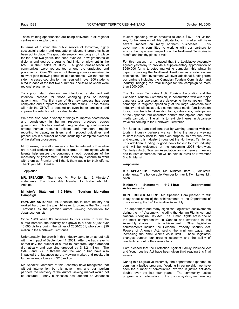These training opportunities are being delivered in all regional centres on a regular basis.

In terms of building the public service of tomorrow, highly successful student and graduate employment programs have been put in place. The graduate employment program, in place for the past two years, has seen over 200 new graduates of diploma and degree programs find initial employment in the NWT in their fields of study. A good cross-section of communities were represented among the graduates and placements. Over 90 percent of these graduates remained in relevant jobs following their initial placements. On the student side, increased coordination has resulted in over 300 students hired in each of the last two summers, one-third of whom were regional placements.

To support staff retention, we introduced a standard exit interview process for those changing jobs or leaving government. The first year of this new process has been completed and a report released on the results. These results will help the GNWT to become an even better employer and improve the retention of our valuable staff.

We have also done a variety of things to improve coordination and consistency in human resource practices across government. This has resulted in regular sharing of information among human resource officers and managers, regular reporting to deputy ministers and improved guidelines and procedures in a number of areas including a complete overhaul of the staffing procedures.

Mr. Speaker, the staff members of the Department of Executive are a hard-working and dedicated group of employees whose talents help ensure the continued smooth operations of the machinery of government. It has been my pleasure to work with them as Premier and I thank them again for their efforts. Thank you, Mr. Speaker.

# ---Applause

**MR. SPEAKER:** Thank you, Mr. Premier. Item 2, Ministers' statements. The honourable Member for Nahendeh, Mr. Antoine.

# **Minister's Statement 112-14(6): Tourism Marketing Campaign**

**HON. JIM ANTOINE:** Mr. Speaker, the tourism industry has worked hard over the past 14 years to promote the Northwest Territories as the premier Aurora viewing destination for Japanese tourists.

Since 1989 when 80 Japanese tourists came to view the aurora borealis, the industry has grown to a peak of just over 13,000 visitors during the winter of 2000-2001, who spent \$20 million in the Northwest Territories.

Unfortunately, the growth in this industry came to an abrupt halt with the impact of September 11, 2001. After the tragic events of that day, the number of aurora tourists from Japan dropped dramatically and spending dropped by \$11.2 million. The SARS and BSE outbreaks and the war in Iraq have also impacted the Japanese aurora viewing market and resulted in further revenue losses of \$2.6 million.

Mr. Speaker, Members of this Assembly have recognized that without intervention by this government and our tourism partners the recovery of the Aurora viewing market would not be assured. Many businesses now depend on Japanese

tourism spending, which amounts to about \$1600 per visitor. Any further erosion of this delicate tourism market will have severe impacts on many northern businesses. This government is committed to working with our partners to ensure the Japanese people know the Northwest Territories is a safe and healthy place to visit.

For this reason, I am pleased that the Legislative Assembly agreed yesterday to provide a supplementary appropriation of \$250,000 for a targeted marketing campaign this winter in Japan promoting the Northwest Territories as a safe tourism destination. This investment will lever additional funding from our partners including the Canadian Tourism Commission and industry, bringing the total budget for the campaign to more than \$500,000.

The Northwest Territories Arctic Tourism Association and the Canadian Tourism Commission, in consultation with our major Japanese tour operators, are developing the campaign. The campaign is targeted specifically at the large wholesale tour industry and will include five components: media familiarization tours; travel trade familiarization tours; sales visits; participation at the Japanese tour operators Kanata marketplace; and, print media campaign. The aim is to rekindle interest in Japanese travelers coming to the Northwest Territories.

Mr. Speaker, I am confident that by working together with our tourism industry partners we can bring the aurora viewing tourism industry back to, and even surpass, its previous levels and expand this industry throughout the Northwest Territories. This additional funding is good news for our tourism industry and will be welcomed at the upcoming 2003 Northwest Territories Arctic Tourism Association annual general meeting and tourism conference that will be held in Inuvik on November 6 to 8. Mahsi.

---Applause

**MR. SPEAKER:** Mahsi, Mr. Minister. Item 2, Ministers' statements. The honourable Member for Inuvik Twin Lakes, Mr. Allen.

## **Minister's Statement 113-14(6): Departmental Achievements**

**HON. ROGER ALLEN:** Mr. Speaker, I am pleased to talk today about some of the achievements of the Department of Justice during the  $14<sup>th</sup>$  Legislative Assembly.

The department had many significant legislative achievements during the 14<sup>th</sup> Assembly, including the Human Rights Act and National Aboriginal Day Act. The Human Rights Act is one of the most comprehensive in Canada and everyone in this Assembly shares in this achievement. Other legislative achievements include the Personal Property Security Act, Powers of Attorney Act, raising the minimum wage, and increasing the small claims court limit. These legislative changes support our growing economy and the ability of residents to control their own affairs.

I am pleased that the Protection Against Family Violence Act and Youth Justice Act have been given third reading this final session.

During this Legislative Assembly, the department expanded its community justice program. Working in partnership, we have seen the number of communities involved in justice activities double over the last four years. The community justice program is an alternative to the justice system, encouraging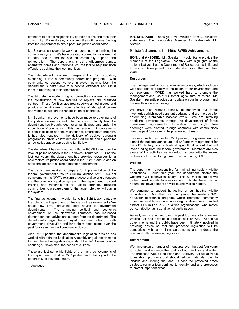offenders to accept responsibility of their actions and face their community. By next year, all communities will receive funding from the department to hire a part-time justice coordinator.

Mr. Speaker, considerable work has gone into modernizing the corrections system. We have created a corrections system that is safe, secure and focused on community support and reintegration. The department is using wilderness camps, alternative homes and traditional counsellors to help transition offenders back into their communities.

The department assumed responsibility for probation, expanding it into a community corrections program. With community corrections workers in eleven communities, the department is better able to supervise offenders and assist them in returning to their communities.

The third step in modernizing our corrections system has been the construction of new facilities to replace old, outdated centres. These facilities use new supervision techniques and provide an environment more reflective of aboriginal culture and values to support the rehabilitation of offenders.

Mr. Speaker, improvements have been made to other parts of the justice system as well. In the area of family law, the department has brought together all family programs under the supervision of one person. This has resulted in improvements to both legislation and the maintenance enforcement program. It has also resulted in the delivery of positive parenting programs in Inuvik, Yellowknife and Fort Smith, and support for a new collaborative approach to family law.

The department has also worked with the RCMP to improve the level of police services in the Northwest Territories. During the last four years, the department has provided resources for a new restorative justice coordinator in the RCMP, and to add an additional officer to all single-member detachments.

The department worked to prepare for implementation of the federal government's Youth Criminal Justice Act. This act complements the NWT's existing practice of diverting offenders into the community justice system. The department provided training and materials for all justice partners, including communities to prepare them for the larger role they will play in the system.

The final achievement I would like to highlight today relates to the role of the Department of Justice as the government's "inhouse law firm," providing legal advice to government departments. The changing political and economic environment of the Northwest Territories has increased demand for legal advice and support from the department. The department's legal team played important roles in selfgovernment, devolution and land claim negotiations over the past four years, and will continue to do so.

Also, Mr. Speaker, the department's legislation division has worked with both the Legislative Assembly and all departments to meet the active legislative agenda of the  $14<sup>th</sup>$  Assembly while ensuring our laws meet the needs of citizens.

These are just some highlights of the many achievements of the Department of Justice, Mr. Speaker, and I thank you for the opportunity to talk about them.

---Applause

**MR. SPEAKER:** Thank you, Mr. Minister. Item 2, Ministers' statements. The honourable Member for Nahendeh, Mr. Antoine.

# **Minister's Statement 114-14(6): RWED Achievements**

**HON. JIM ANTOINE:** Mr. Speaker, I would like to provide the Members of the Legislative Assembly with highlights of the major initiatives that the Department of Resources, Wildlife and Economic Development has undertaken over the past four years.

#### **Resources**

The management of our renewable resources, which includes wise use, relates directly to the health of our environment and our economy. RWED has worked hard to promote the management and use of fur, forest, agriculture, et cetera. Mr. Speaker, I recently provided an update on our fur program and the results we are achieving.

We have also worked steadily at improving our forest inventories which need constant updating and are the basis for determining sustainable harvest levels. We are involving aboriginal governments through the development of forest management agreements. In addition, over 670,000 tree seedlings were planted through contracts with communities over the past four years to help renew our forests.

To assist our farming sector, Mr. Speaker, our government has signed the national agricultural policy framework agreement for the 21<sup>st</sup> Century, and a bilateral agricultural accord that will lever funding from the federal government. Members are also aware of the activities we undertook to deal with the recent outbreak of Bovine Spongiform Encephalopathy, BSE.

#### **Wildlife**

The department is responsible for maintaining healthy wildlife populations. Earlier this year, the department initiated the western NWT biophysical study. This \$1 million project will gather baseline data to measure and mitigate the impact of natural gas development on wildlife and wildlife habitat.

We continue to support harvesting of our healthy wildlife populations. Over the past four years, the western NWT harvester assistance program, which promotes community driven, renewable resource harvesting initiatives has committed almost \$1.8 million to 23 qualified organizations, who match our contribution as a condition of participation.

As well, we have worked over the past four years to renew our Wildlife Act and develop a Species at Risk Act.Aboriginal governments and the public have been intimately involved in providing advice so that the proposed legislation will be compatible with land claim agreements and address the concerns with the existing legislation.

#### **Environment**

We have taken a number of measures over the past four years to protect and enhance the quality of our land, air and water. The proposed Waste Reduction and Recovery Act will allow us to establish programs that should reduce materials going to landfills and littering the land. Under the protected areas strategy, communities continue to identify land and processes to protect important areas.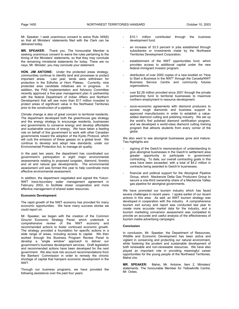Mr. Speaker, I seek unanimous consent to waive Rule 349(6) so that all Ministers' statements filed with the Clerk can be delivered today.

**MR. SPEAKER:** Thank you. The honourable Member is seeking unanimous consent to waive the rules pertaining to the timing of the Ministers' statements, so that they may conclude the remaining ministerial statements for today. There are no nays, Mr. Minister, you may conclude your statement.

**HON. JIM ANTOINE:** Under the protected areas strategy, communities continue to identify land and processes to protect important areas. Last year, lands were withdrawn for protection in the Edhzhie or Horn Plateau. Currently, nine protected area candidate initiatives are in progress. In addition, the PAS Implementation and Advisory Committee recently approved a five-year management plan in partnership with the federal Department of Indian Affairs and Northern Development that will see more than \$17 million invested to protect areas of significant value in the Northwest Territories prior to the construction of a pipeline.

Climate change is also of great concern to territorial residents. The department developed both the greenhouse gas strategy and the energy strategy to encourage residents, businesses and governments to conserve energy and develop affordable and sustainable sources of energy. We have taken a leading role on behalf of this government to work with other Canadian governments toward the adoption of the Kyoto Protocol, which will curb the emission of these gasses on a global level. We continue to develop and adopt new standards, under our Environmental Protection Act, to manage air quality.

In the past two years, the department has coordinated our government's participation in eight major environmental assessments relating to proposed tungsten, diamond, forestry and oil and natural gas developments. The environmental assessment unit was formed this year to help coordinate more effective environmental assessment.

In addition, the department negotiated and signed the Yukon-NWT trans-boundary water management agreement in February 2002, to facilitate closer cooperation and more effective management of shared water resources.

#### **Economic Development**

The rapid growth of the NWT economy has provided for many economic opportunities. We have many success stories we could report on.

Mr. Speaker, we began with the creation of the Common Ground Economic Strategy Panel, which undertook a comprehensive review of the NWT economy and recommended actions to foster continued economic growth. The strategy provided a foundation for specific actions in a wide range of areas, including access to capital. We then worked through the Business Program Review Panel to develop a "single window" approach to deliver our government's business development services. Draft legislation and recommended actions have been developed for the next government. We also took into account recommendations from the Bankers' Commission in order to remedy the chronic shortage of capital that hampers economic development in the NWT.

Through our business programs, we have provided the following assistance over the past four years:

- \$10.1 million contributed through the business development fund;
- an increase of 33.3 percent in jobs established through subsidiaries or investments made by the Northwest Territories Development Corporation;
- establishment of the NWT opportunities fund, which provides access to additional capital under the new federal immigrant investor program;
- distribution of over 2000 copies of a new booklet on "How to Start a Business in the NWT" through the Canada/NWT Business Service Centre and community futures organizations;
- over \$2.28 million provided since 2001 through the private partnership fund to territorial businesses to maximize northern employment in resource development;
- socio-economic agreements with diamond producers to access rough diamonds and business support to approved manufacturers in order to establish a valueadded diamond cutting and polishing industry. We set up the world's first polished diamond certification program, and we developed a world-class diamond cutting training program that attracts students from every corner of the globe.

We also want to see aboriginal businesses grow and mature. Two highlights are:

- signing of the Gwich'in memorandum of understanding to give aboriginal businesses in the Gwich'in settlement area greater opportunity to participate in government contracting. To date, our overall contracting goals in this area have been exceeded, with a total of \$4.2 million in contracts being awarded to Gwich'in businesses;
- financial and political support for the Aboriginal Pipeline Group, which Mackenzie Delta Gas Producers Group to secure a one-third ownership share of a Mackenzie Valley gas pipeline for aboriginal governments.

We have promoted our tourism industry which has faced severe challenges in recent years. I spoke earlier of our recent actions in this area. As well, an NWT tourism strategy was developed in cooperation with the industry. A comprehensive tourism exit survey and report was conducted last year to create more accurate market data for the industry, and a tourism marketing conversion assessment was completed to provide an accurate and useful analysis of the effectiveness of tourism media advertising campaigns.

# **Conclusion**

In conclusion, Mr. Speaker, the Department of Resources, Wildlife and Economic Development has been active and vigilant in conserving and protecting our natural environment, while fostering the prudent and sustainable development of both renewable and non-renewable resources. We have also played an important role in providing meaningful career opportunities for the young people of the Northwest Territories. Mahsi cho.

**MR. SPEAKER:** Mahsi, Mr. Antoine. Item 2, Ministers' statements. The honourable Member for Yellowknife Centre, Mr. Ootes.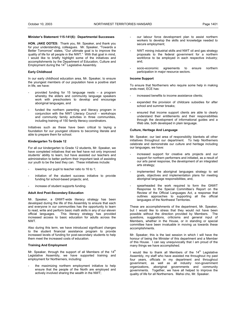# **Minister's Statement 115-141(6): Departmental Successes**

**HON. JAKE OOTES:** Thank you, Mr. Speaker, and thank you for your understanding, colleagues. Mr. Speaker, "Towards a Better Tomorrow" states, "Our ultimate goal is to improve the quality of life for all people in the NWT." With that goal in mind, I would like to briefly highlight some of the initiatives and accomplishments by the Department of Education, Culture and Employment during the  $14<sup>th</sup>$  Legislative Assembly.

# **Early Childhood**

In our early childhood education area, Mr. Speaker, to ensure the youngest members of our population have a positive start in life, we have:

- provided funding for 15 language nests  $-$  a program whereby the elders and community language speakers work with preschoolers to develop and encourage aboriginal languages, and
- funded the northern parenting and literacy program in conjunction with the NWT Literacy Council – workshops and community family activities in three communities, including training of 150 family literacy coordinators.

Initiatives such as these have been critical to laying a foundation for our youngest citizens to becoming literate and able to prepare them for school.

# **Kindergarten To Grade 12**

For all our kindergarten to Grade 12 students, Mr. Speaker, we have completed initiatives that we feel have not only improved students' ability to learn, but have assisted our teachers and administration to better perform their important task of assisting our youth to be the best they can. These initiatives include:

- lowering our pupil to teacher ratio to 16 to 1;
- initiation of the student success initiative to provide funding for school-based projects; and,
- increase of student supports funding.

# **Adult And Post-Secondary Education**

Mr. Speaker, a GNWT-wide literacy strategy has been developed during the life of this Assembly to ensure that each and everyone in our communities has the opportunity to learn to read, write and perform basic math skills in any of our eleven official languages. This literacy strategy has provided increased access to basic education for adults across the NWT.

Also during this term, we have introduced significant changes to the student financial assistance program to provide increased levels of funding for post-secondary students to help them meet the increased costs of education.

# **Training And Employment**

Mr. Speaker, through the support of all Members of the  $14<sup>th</sup>$ Legislative Assembly, we have supported training and employment for Northerners, including:

the maximizing northern employment initiative to help ensure that the people of the North are employed and actively involved sharing the wealth in the NWT;

- our labour force development plan to assist northern workers to develop the skills and knowledge needed to secure employment;
- NWT mining industrial skills and NWT oil and gas strategy proposals to the federal government for a northern workforce to be employed in each respective industry; and,
- socio-economic agreements to ensure northern participation in major resource sectors.

# **Income Support**

To ensure that Northerners who require some help in making ends meet, ECE has:

- increased benefits to income assistance clients;
- expanded the provision of childcare subsidies for after school and summer breaks;
- ensured that income support clients are able to clearly understand their entitlements and their responsibilities through the development of informational guides and a Web site, both developed in plain language.

# **Culture, Heritage And Language**

Mr. Speaker, our last area of responsibility blankets all other initiatives throughout our department. To help Northerners celebrate and demonstrate our culture and heritage including our languages, we have:

- increased support for creative arts projects and our support for northern performers and initiated, as a result of our arts panel response, the development of an integrated arts strategy;
- implemented the aboriginal languages strategy to set goals, objectives and implementation plans for meeting aboriginal language responsibilities; and,
- spearheaded the work required to form the GNWT Response to the Special Committee's Report on the Review of the Official Languages Act, a response that outlines approaches to supporting all the official languages of the Northwest Territories.

These are accomplishments of the department, Mr. Speaker, but I would like to stress that they would not have been possible without the direction provided by Members. The questions, suggestions, criticisms and general input of Members, whether in the House, or in standing or special committee have been invaluable in moving us towards these accomplishments.

Mr. Speaker, this is the last session in which I will have the honour of being the Minister of this department and a Member of this House. I can say unequivocally that I am proud of the many things we have accomplished.

I would like to thank all Members of the  $14<sup>th</sup>$  Legislative Assembly, my staff who have assisted me throughout my past four years, officials in my department and throughout government, as well as all industry non-government organizations, aboriginal governments and community governments. Together, we have all helped to improve the quality of life for all Northerners. Mahsi cho, Mr. Speaker.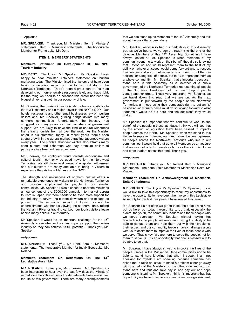#### ---Applause

**MR. SPEAKER:** Thank you, Mr. Minister. Item 2, Ministers' statements. Item 3, Members' statements. The honourable Member for Frame Lake, Mr. Dent.

## **ITEM 3: MEMBERS' STATEMENTS**

# **Member's Statement On Development Of The NWT Tourism Industry**

**MR. DENT:** Thank you, Mr. Speaker. Mr. Speaker, I was happy to hear Minister Antoine's statement on tourism marketing today. The Minister listed the factors that have been having a negative impact on the tourism industry in the Northwest Territories. There's been a great deal of focus on developing our non-renewable resources lately and that's right. It's the thing we need to do because this sector has been the biggest driver of growth in our economy of late.

Mr. Speaker, the tourism industry is also a huge contributor to the NWT economy and a major player in the NWT's GDP. Our hotels, restaurants and other small businesses rely on tourism dollars and, Mr. Speaker, guiding brings dollars into many northern communities. Unfortunately, the industry has struggled for many years for their fair share of government support. We are lucky to have the kind of natural wilderness that attracts tourists from all over the world. As the Minister noted in his statement today, in recent years there's been strong growth in the aurora market attracting Japanese visitors every year. The North's abundant wildlife also attracts many sport hunters and fisherman who pay premium dollars to participate in a true northern adventure.

Mr. Speaker, the continued trend towards eco-tourism and cultural tourism can only be good news for the Northwest Territories. We still have vast areas of unspoiled wilderness and our outfitters are ready and able to bring in visitors to experience the pristine wilderness of the NWT.

The strength and uniqueness of northern culture offers a remarkable experience for visitors to the Northwest Territories and provides employment for people in our smaller communities. Mr. Speaker, I was pleased to hear the Minister's announcement of the \$500,000 campaign to market aurora tourism in Japan, but there needs to be even more support for the industry to survive the current downturn and to expand its product. The economic impact of tourism cannot be underestimated whether it's viewing the northern lights, rafting the Nahanni River or tracking caribou, our tourist visitors leave behind many dollars in our territory.

Mr. Speaker, it would be an important challenge for the  $15<sup>th</sup>$ Assembly to see whether they can properly support the tourism industry so they can achieve its full potential. Thank you, Mr. Speaker.

## ---Applause

**MR. SPEAKER:** Thank you, Mr. Dent. Item 3, Members' statements. The honourable Member for Inuvik Boot Lake, Mr. Roland.

## **Member's Statement On Reflections On The 14th Legislative Assembly**

**MR. ROLAND:** Thank you, Mr. Speaker. Mr. Speaker, it's been interesting to hear over the last few days the Ministers' remarks on the achievements the departments have made over the life of this government. There are many accomplishments

that we can stand up as Members of the  $14<sup>th</sup>$  Assembly and talk about the work that's been done.

Mr. Speaker, we've also had our dark days in this Assembly but, as we've heard, we've come through it to the end of the days as Members of this  $14<sup>th</sup>$  Assembly. Something I have always looked at, Mr. Speaker, is when members of my community sent me to work on their behalf, they did so knowing that I stood up and would represent them to the best of my ability on whatever issues would come forward and to respect their wishes and not to put name tags on them or put them in sections or categories of people, but to try to represent them as a whole community. Mr. Speaker, that's important because I stand here in this Assembly as a Member of a public government of the Northwest Territories representing all people in the Northwest Territories, not just one group of people versus another group. That's very important, Mr. Speaker, as we travel down this road that we are on. As the next government is put forward by the people of the Northwest Territories, all those using their democratic right to put an "x" beside an individual's name must do so looking forward to what leadership would be put here and the decisions they would make.

Mr. Speaker, it's important that we continue to work to the benefit of the people in these last days. I think you will see that by the amount of legislation that's been passed. It impacts people across the North. Mr. Speaker, when we stand in this House to represent people, we must remember we represent all people across the Northwest Territories who live in our communities. I would hold that up to all Members as a measure that we use not only for ourselves but for others in this House and other leaders across this land. Thank you.

#### ---Applause

**MR. SPEAKER:** Thank you, Mr. Roland. Item 3, Members' Statements. The honourable Member for Mackenzie Delta, Mr. Krutko.

## **Member's Statement On Acknowledgment Of Mackenzie Delta Constituents**

**MR. KRUTKO:** Thank you, Mr. Speaker. Mr. Speaker, I, too, would like to take this opportunity to thank my constituents to have the opportunity to have been their voice in this Legislative Assembly for the last four years. I have served two terms.

Mr. Speaker it's not often we get to thank the people who have put us here, but today I would like to do that, especially the elders, the youth, the community leaders and those people who we serve everyday. Mr. Speaker, without having that Mr. Speaker, without having that connection to the people we serve and having the ability to be able to contact them and help them out with their problems, their issues, and our community leaders have challenges along with us to assist them to improve the lives of those people who we serve. That is key. We are here to serve the people, not for them to serve us. It's an opportunity that one is blessed with to be able to do that.

Mr. Speaker, I have always strived to improve the lives of the people I serve in the Mackenzie Delta communities and to be able to stand here knowing that when I speak, I am not speaking for myself, I am speaking because someone has asked me to raise an issue, to make a problem either go away with the help of the Ministers on the other side and not just stand here and rant and rave day in and day out and hope someone is listening. Mr. Speaker, I think it's important that that opportunity we have to serve also means we, as a government,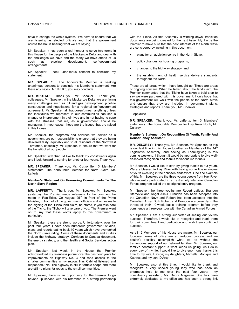have to change the whole system. We have to ensure that we are listening as elected officials and that the government across the hall is hearing what we are saying.

Mr. Speaker, it has been a real honour to serve two terms in this House for the people of the Mackenzie Delta and deal with the challenges we have and the many we have ahead of us such as pipeline development, self-government arrangements…

Mr. Speaker, I seek unanimous consent to conclude my statement.

**MR. SPEAKER:** The honourable Member is seeking unanimous consent to conclude his Member's statement. Are there any nays? Mr. Krutko, you may conclude.

**MR. KRUTKO:** Thank you, Mr. Speaker. Thank you, colleagues. Mr. Speaker, in the Mackenzie Delta, we are facing many challenges such as oil and gas development, pipeline construction and negotiations for a regional self-government agreement. Mr. Speaker, all that doesn't mean anything unless the individuals we represent in our communities can see a change or improvement in their lives and in not having to cope with the stresses that we, as a government, should be managing. In most cases, those are the issues that are raised in this House.

Mr. Speaker, the programs and services we deliver as a government are our responsibility to ensure that they are being delivered fairly, equitably and to all residents of the Northwest Territories, especially, Mr. Speaker, to ensure that we work for the benefit of all our people.

Mr. Speaker, with that, I'd like to thank my constituents again and I look forward to serving for another four years. Thank you.

**MR. SPEAKER:** Thank you, Mr. Krutko. Item 3, Members' statements. The honourable Member for North Slave, Mr. Lafferty.

# **Member's Statement On Honouring Commitments To The North Slave Region**

**MR. LAFFERTY:** Thank you, Mr. Speaker. Mr. Speaker, yesterday the Premier made reference to the comment he made in Rae-Edzo. On August 25<sup>th</sup>, in front of the Prime Minister, in front of all the government officials and witnesses to the signing of the Tlicho land claim, he stated, if you take care of the Tlicho, the Tlicho will take care of you. The Premier went on to say that these words apply to this government in particular.

Mr. Speaker, these are strong words. Unfortunately, over the past four years I have seen numerous government studies, plans and reports dating back 10 years which have overlooked the North Slave riding. Some of these documents and studies include the highway strategy, Corridors to Canada document, the energy strategy, and the Health and Social Services action plan.

Mr. Speaker, last week in the House the Premier acknowledged my relentless pursuit over the past four years for improvements on Highway No. 3 and road access to the smaller communities in my region. Has Cabinet listened and responded? No. The highway is still in terrible shape and there are still no plans for roads to the small communities.

Mr. Speaker, there is an opportunity for the Premier to go beyond lip service with his reference to a strong partnership with the Tlicho. As this Assembly is winding down, transition documents are being created for the next Assembly. I urge the Premier to make sure that the best interests of the North Slave are considered by including in this document:

- plans for an addiction centre in the North Slave;
- policy changes for housing programs;
- changes to the highway strategy; and,
- the establishment of health service delivery standards throughout the North.

These are all areas which I have brought up. These are areas of ongoing concern. When he talked about the land claim, the Premier commented that the Tlicho have taken a bold step to say we were partnered with this government. I only hope that this government will walk with the people of the North Slave and ensure that they are included in government plans, strategies and reports. Thank you, Mr. Speaker.

#### ---Applause

**MR. SPEAKER:** Thank you, Mr. Lafferty. Item 3, Members' statements. The honourable Member for Hay River North, Mr. Delorey.

# **Member's Statement On Recognition Of Youth, Family And Constituency Assistant**

**MR. DELOREY:** Thank you, Mr. Speaker. Mr. Speaker, as this is our last time in this House together as Members of the  $14<sup>th</sup>$ Legislative Assembly, and seeing as Thanksgiving is this coming weekend, I thought it would be appropriate to give welldeserved recognition and thanks to various individuals.

Mr. Speaker, I would like to start by giving thanks to our youth. We are blessed in Hay River with having some fine examples of youth excelling in their chosen endeavors. One fine example of this, Mr. Speaker, are the three young people from Hay River who recently participated in an extremely intensive Canadian Forces program called the aboriginal entry program.

Mr. Speaker, the three youths are Robert Lafleur, Brandon Starcevic and Angel Asels. Brandon has been accepted into the Canadian Navy and Robert has been accepted into the Canadian Army. Both Robert and Brandon are currently in the throes of their 10-week basic training program before they commence a three-year tour with the Canadian Armed Forces.

Mr. Speaker, I am a strong supporter of seeing our youths succeed. Therefore, I would like to recognize and thank them for their commitment and dedication and wish them continued success.

As all 19 Members of this House are aware, Mr. Speaker, our four-year terms of office are an arduous process and we couldn't possibly accomplish what we do without the tremendous support of our beloved families. Mr. Speaker, our family's constant support is what keeps us going. As I do in every day of my life, I would like to give enormous thanks this time to my wife, Davida; my daughters, Michelle, Monique and Katrina; and my son, D'Arcy.

Mr. Speaker, also at this time, I would like to thank and recognize a very special young lady who has been an enormous help to me over the past four years: my constituency assistant, Ms. Debra Mageean. She has been extremely dedicated to my office and has been a strong link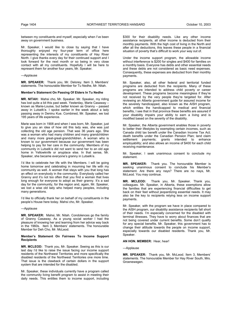between my constituents and myself, especially when I've been away on government business.

Mr. Speaker, I would like to close by saying that I have thoroughly enjoyed my four-year term of office here representing the interests of my constituents of Hay River North. I give thanks every day for their continued support and I look forward for the next month or so being in very close contact with all my constituents. Hopefully I will be here to represent them for another four years, Mr. Speaker.

#### ---Applause

**MR. SPEAKER:** Thank you, Mr. Delorey. Item 3, Members' statements. The honourable Member for Tu Nedhe, Mr. Nitah.

#### **Member's Statement On Passing Of Elders In Tu Nedhe**

**MR. NITAH:** Mahsi cho, Mr. Speaker. Mr. Speaker, my riding has lost quite a bit this past week. Yesterday, Marie Casaway – known as Marie-Louise, but better known as Granny – passed away in Lutselk'e. I spoke earlier in the week about a lady passing away in Deninu Kue. Combined, Mr. Speaker, we lost 195 years of life experience.

Marie was born in 1908 and when I was born, Mr. Speaker, just to give you an idea of how old this lady was, she was just collecting the old age pension. That was 36 years ago. She was a woman who had many children and many grandchildren and many more great-great-grandchildren. A woman who is known to our government because our government has been helping to pay for her care in the community. Members of my community in Lutselk'e did not want to send her to an old age home in Yellowknife or anyplace else. In that sense, Mr. Speaker, she became everyone's granny in Lutselk'e.

I'd like to celebrate her life with the Members. I will be going home tomorrow and celebrating in mourning her life with my community as well. A woman that stays with you that long has an effect on everybody in the community. Everybody called her Granny and it's not too often that you find a woman that lives long enough for everyone to adopt as their granny. It's a sad day for the community, for the region and, again, Mr. Speaker, we lost a wise old lady who helped many peoples, including many generations.

I'd like to officially thank her on behalf of my constituents in the people's House here today. Mahsi cho, Mr. Speaker.

#### ---Applause

**MR. SPEAKER:** Mahsi, Mr. Nitah. Condolences go the family of Granny Casaway. As a young social worker I had the pleasure of knowing her and learning from her advice way back in the 1960s. Item 3, Members' statements. The honourable Member for Deh Cho, Mr. McLeod.

# **Member's Statement On Fairness To Income Support Recipients**

**MR. MCLEOD:** Thank you, Mr. Speaker. Seeing as this is our last day I'd like to raise the issue facing our income support residents of the Northwest Territories and more specifically the disabled residents of the Northwest Territories one more time. That issue is the clawback of certain dollars in the support system that are intended for the disabled.

Mr. Speaker, these individuals currently have a program called the community living benefit program to assist in meeting their daily needs. This entitles them to income support, including

\$300 for their disability needs. Like any other income assistance recipients, all other income is deducted from their monthly payments. With the high cost of living in the North and after all the deductions, this leaves these people in a financial situation of poverty that's difficult to work your way out of.

Under the income support program, the allowable income without interference is \$200 for singles and \$400 for families on a monthly basis. Everyone has debts and other essential needs and these debts are not considered as basic need expenses. Consequently, these expenses are deducted from their monthly payments.

Mr. Speaker, also, all other federal and territorial funded programs are deducted from the recipients. Many of these programs are intended to address child poverty or career development. These programs become meaningless if they're not received by the very people they're targeted for. After reviewing an Alberta government guide for assured income for the severely handicapped, also known as the AISH program, which entitles the handicapped to medical and financial benefits, I see that in that province these benefits are assured if your disability impairs your ability to earn a living and is modified based on the severity of the disability.

Mr. Speaker, the Alberta government enables those in poverty to better their lifestyles by exempting certain incomes, such as Canada child tax benefit under the Canadian Income Tax Act; death benefits under the Canadian Pension Plan; land claim settlement payments; grants intended to enhance employability; and also allows an income of \$400 for each child receiving maintenance.

Mr. Speaker, I seek unanimous consent to conclude my statement.

**MR. SPEAKER:** Thank you. The honourable Member is seeking unanimous consent to conclude his Member's statement. Are there any nays? There are no nays, Mr. McLeod. You may continue.

**MR. MCLEOD:** Thank you, Mr. Speaker. Thank you, colleagues. Mr. Speaker, in Alberta, these exemptions allow the families that are experiencing financial difficulties to get back on their feet without jeopardizing essential needs. It may also be the key to recipients relying less on income support payments.

Mr. Speaker, with the program we have in place compared to the AISH program, our disability assistance recipients fall short of their needs. I'm especially concerned for the disabled with terminal illnesses. They have to worry about finances that are not being covered under current benefits. Some don't qualify for any special benefits. Mr. Speaker, this government has to change their attitude towards the people on income support, especially towards our disabled residents. Thank you, Mr. Speaker.

#### **AN HON. MEMBER:** Hear, hear!

#### ---Applause

**MR. SPEAKER:** Thank you, Mr. McLeod. Item 3, Members' statements. The honourable Member for Hay River South, Mrs. Groenewegen.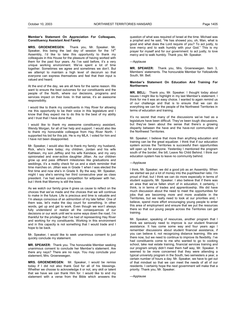#### **Member's Statement On Appreciation For Colleagues, Constituency Assistant And Family**

**MRS. GROENEWEGEN:** Thank you, Mr. Speaker. Mr. Speaker, this being the last day of session for the  $14<sup>th</sup>$ Assembly, I'd like to take this opportunity to thank my colleagues in this House for the pleasure of having worked with them for the past four years. As I've said before, it's a very unique working environment. We've spent a lot of time together. Sometimes we agree and sometimes we don't. But we attempt to maintain a high level of decorum so that everyone can express themselves and feel that their input is valued and heard.

At the end of the day, we are all here for the same reason. We want to ensure the best outcomes for our constituents and the people of the North, where our decisions, programs and services impact on their lives. In that sense, it's an awesome responsibility.

I would like to thank my constituents in Hay River for allowing me this opportunity to be their voice in this legislature and I know that they expect me to do this to the best of my ability and I trust that I have done that.

I would like to thank my awesome constituency assistant, Wendy Morgan, for all of her help and support. I would also like to thank my honourable colleague from Hay River North. I supported his bid for this job. He is my MLA. I voted for him and I have not been disappointed.

Mr. Speaker, I would also like to thank my family: my husband, Rick, who's here today; my children, Jordan and his wife Kathleen, my son Jeffrey and his wife Kandace, and my very opinionated and ever-active daughter Jillian. As our children grow up and pass different milestones like graduations and weddings, it's a reality check for us and a stark reminder that time marches on. Jillian was in Grade 1 when I was elected the first time and now she's in Grade 9. By the way, Mr. Speaker, might I say she's serving her third consecutive year as class president. I've had serious competition for willpower with her, but I think that Mommy is still the boss.

As we watch our family grow it gives us cause to reflect on the choices that we've made and the choices that we will continue to make in the future. Life is precious and time is valuable and I'm always conscious of an admonition of my late father. One of them was, let's make the day count for something. In other words, get up and get to work. Even though we won't always fully understand or realize all the consequences of our decisions or our work until we're some ways down the road, I'm thankful for the privilege that I've had of representing Hay River and working for my constituents. Working in this environment and in this capacity is not something that I would trade and I hope to be back.

Mr. Speaker, I would like to seek unanimous consent to just quickly conclude my statement.

**MR. SPEAKER:** Thank you. The honourable Member seeking unanimous consent to conclude her Member's statement. Are there any nays? There are no nays. You may conclude your statement, Mrs. Groenewegen.

**MRS. GROENEWEGEN:** Mr. Speaker, I would be remiss today if I did not also thank God for all of his blessings. Whether we choose to acknowledge it or not, any skill or talent that we have we can thank Him for. I would like to end my statement with a verse from the Bible which answers the

question of what was required of Israel at the time. Michael was a prophet and he said, "He has showed you, oh, Man, what is good and what does the Lord require of you? To act justly, to love mercy and to walk humbly with your God." This is my prayer for myself and for our government: to act justly, to love mercy and to walk humbly. Thank you, Mr. Speaker.

# ---Applause

**MR. SPEAKER:** Thank you, Mrs. Groenewegen. Item 3, Members' statements. The honourable Member for Yellowknife South, Mr. Bell.

### **Member's Statement On Education And Training For Northerners**

**MR. BELL:** Thank you, Mr. Speaker. I thought today about issues I might like to highlight in my last Member's statement. I think for me it was an easy choice. I wanted to again remind us of our challenge and that is to ensure that we can do everything we can for the people of the Northwest Territories in terms of education and training.

It's no secret that many of the discussions we've had as a legislature have been difficult. They've been tough discussions, but they've been about the sense that there's a growing disparity between the have and the have-not communities of the Northwest Territories.

Mr. Speaker, I believe that more than anything education and training can be the great equalizer. I think that if our education system across the Territories is successful then opportunities will open up for everyone. Yesterday I mentioned the program south of the border, the bill, Leave No Child Behind. I think our education system has to leave no community behind.

# ---Applause

I think, Mr. Speaker, we did a good job as an Assembly. When we started we put a lot of money into the pupil/teacher ratio. I'm proud of that, but I think we can do more especially in terms of student supports, Mr. Speaker. I also believe that if there was an area that we've fallen short of in education, it certainly, I think, is in terms of trades and apprenticeship. We did have much discussion about the need to meet the opportunities for jobs that are becoming more and more available in the Territories, but we really need to look at our priorities and, I believe, spend more effort encouraging young people to enter this area of employment and ensure that we put the resources there so that our young people across the Territories can get training.

Mr. Speaker, speaking of resources, another program that I think we seriously need to improve is our student financial assistance. It has come some way and four years ago I remember discussions about student financial assistance, if you can believe it, not recognizing distance learning. We are there now, but we need to continue to improve its flexibility. I've had constituents come to me who wanted to go to cooking school, take real estate training, financial services training and our program simply didn't meet them half way, Mr. Speaker. It seemed to be more concerned that they were attending a typical university program in the South, two semesters a year, a certain number of hours a day. Mr. Speaker, we have to get out of that mindset so that we can meet the needs of all of our residents. I certainly hope the next government will make that a priority. Thank you, Mr. Speaker.

---Applause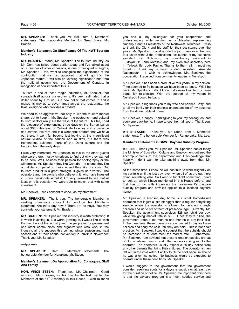**MR. SPEAKER:** Thank you, Mr. Bell. Item 3, Members' statements. The honourable Member for Great Slave, Mr. Braden.

# **Member's Statement On Significance Of The NWT Tourism Industry**

**MR. BRADEN:** Mahsi, Mr. Speaker. The tourism industry, as Mr. Dent has talked about earlier today and I've talked about on a number of other occasions, is one of our quiet strengths, Mr. Speaker. I, too, want to recognize the significance of the contribution that we just approved that will go into the Japanese market. I will also be levering significant funds from the national government, the Government of Canada, in recognition of how important this is.

Tourism is one of those magic industries, Mr. Speaker, that spreads itself across our economy. It's been estimated that a dollar spent by a tourist is a new dollar that comes in and it makes its way up to seven times across the restaurants, the taxis, everyone who provides a product.

We need to be aggressive, not only to win the tourism market share, but to keep it. Mr. Speaker, the ecotourism and cultural tourism sectors really are the ways of the future. This fall, I had the pleasure of experiencing three days on the Barren Lands about 300 miles east of Yellowknife to enjoy and experience and sample this rare and this wonderful product that we have out there. It went far beyond just looking at the magnificent natural wildlife of the caribou and muskox, but there was tremendous evidence there of the Dene culture and the trapping from the early days.

I was very interested, Mr. Speaker, to talk to the other guests who were there, mostly American, to find out why they wanted to be here. Well, besides their passion for photography or the wilderness, Mr. Speaker, they like Canada -- of course they like our dollar compared to theirs -- and they like our style. Our tourism product is a great strength. It gives us diversity. The operators and the owners who believe in it, who have invested in it, are passionate about it. I'm very pleased to see that at least on this occasion we were able to match that with some investment.

Mr. Speaker, I seek consent to conclude my statement.

**MR. SPEAKER:** Thank you. The honourable Member is seeking unanimous consent to conclude his Member's statement. Are there any nays? There are no nays. You may conclude your statement, Mr. Braden.

**MR. BRADEN:** Mr. Speaker, this industry is worth protecting. It is worth investing in. It is worth growing in. I would like to wish the members of the industry and the people in our government and other communities and organizations who work in the industry, all the success this coming winter season and next season and at their annual convention in Inuvik in November. Thank you, Mr. Speaker.

---Applause

**MR. SPEAKER:** Item 3, Members' statements. The honourable Member for Nunakput, Mr. Steen.

#### **Member's Statement On Appreciation For Colleagues, Staff And Family**

**HON. VINCE STEEN:** Thank you, Mr. Chairman. Good morning. Mr. Speaker, as this may be the last day for the Members of the  $14<sup>th</sup>$  Assembly in this House, I wish to thank

you and all my colleagues for your cooperation and understanding while serving as a Member representing Nunakput and all residents of the Northwest Territories. I wish to thank the Clerk and his staff for their assistance over the years. Mr. Speaker, I could not do the job I have over the past four years without the professional assistance of my executive assistant Kat Nicholson; my constituency assistant in Tuktoyaktuk, Lena Kotokak; and, my executive secretary here in Yellowknife, Judy Payne. Thanks to them all. I must not forget to thank my summer student assistant, Amanda<br>Nasogaluak. I wish to acknowledge, Mr. Speaker, the I wish to acknowledge, Mr. Speaker, the cooperation I received from community leaders in Nunakput.

Mr. Speaker, it has been a productive four years, in my opinion. Time seemed to fly because we have been so busy. Will I be back, Mr. Speaker? I don't know. I do know I will let my name stand for re-election. With the support of my voters in Nunakput, I could be back.

Mr. Speaker, a big thank you to my wife and partner, Betty, and to all my family for their endless understanding of my absence from the dinner table at home.

Mr. Speaker, a happy Thanksgiving to you, my colleagues, and everyone back home. I hope to see them all soon. Thank you, Mr. Speaker.

**MR. SPEAKER:** Thank you, Mr. Steen. Item 3, Members' statements. The honourable Member for Range Lake, Ms. Lee.

# **Member's Statement On GNWT Daycare Subsidy Program**

**MS. LEE:** Thank you, Mr. Speaker. Mr. Speaker, earlier today the Minister of Education, Culture and Employment outlined the accomplishments of the department and I acknowledge that happily. I don't want to take anything away from that, Mr. Speaker.

At the same time, I know he will continue to work diligently on his portfolio until the last day, even when all of us are out there doing something else. So I wish to highlight something I need to look at, which I have mentioned in this House before, and that has to do with improving the government's daycare subsidy program and how it's applied to a licensed daycare home.

Mr. Speaker, a licensed day home is a small home-based operation that is just a little bit bigger than a regular babysitting service where the operator is allowed to have up to eight children and up to six of them of preschool age. Currently, Mr. Speaker, the government subsidizes \$28 per child per day, while the going market rate is \$35. Once they're billed, the government often takes months and months to pay their bills. In the meantime, these operators are expected to pay for these children and carry the cost until they are paid. This is not a fair practice, Mr. Speaker. I would suggest that the subsidy should be increased to at least meet the market rate. Furthermore, Mr. Speaker, I am advised that these clients on subsidy are cut off for whatever reason and often no notice is given to the operator. The operators usually expect a 30-day notice from any other parents that bring their children. The operator is then left out in the cold without ability to fill the spot because she or he was given no notice. No business would be expected to operate under these conditions, Mr. Speaker.

I would suggest to the government that the government consider reserving spots for a daycare subsidy or at least pay for the duration of notice. Mr. Speaker, the important point here is that the daycare program is a much needed service and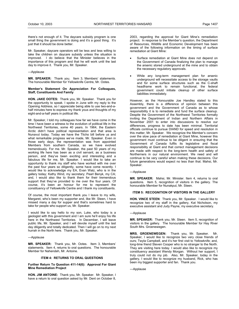there's not enough of it. The daycare subsidy program is one small thing the government is doing and it's a good thing. It's just that it should be done better.

Mr. Speaker, daycare operators will be less and less willing to take the children on daycare subsidy unless the situation is improved. I do believe that the Minister believes in the importance of this program and that he will work until the last day to improve it. Thank you, Mr. Speaker.

---Applause

**MR. SPEAKER:** Thank you. Item 3, Members' statements. The honourable Member for Yellowknife Centre, Mr. Ootes.

# **Member's Statement On Appreciation For Colleagues, Staff, Constituents And Family**

**HON. JAKE OOTES:** Thank you, Mr. Speaker. Thank you for the opportunity to speak. I spoke in June with my reply to the Opening Address, so I appreciate being able to use two-and-ahalf minutes here to express my thank yous and thoughts of my eight-and-a-half years in political life.

Mr. Speaker, I told my colleagues how far we have come in the time I have been a witness to the evolution of political life in the Northwest Territories, some 40 years. In 1964, the Eastern Arctic didn't have political representation and that area is Nunavut today. Today we have the Tlicho bill before us and what remarkable progress we've made. Mr. Speaker. Even in those early days, the representation was from appointed Members from southern Canada, so we have evolved tremendously. For me. Mr. Speaker, the past 50 years of my working life here has been as a civil servant, as a business person, and they've been exciting and interesting and a fabulous life for me, Mr. Speaker. I would like to take an opportunity to thank my staff who have worked with me over the past four years so diligently, some have come recently. I would like to acknowledge my EA, Evan Walz, who is in the gallery today; Kathy Wind, my secretary; Pearl Benyk, my CA; and, I would also like to thank them for their tremendous support that they've provided to me over the four years. Of course, it's been an honour for me to represent the constituency of Yellowknife Centre and I thank my constituents.

Of course, the most important thank you I leave to my wife, Margaret, who's been my supporter and, like Mr. Steen, I have missed many a day for supper and that's sometimes hard to take for people who support us, Mr. Speaker.

I would like to say hello to my son, Luke, who today is a geologist with this government and I am sure he'll enjoy his life here in the Northwest Territories. In December, I will leave public life, Mr. Speaker, and I will devote myself until the last day diligently and totally dedicated. Then I will go on to my next hurrah in the North here. Thank you, Mr. Speaker.

## ---Applause

**MR. SPEAKER:** Thank you, Mr. Ootes. Item 3, Members' statements. Item 4, returns to oral questions. The honourable Member for Nahendeh, Mr. Antoine.

## **ITEM 4: RETURNS TO ORAL QUESTIONS**

**Further Return To Question 411-14(6): Approval For Giant Mine Remediation Project** 

**HON. JIM ANTOINE:** Thank you, Mr. Speaker. Mr. Speaker, I have a return to oral question asked by Mr. Dent on October 8,

2003, regarding the approval for Giant Mine's remediation project. In response to the Member's question, the Department of Resources, Wildlife and Economic Development has been aware of the following information on the timing of surface remediation at Giant Mine:

- Surface remediation at Giant Mine does not depend on the Government of Canada finalizing the plan to manage the arsenic stored underground at the mine and to obtain the necessary regulatory approvals.
- While any long-term management plan for arsenic underground will necessitate access to the storage vaults and for some surface structures such as the C-shaft headframe work to remain functional, the federal government could initiate cleanup of other surface liabilities immediately.

However, as the Honourable Joe Handley stated to this Assembly, there is a difference of opinion between this government and the Government of Canada as to whose responsibility it is to remediate and fund the surface cleanup. Despite the Government of the Northwest Territories formally inviting the Department of Indian and Northern Affairs in November 2001 to enter into discussions to resolve our differences, progress to date has been minimal. Territorial officials continue to pursue DIAND for speed and resolution in this matter, Mr. Speaker. We recognize the Member's concern over the slow pace of remediation at Giant Mine, however this government must continue to be diligent in ensuring that the Government of Canada fulfils its legislative and fiscal responsibility at Giant and that correct management decisions are made with respect to the long-term health and safety of Northerners in our natural environment. We need and will continue to be very careful when making these decisions. Our future generations would expect no less than that. Mahsi, Mr. Speaker.

---Applause

**MR. SPEAKER:** Mahsi, Mr. Minister. Item 4, returns to oral questions. Item 5, recognition of visitors in the gallery. The honourable Member for Nunakput, Mr. Steen.

# **ITEM 5: RECOGNITION OF VISITORS IN THE GALLERY**

**HON. VINCE STEEN**: Thank you, Mr. Speaker. I would like to recognize two of my staff in the gallery, Kat Nicholson, my executive assistant and Judy Payne, my executive secretary.

#### ---Applause

**MR. SPEAKER:** Thank you, Mr. Steen. Item 5, recognition of visitors in the gallery. The honourable Member for Hay River South Mrs. Groenewegen.

MRS. GROENEWEGEN: Thank you, Mr. Speaker. Speaker, I would like to recognize two very close friends of ours; Twyla Campbell, and it's her first visit to Yellowknife; and, long-time friend Steven Cooper who is no stranger to the North. They are visiting here today. I would also like to recognize my constituency assistant Wendy Morgan. Without her support, I truly could not do my job. Also, Mr. Speaker, today in the gallery, I would like to recognize my husband, Rick, who has been my biggest supporter and fan. Thank you.

---Applause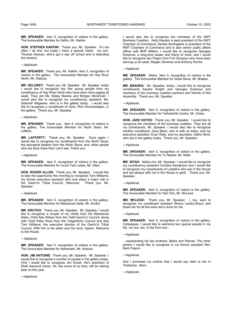**MR. SPEAKER:** Item 5, recognition of visitors in the gallery. The honourable Member for Sahtu, Mr. Kakfwi.

**HON. STEPHEN KAKFWI:** Thank you, Mr. Speaker. It's not often I do this, but today I have a special visitor: my son, Thomas Keenan, who's got a day off school and is attending the session.

# ---Applause

**MR. SPEAKER:** Thank you, Mr. Kakfwi. Item 5, recognition of visitors in the gallery. The honourable Member for Hay River North, Mr. Delorey.

**MR. DELOREY:** Thank you, Mr. Speaker. Mr. Speaker, today I would like to recognize two fine young people from my constituency of Hay River North who have been here paging all week. They are Ms. Bailey Mackie and Morgan Monkman. I would also like to recognize my constituency assistant, Ms. Deborah Mageean, who is in the gallery today. I would also like to recognize a constituent of mine, Rick Groenewegen, in the gallery. Thank you, Mr. Speaker.

#### ---Applause

**MR. SPEAKER:** Thank you. Item 5, recognition of visitors in the gallery. The honourable Member for North Slave, Mr. Lafferty.

**MR. LAFFERTY:** Thank you, Mr. Speaker. Once again, I would like to recognize my constituents from the North Slave; the aboriginal leaders from the North Slave; and, other people who are back there that I can't see. Thank you.

---Applause

**MR. SPEAKER:** Item 5, recognition of visitors in the gallery. The honourable Member for Inuvik Twin Lakes, Mr. Allen.

**HON. ROGER ALLEN:** Thank you, Mr. Speaker. I would like to take the opportunity this morning to recognize Tom Williams, my former executive assistant who now plays a major role in the Gwich'in Tribal Council. Welcome. Thank you, Mr. Speaker.

#### ---Applause

**MR. SPEAKER:** Item 5, recognition of visitors in the gallery. The honourable Member for Mackenzie Delta, Mr. Krutko.

**MR. KRUTKO:** Thank you, Mr. Speaker. Mr. Speaker, I would like to recognize a couple of my chiefs from the Mackenzie Delta; Chief Abe Wilson from the Tetlit Gwich'in Council, along with Chief Peter Ross from the Tsiigehtchic Council and also Tom Williams, the executive director of the Gwich'in Tribal Council. With him is his sister and his mom, Agnes. Welcome to the House.

---Applause

**MR. SPEAKER:** Item 5, recognition of visitors in the gallery. The honourable Member for Nahendeh, Mr. Antoine.

**HON. JIM ANTOINE:** Thank you, Mr. Speaker. Mr. Speaker, I would like to recognize a number of people in the gallery today. First I would like to recognize Jim Excell. He's president of Ekati diamond mines. He, like some of us here, will be retiring later on this year.

---Applause

I would also like to recognize the members of the NWT Business Coalition. Kelly Hayden is past president of the NWT Chamber of Commerce; Denise Burlingame is president of the NWT Chamber of Commerce and is also senior public affairs officer with BHP Billiton; I would like to recognize Georges Erasmus, a long-time leader and friend of mine; and I would like to recognize two Pages from Fort Simpson who have been serving us all week, Megan Okrainec and Anthony Roche.

#### ---Applause

**MR. SPEAKER:** Mahsi. Item 5, recognition of visitors in the gallery. The honourable Member for Great Slave, Mr. Braden.

**MR. BRADEN:** Mr. Speaker, today I would like to recognize constituents Sandra Knight and Georges Erasmus and members of the business coalition partners and friends of this Assembly. Thank you, Mr. Speaker.

#### ---Applause

**MR. SPEAKER:** Item 5, recognition of visitors in the gallery. The honourable Member for Yellowknife Centre, Mr. Ootes.

**HON. JAKE OOTES:** Thank you, Mr. Speaker. I would like to recognize the members of the business coalition. They are all my constituents, Mr. Speaker. I would also like to recognize another constituent, Gary Black, who is with us today, and my executive assistant, Evan Walz, and my secretary, Kathy Wind, who are in the gallery today. Thank you, Mr. Speaker.

#### ---Applause

**MR. SPEAKER:** Item 5, recognition of visitors in the gallery. The honourable Member for Tu Nedhe, Mr. Nitah.

**MR. NITAH:** Mahsi cho, Mr. Speaker. I would like to recognize my constituency assistant Caroline Sanderson and I would like to recognize my constituents of Lutselk'e who are in the House and are always with me in the House in spirit. Thank you, Mr. Speaker.

#### ---Applause

**MR. SPEAKER:** Item 5, recognition of visitors in the gallery. The honourable Member for Deh Cho, Mr. McLeod.

**MR. MCLEOD:** Thank you, Mr. Speaker. I, too, want to recognize my constituent assistant Sherry Landry-Braun and thank her for all the work she's done for me.

## ---Applause

**MR. SPEAKER:** Item 5, recognition of visitors in the gallery. Colleagues, I would like to welcome two special people in my life, my son, Ian, in the front row…

---Applause

…representing his two brothers, Blaire and Warren. The other person I would like to recognize is my former assistant Mrs. Barb Paquin.

---Applause

And I promised my mother that I would say hello to her in Thebacha. Mom.

---Applause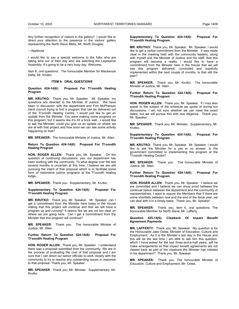Any further recognition of visitors in the gallery? I would like to direct your attention to the presence in the visitors' gallery representing the North Slave Metis, Mr. North Douglas.

---Applause

I would like to say a special welcome to the folks who are taking time out of their day who are watching the Legislative Assembly. It's going to be a very busy day. Welcome.

Item 6, oral questions. The honourable Member for Mackenzie Delta, Mr. Krutko.

# **ITEM 6: ORAL QUESTIONS**

**Question 424-14(6): Proposal For Tl'oondih Healing Program** 

**MR. KRUTKO:** Thank you, Mr. Speaker. Mr. Speaker, my questions are directed to the Minister of Justice. We have been in discussion with the department and Fort McPherson band council trying to find a program that can be delivered out of the Tl'oondih Healing Centre. I would just like to get an update from the Minister. You were making some progress on this program, but it seems like it's hit a brick wall. I would like to ask the Minister, could you give us an update on where we are at with that project and how soon we can see some activity happening on that?

**MR. SPEAKER:** The honourable Minister of Justice, Mr. Allen.

#### **Return To Question 424-14(6): Proposal For Tl'oondih Healing Program**

**HON. ROGER ALLEN:** Thank you, Mr. Speaker. On the question of continuing discussions, yes, our department has been working with the community. To what degree over the last several months is uncertain at this time. I believe we are still pursuing the intent of that proposal which is to facilitate some form of restorative justice programs at the Tl'oondih healing lodge.

**MR. SPEAKER:** Thank you. Supplementary, Mr. Krutko.

**Supplementary To Question 424-14(6): Proposal For Tl'oondih Healing Program** 

**MR. KRUTKO:** Thank you, Mr. Speaker. Mr. Speaker, can I get a commitment from the Minister here today in the House stating that this project will continue and that we will have a program up and running? It seems like we are not too clear on where we are going here. Can I get a commitment from the Minister that this program will continue?

**MR. SPEAKER:** Thank you. The honourable Minister of Justice, Mr. Allen.

**Further Return To Question 424-14(6): Proposal For Tl'oondih Healing Program** 

**HON. ROGER ALLEN:** Thank you, Mr. Speaker. I understand there was a proposal submitted from the community. We are in the process of evaluating the cost of that proposal and I am sure that I can direct our senior officials to work closely with the community to try to resolve any outstanding issues in response to that proposal. Thank you, Mr. Speaker.

**MR. SPEAKER**: Thank you, Mr. Minister. Supplementary, Mr. Krutko.

# **Supplementary To Question 424-14(6): Proposal For Tl'oondih Healing Program**

**MR. KRUTKO:** Thank you, Mr. Speaker. Mr. Speaker, I would like to get a verbal commitment from the Minister. It was made clear in the meeting held with the community leaders, along with myself and the Minister of Justice and his staff, that this program will become a reality. I would like to have a commitment from the Minister here in the House that we will see this program delivered, concluded and hopefully implemented within the next couple of months. Is that still the plan?

**MR. SPEAKER:** Thank you, Mr. Krutko. The honourable Minister of Justice, Mr. Allen.

#### **Further Return To Question 424-14(6): Proposal For Tl'oondih Healing Program**

**HON. ROGER ALLEN:** Thank you, Mr. Speaker. If I may also speak to the subject of the schedule we spoke of during our discussions, I am not sure whether we can meet the exact dates, but we will pursue this with due diligence. Thank you, Mr. Speaker.

**MR. SPEAKER:** Thank you, Mr. Minister. Supplementary, Mr. Krutko.

**Supplementary To Question 424-14(6): Proposal For Tl'oondih Healing Program** 

**MR. KRUTKO:** Thank you, Mr. Speaker. Mr. Speaker, I would like to ask the Minister for a yes or no answer. Is the government committed to implementing this program at the Tl'oondih Healing Centre?

**MR. SPEAKER:** Thank you. The honourable Minister of Justice, Mr. Allen.

#### **Further Return To Question 424-14(6): Proposal For Tl'oondih Healing Program**

**HON. ROGER ALLEN:** Thank you, Mr. Speaker. I believe we are committed and I believe we can show proof between the continual liaison between the department and the community of representatives. I want to assure the Members that if there are some shortfalls between now and the end of the fiscal year, we can deal with it in a timely basis. Thank you, Mr. Speaker.

**MR. SPEAKER:** Thank you. Item 6, oral questions. The honourable Member for North Slave, Mr. Lafferty.

#### **Question 425-14(6): Clawback Of Impact Benefit Agreement Payments**

**MR. LAFFERTY:** Thank you, Mr. Speaker. My question is for the Honourable Jake Ootes, Minister of Education, Culture and Employment. As it is the Minister's last day in the House and this will be the last time I am able to ask him this question, which I have asked for the last three-and-a-half years, will he make arrangements so that impact benefit agreements are not clawed back as part of the clawback the Minister has initiated in his department? Thank you, Mr. Speaker.

**MR. SPEAKER:** Thank you. The honourable Minister of Education, Culture and Employment, Mr. Ootes.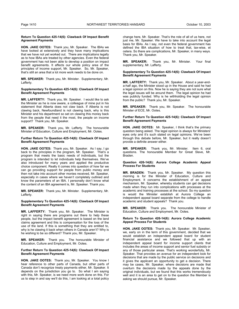#### **Return To Question 425-14(6): Clawback Of Impact Benefit Agreement Payments**

**HON. JAKE OOTES:** Thank you, Mr. Speaker. The IBAs we have looked at extensively and they have many implications that we have not yet worked out. There are implications legally as to how IBAs are treated by other agencies. Even the federal government has not been able to develop a position on impact benefit agreements. It affects our whole policy area of the principles of income support, Mr. Speaker. So, Mr. Speaker, that's still an area that a lot more work needs to be done on.

**MR. SPEAKER:** Thank you, Mr. Minister. Supplementary, Mr. Lafferty.

#### **Supplementary To Question 425-14(6): Clawback Of Impact Benefit Agreement Payments**

**MR. LAFFERTY:** Thank you, Mr. Speaker. I would like to ask the Minister as he is now aware, a colleague of mine put in his statement that Alberta does not claw back. If Alberta is not clawing back, Newfoundland is not clawing back, why is this Minister and his department so set on clawing this money back from the people that need it the most, the people on income support? Thank you, Mr. Speaker.

**MR. SPEAKER:** Thank you, Mr. Lafferty. The honourable Minister of Education, Culture and Employment, Mr. Ootes.

### **Further Return To Question 425-14(6): Clawback Of Impact Benefit Agreement Payments**

**HON. JAKE OOTES:** Thank you, Mr. Speaker. As I say, I go back to the principles in the program, Mr. Speaker. That's a program that meets the basic needs of individuals, but the program is intended to let individuals help themselves. We've also introduced for many years and applied the productive choice component. Really it comes into question of how far we can go providing support for people from public money and then not take into account other monies received, Mr. Speaker, especially in cases where we haven't completely outlined and know the parameters of an IBA. I personally don't know what the content of an IBA agreement is, Mr. Speaker. Thank you.

**MR. SPEAKER:** Thank you, Mr. Minister. Supplementary, Mr. Lafferty.

# **Supplementary To Question 425-14(6): Clawback Of Impact Benefit Agreement Payments**

**MR. LAFFERTY:** Thank you, Mr. Speaker. The Minister is right in saying there are programs out there to help these people, but the impact benefit agreement is based on the land claims agreement and this is compensation for the loss of the use of the land. If this is something that they are entitled to, why is he clawing it back when others in Canada aren't? Why is he wishing to be so different? Thank you, Mr. Speaker.

**MR. SPEAKER:** Thank you. The honourable Minister of Education, Culture and Employment, Mr. Ootes.

#### **Further Return To Question 425-14(6): Clawback Of Impact Benefit Agreement Payments**

**HON. JAKE OOTES:** Thank you, Mr. Speaker. You know I hear reference to other parts of Canada, but other parts of Canada don't recognize treaty payments either, Mr. Speaker. It depends on the jurisdiction you go to. So what I am saying with this, Mr. Speaker, is we need more work done on this. For us to step in and say we'll do this, I am looking at a total policy

change here, Mr. Speaker. That's the role of all of us here, not just me, Mr. Speaker. We have to take into account the legal basis for IBAs. As I say, not even the federal government has defined the IBA situation of how to treat that, tax-wise, et cetera. So there are complications, Mr. Speaker, in many ways. Thank you, Mr. Speaker.

**MR. SPEAKER:** Thank you, Mr. Minister. Your final supplementary, Mr. Lafferty.

#### **Supplementary To Question 425-14(6): Clawback Of Impact Benefit Agreement Payments**

**MR. LAFFERTY:** Thank you, Mr. Speaker. About a year-anda-half ago, the Minister stood up in the House and said he had a legal opinion on this. Now he is saying they are not sure what the legal issues will be around them. The legal opinion he had was publicly funded. Why is he withholding the legal opinion from the public? Thank you, Mr. Speaker.

**MR. SPEAKER:** Thank you, Mr. Speaker. The honourable Minister of ECE, Mr. Ootes.

## **Further Return To Question 425-14(6): Clawback Of Impact Benefit Agreement Payments**

**HON. JAKE OOTES:** Mr. Speaker, I think that's the primary question being asked. The legal opinion is always for Ministers' eyes only and it's such stated on legal opinions. We've been through this debate before, Mr. Speaker, but it really doesn't provide a definite answer either.

**MR. SPEAKER:** Thank you, Mr. Minister. Item 6, oral questions. The honourable Member for Great Slave, Mr. Braden.

#### **Question 426-14(6): Aurora College Academic Appeal Process For Students**

**MR. BRADEN:** Thank you, Mr. Speaker. My question this morning is for the Minister of Education, Culture and Employment. It concerns the establishment of an appeal mechanism, Mr. Speaker, whereby students can get decisions made when they run into complications with processes at the academic and training processes at the school. So my question is would the Minister establish at Aurora College an independent appeal board separate from the college to handle academic and student appeals? Thank you.

**MR. SPEAKER:** Thank you. The honourable Minister of Education, Culture and Employment, Mr. Ootes.

#### **Return To Question 426-14(6): Aurora College Academic Appeal Process For Students**

**HON. JAKE OOTES:** Thank you, Mr. Speaker. Mr. Speaker, we, early on in the term of this government, decided that we would establish an independent appeal board for student financial assistance and we followed that up with an independent appeal board for income support clients that includes the areas of income support and senior fuel subsidy or any of those particular areas. That's working wonderfully, Mr. Speaker. That provides an avenue for an independent look for decisions that are made by the public service on decisions and it gives the applicant an opportunity to get a decision. There may be cases, Mr. Speaker, where decisions are made that overturn the decisions made by the appeals done by the original individuals, but we found that this works tremendously well and it is an area to get on to the question the Member is asking we should pursue, Mr. Speaker.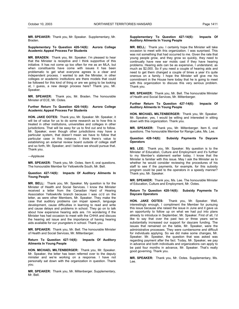**MR. SPEAKER:** Thank you, Mr. Speaker. Supplementary, Mr. Braden.

# **Supplementary To Question 426-14(6): Aurora College Academic Appeal Process For Students**

**MR. BRADEN:** Thank you, Mr. Speaker. I'm pleased to hear that the Minister is receptive and I think supportive of this initiative. It has not come up too often for me as an MLA, but when constituents have come with issues it has been problematic to get what everyone agrees is a clear and independent process. I wanted to ask the Minister, in other colleges or academic institutions are there models that could be followed for this kind of thing or are we going to be looking at, I guess, a new design process here? Thank you, Mr. Speaker.

**MR. SPEAKER:** Thank you, Mr. Braden. The honourable Minister of ECE, Mr. Ootes.

# **Further Return To Question 426-14(6): Aurora College Academic Appeal Process For Students**

**HON. JAKE OOTES:** Thank you, Mr. Speaker. Mr. Speaker, it will be of value for us to do some research as to how this is treated in other institutions, universities and colleges in other jurisdictions. That will be easy for us to find out and to follow. Mr. Speaker, even though other jurisdictions may have a particular system, that doesn't mean we have to follow that particular case in this instance. I think there's value to establishing an external review board outside of college staff and so forth, Mr. Speaker, and I believe we should pursue that. Thank you.

# ---Applause

**MR. SPEAKER:** Thank you, Mr. Ootes. Item 6, oral questions. The honourable Member for Yellowknife South, Mr. Bell.

#### **Question 427-14(6): Impacts Of Auditory Ailments In Young People**

**MR. BELL:** Thank you, Mr. Speaker. My question is for the Minister of Health and Social Services. I know the Minister received a letter from the Canadian Hard of Hearing Association Yellowknife branch because I was cc'd on the letter, as were other Members, Mr. Speaker. They make the case that auditory problems can impair speech, language development, cause difficulties in learning to read and write and cause delays and problems in school. They go on to talk about how expensive hearing aids are. I'm wondering if the Minister has had occasion to meet with the CHHA and discuss the hearing aid issue and the importance of having hearing aids available for our youngsters in school. Thank you.

**MR. SPEAKER:** Thank you, Mr. Bell. The honourable Minister of Health and Social Services, Mr. Miltenberger.

**Return To Question 427-14(6): Impacts Of Auditory Ailments In Young People** 

**HON. MICHAEL MILTENBERGER:** Thank you, Mr. Speaker. Mr. Speaker, the letter has been referred over to the deputy minister and we're working on a response. I have not personally sat down with the organization in question. Thank you.

**MR. SPEAKER:** Thank you, Mr. Miltenberger. Supplementary, Mr. Bell.

#### **Supplementary To Question 427-14(6): Impacts Of Auditory Ailments In Young People**

**MR. BELL:** Thank you. I certainly hope the Minister will take occasion to meet with this organization. I was surprised. This was not something that had occurred to me. Given the rate that young people grow, and they grow so quickly, they need to continually have new ear molds cast if they have hearing problems. Hearing aids can be as expensive, I understand, as much as \$2,000. So if you need a couple of hearing aids and need to get them changed a couple of times a year it's quite onerous on a family. I hope the Minister will give me his commitment in the House here today that he is going to meet with this organization to discuss this very serious problem. Thank you.

**MR. SPEAKER:** Thank you, Mr. Bell. The honourable Minister of Health and Social Services, Mr. Miltenberger.

#### **Further Return To Question 427-14(6): Impacts Of Auditory Ailments In Young People**

**HON. MICHAEL MILTENBERGER:** Thank you, Mr. Speaker. Mr. Speaker, yes, I would be willing and interested in sitting down with this organization. Thank you.

**MR. SPEAKER:** Thank you, Mr. Miltenberger. Item 6, oral questions. The honourable Member for Range Lake, Ms. Lee.

#### **Question 428-14(6): Subsidy Payments To Daycare Operators**

**MS. LEE:** Thank you, Mr. Speaker. My question is to the Minister of Education, Culture and Employment and it's further to my Member's statement earlier today. I know that the Minister is familiar with this issue. May I ask the Minister as to whether he would consider reviewing the procedures of his staff to see if the payments, for example, for this subsidy program could be paid to the operators in a speedy manner? Thank you, Mr. Speaker.

**MR. SPEAKER:** Thank you, Ms. Lee. The honourable Minister of Education, Culture and Employment, Mr. Ootes.

## **Return To Question 428-14(6): Subsidy Payments To Daycare Operators**

**HON. JAKE OOTES:** Thank you, Mr. Speaker. Well, interestingly enough, I compliment the Member for pursuing this issue because she raised the issue in June and it gave us an opportunity to follow up on what we had put into plans already to introduce in September, Mr. Speaker. First of all, I'd like to say that over the past two or three years we've substantially increased our support for daycare funding. The issues that remained on the table, Mr. Speaker, were the administrative processes. They were cumbersome and difficult for individuals applying. So we did make some changes, Mr. Speaker. Mr. Speaker, the question that was asked was regarding payment after the fact. Today, Mr. Speaker, we pay in advance and both individuals and organizations can apply to be paid four months in advance, Mr. Speaker. That's really good governing. Thank you.

**MR. SPEAKER:** Thank you, Mr. Ootes. Supplementary, Ms. Lee.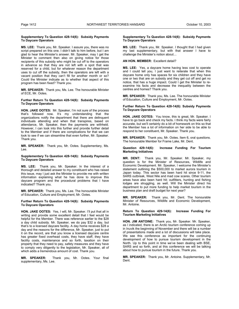#### **Supplementary To Question 428-14(6): Subsidy Payments To Daycare Operators**

**MS. LEE:** Thank you, Mr. Speaker. I assure you, there was no script prepared on this one. I didn't talk to him before, but I am glad to hear the Minister's answer. Mr. Speaker, may I get the Minister to comment then also on giving notice for those recipients of this subsidy who might be cut off to the operators in advance so that they are not left with a spot that was reserved for a child, but for whatever reason the department uses to cut off the subsidy, then the operators are left with a vacant position that they can't fill for another month or so? Could the Minister indicate as to whether that aspect of this program has been fixed? Thank you.

**MR. SPEAKER:** Thank you, Ms. Lee. The honourable Minister of ECE, Mr. Ootes.

## **Further Return To Question 428-14(6): Subsidy Payments To Daycare Operators**

**HON. JAKE OOTES:** Mr. Speaker, I'm not sure of the process that's followed now. It's my understanding that the organizations notify the department that there are delinquent individuals attending and when that transpires, based on attendance, Mr. Speaker, then the payments are withheld. However, I can look into this further and provide further detail to the Member and if there are complications for that we can look to see if we can streamline that even further, Mr. Speaker. Thank you.

**MR. SPEAKER:** Thank you, Mr. Ootes. Supplementary, Ms. Lee.

#### **Supplementary To Question 428-14(6): Subsidy Payments To Daycare Operators**

**MS. LEE:** Thank you, Mr. Speaker. In the interest of a thorough and detailed answer to my constituent who has raised this issue, may I just ask the Minister to provide me with written information explaining what he has done to improve this daycare program and the procedural problems that I have indicated? Thank you.

**MR. SPEAKER:** Thank you, Ms. Lee. The honourable Minister of Education, Culture and Employment, Mr. Ootes.

### **Further Return To Question 428-14(6): Subsidy Payments To Daycare Operators**

**HON. JAKE OOTES:** Yes, I will, Mr. Speaker. I'll put that all in writing and provide some excellent detail that I feel would be helpful for the Member. There was reference earlier to the \$28 a day child subsidy. Mr. Speaker, we do pay \$32 a day, but that's to a licensed daycare facility. A day home receives \$28 a day and the reasons for the difference, Mr. Speaker, just to put it on the record, are that you know a licensed daycare centre has greater fixed overhead costs, they have staff, they have facility costs, maintenance and so forth, taxation on their property that they need to pay, safety measures and they have to comply very diligently to the legislation, Mr. Speaker, all of which adds a tremendous amount of cost. Thank you.

**MR. SPEAKER:** Thank you, Mr. Ootes. Your final supplementary, Ms. Lee.

#### **Supplementary To Question 428-14(6): Subsidy Payments To Daycare Operators**

**MS. LEE:** Thank you, Mr. Speaker. I thought that I had given my last supplementary, but with that answer I have to challenge the Minister's notion about…

# **AN HON. MEMBER:** Excellent detail?

**MS. LEE:** Yes, a daycare home having less cost to operate and I could tell you, I just want to reiterate that when this daycare home only has spaces for six children and they have one or two that are on subsidy and they get cut off and get no notice, that has a huge impact. Could I get the Minister to reexamine his facts and decrease the inequality between the centres and homes? Thank you.

**MR. SPEAKER:** Thank you, Ms. Lee. The honourable Minister of Education, Culture and Employment, Mr. Ootes.

#### **Further Return To Question 428-14(6): Subsidy Payments To Daycare Operators**

**HON. JAKE OOTES:** You know, this is great, Mr. Speaker. I have to go back and check my facts. I think my facts were fairly accurate, but we'll certainly do a bit of homework on this so that the Member has a lot of information on her side to be able to respond to her constituent, Mr. Speaker. Thank you.

**MR. SPEAKER:** Thank you, Mr. Ootes. Item 6, oral questions. The honourable Member for Frame Lake, Mr. Dent.

### **Question 429-14(6): Increase Funding For Tourism Marketing Initiatives**

**MR. DENT:** Thank you, Mr. Speaker. Mr. Speaker, my question is for the Minister of Resources, Wildlife and Economic Development. Mr. Speaker, I welcome the Minister's statement outlining the \$500,000 to market aurora tourism in Japan today. This sector has been hard hit since 9-11, the SARS outbreak, West Nile and mad cow scares. Other tourism areas have also been hard hit; outfitters, hunting and fishing lodges are struggling, as well. Will the Minister direct his department to put more funding to help market tourism in the business plan and draft budget for next year?

**MR. SPEAKER:** Thank you, Mr. Dent. The honourable Minister of Resources, Wildlife and Economic Development, Mr. Antoine.

# **Return To Question 429-14(6): Increase Funding For Tourism Marketing Initiatives**

**HON. JIM ANTOINE:** Thank you, Mr. Speaker. Mr. Speaker, as I indicated, there is an Arctic tourism conference coming up in Inuvik the beginning of November and there will be a number of presentations made and a lot of discussions will take place. We see this conference as important for the continuing development of how to pursue tourism development in the North. Up to this point in time we've been dealing with BSE, SARS and so forth, and at this conference we will be talking about how to pursue tourism in the future. Thank you.

**MR. SPEAKER:** Thank you, Mr. Antoine. Supplementary, Mr. Dent.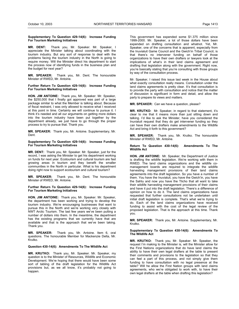#### **Supplementary To Question 429-14(6): Increase Funding For Tourism Marketing Initiatives**

**MR. DENT:** Thank you, Mr. Speaker. Mr. Speaker, I appreciate the Minister talking about coordinating with the tourism industry. But any sort of response to deal with the problems facing the tourism industry in the North is going to require money. Will the Minister direct his department to start the process now of identifying funds in the business plan and the budget for next year?

**MR. SPEAKER:** Thank you, Mr. Dent. The honourable Minister of RWED, Mr. Antoine.

# **Further Return To Question 429-14(6): Increase Funding For Tourism Marketing Initiatives**

**HON. JIM ANTOINE:** Thank you, Mr. Speaker. Mr. Speaker, the \$250,000 that I finally got approved was part of a large package similar to what the Member is talking about. Because of fiscal restraint, I was only allowed to receive what I received at this point in time. Certainly we will continue to pursue it. I think it's needed and all our arguments on getting more dollars into the tourism industry have been put together by the department already, we just have to go through the proper process to try to pursue that. Thank you.

**MR. SPEAKER:** Thank you, Mr. Antoine. Supplementary, Mr. Dent.

#### **Supplementary To Question 429-14(6): Increase Funding For Tourism Marketing Initiatives**

**MR. DENT:** Thank you, Mr. Speaker. Mr. Speaker, just for the record, I was asking the Minister to get his department working on funds for next year. Ecotourism and cultural tourism are fast growing areas in tourism and they benefit the smaller communities in the North in particular. What is his department doing right now to support ecotourism and cultural tourism?

**MR. SPEAKER:** Thank you, Mr. Dent. The honourable Minister of RWED, Mr. Antoine.

#### **Further Return To Question 429-14(6): Increase Funding For Tourism Marketing Initiatives**

**HON. JIM ANTOINE:** Thank you, Mr. Speaker. Mr. Speaker, the department has been working and trying to develop the tourism industry. We're encouraging businesses that want to pursue this in the North and we're working very closely with NWT Arctic Tourism. The last few years we've been putting a number of dollars into them. In the meantime, the department has the existing programs that we currently have that are available and that is the approach that we've been taking. Thank you.

**MR. SPEAKER:** Thank you, Mr. Antoine. Item 6, oral questions. The honourable Member for Mackenzie Delta, Mr. Krutko.

# **Question 430-14(6): Amendments To The Wildlife Act**

**MR. KRUTKO:** Thank you, Mr. Speaker. Mr. Speaker, my question is to the Minister of Resources, Wildlife and Economic Development. We're hoping that there would have been some sort of tabling of the draft legislation for the Wildlife Act provisions but, as we all know, it's probably not going to happen.

This government has expended some \$1.375 million since 1999-2000. Mr. Speaker, a lot of those dollars have been expended on drafting consultation and whatnot. Yet, Mr. Speaker, one of the concerns that is apparent, especially from the Inuvialuit Game Council and the Gwich'in Tribal Council, is that there's no intervener funding on behalf of those organizations to have their own drafters or lawyers look at the implications of what's in their land claims agreement and drafting that legislation along with the government. Right now, you're basically stating that you're consulting with those groups by way of the consultation process.

Mr. Speaker, I raised this issue last week in the House about what exactly consultation really means. Consultation under the land claims agreements is pretty clear. It's that consultation is to provide the party with consultation and notice that the matter of discussion is significant in form and detail, and allow the party to prepare its views and matters.

**MR. SPEAKER:** Can we have a question, please?

**MR. KRUTKO:** Mr. Speaker, in regard to that statement, it's clear to me that it means more than just sitting down and talking. I'd like to ask the Minister, have you considered the Inuvialuit request that they do get intervener funding so they can have their own drafters make amendments to the Wildlife Act and bring it forth to this government?

**MR. SPEAKER:** Thank you, Mr. Krutko. The honourable Minister of RWED, Mr. Antoine.

#### **Return To Question 430-14(6): Amendments To The Wildlife Act**

**HON. JIM ANTOINE:** Mr. Speaker, the Department of Justice is drafting the wildlife legislation. We're working with them in RWED. The land claims organizations and the wildlife comanagement boards are required to integrate the wildlife harvesting management provisions of their land claims agreements into the draft legislation. So you have a number of them. You have the Inuvialuit, you have the Gwich'in, you have the Sahtu and now you have the Tlicho that all want to take their wildlife harvesting management provisions of their claims and have it put into the draft legislation. There's a difference of opinion on how to do it. The land claims organizations have requested that further consultations not be undertaken until initial draft legislation is complete. That's what we're trying to do. Each of the land claims organizations have received funding to assist with the cost of the legal review of the proposed legislation. That is the approach at this time. Thank you.

**MR. SPEAKER:** Thank you, Mr. Antoine. Supplementary, Mr. Krutko.

#### **Supplementary To Question 430-14(6): Amendments To The Wildlife Act**

**MR. KRUTKO:** Thank you, Mr. Speaker. Mr. Speaker, the request I'm making to the Minister is, will the Minister allow for the First Nations organizations that do have land claims the ability to have their own legal drafters at the table to present their comments and provisions to the legislation so that they can feel a part of this process, and not simply give them funding to have consultation with no legal presence at the table? Will he allow the First Nation groups with land claims agreements, who we're obligated to work with, to have their own legal drafters at the table when drafting this legislation?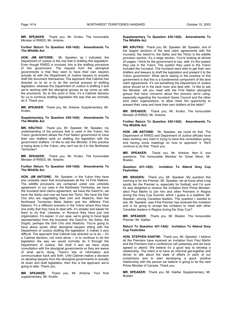**MR. SPEAKER:** Thank you, Mr. Krutko. The honourable Minister of RWED, Mr. Antoine.

# **Further Return To Question 430-14(6): Amendments To The Wildlife Act**

**HON. JIM ANTOINE:** Mr. Speaker, as I indicated, the Department of Justice is the one that is drafting this legislation. Even though RWED is involved, this is the drafting procedure of this government. The request from the aboriginal governments is that they want to have their own lawyers actually sit with the Department of Justice lawyers to actually draft the document themselves. The approach that Cabinet has directed us to do is to do the normal process of drafting legislation, whereas the Department of Justice is drafting it and we're working with the aboriginal groups as we come up with the provisions. So at this point in time, it's a Cabinet decision for us to continue drafting legislation the way that we normally do it. Thank you.

**MR. SPEAKER:** Thank you, Mr. Antoine. Supplementary, Mr. Krutko.

# **Supplementary To Question 430-14(6): Amendments To The Wildlife Act**

**MR. KRUTKO:** Thank you, Mr. Speaker. Mr. Speaker, my understanding of the process that is used in the Yukon, the Yukon government allows the First Nation government to have their own drafters work on drafting the legislation with the government drafters. I'd like to ask the Minister, if this practice is being done in the Yukon, why can't we do it in the Northwest Territories?

**MR. SPEAKER:** Thank you, Mr. Krutko. The honourable Minister of RWED, Mr. Antoine.

# **Further Return To Question 430-14(6): Amendments To The Wildlife Act**

**HON. JIM ANTOINE:** Mr. Speaker, in the Yukon they have one umbrella claim that encompasses all the 14 First Nations. The wildlife provisions are contained under one umbrella agreement. In our case in the Northwest Territories, we have the Inuvialuit land claims agreement, we have the Gwich'in, we have the Sahtu and now we have the Tlicho. We have the Deh Cho who are negotiating their own and Akaitcho, then the Northwest Territories Metis Nation and the different First Nations. It's a different scenario in the Yukon where they have one entity that they have to deal with. It's simpler and easier for them to do that. Likewise, in Nunavut they have just one organization. It's easier. In our case, we're going to have legal representation from the Inuvialuit, the Gwich'in, the Sahtu, the Dogrib, perhaps the Deh Cho and Akaitcho. You're going to have about seven other aboriginal lawyers sitting with the Department of Justice drafting the legislation. It makes it very difficult. The approach that Cabinet has directed us to do -- it's a Cabinet decision, not mine alone -- is to continue to do the legislation the way we would normally do it through the Department of Justice. We draft it and we have close consultation with the aboriginal governments so they are aware of what we're doing. There's lots of information and communication back and forth. Until Cabinet makes a decision on allowing lawyers from the aboriginal governments to actually sit down and draft legislation, then this is the approach we're going to take. Thank you.

**MR. SPEAKER:** Thank you, Mr. Antoine. Your final supplementary, Mr. Krutko.

#### **Supplementary To Question 430-14(6): Amendments To The Wildlife Act**

**MR. KRUTKO:** Thank you, Mr. Speaker. Mr. Speaker, one of the largest sections of the land claim agreements with the Inuvialuit, the Gwich'in, the Sahtu and the Tlicho is the wildlife provision section. It's a large section. You're looking at almost 24 pages. I think for the government to say, well, it's the system they use in the Yukon. The system they used in the Yukon included the Inuvialuit. The Inuvialuit were able to get their own drafters and lawyers to draft the legislation and present it to the Yukon government. What we're seeing in the practice of this government is that this is a fundamental component of the land claim agreements. It's not something the Department of Justice alone should sit in the back room and deal with. I'd like to ask the Minister, will you meet with the First Nation aboriginal groups that have concerns about this process we're using, especially regarding the Inuvialuit Game Council and the other land claim organizations, to allow them the opportunity to present their case and have their own drafters at the table?

**MR. SPEAKER:** Thank you, Mr. Krutko. The honourable Minister of RWED, Mr. Antoine.

#### **Further Return To Question 430-14(6): Amendments To The Wildlife Act**

**HON. JIM ANTOINE:** Mr. Speaker, we could do that. The Department of RWED and Department of Justice officials have been working very hard in trying to have this consultation going and having some meetings on how to approach it. We'll continue to do that. Thank you.

**MR. SPEAKER:** Thank you, Mr. Antoine. Item 6, oral questions. The honourable Member for Great Slave, Mr. Braden.

# **Question 431-14(6): Invitation To Attend Grey Cup Festivities**

**MR. BRADEN:** Thank you, Mr. Speaker. My question this morning is for the Premier. Mr. Speaker, we all know what a big sports fan the Premier is, especially for football, and I'm sure he was delighted to receive the invitation from Prime Ministerelect Paul Martin to join him and other Premiers in Regina during the Grey Cup Summit, which I guess is a tradition, Mr. Speaker, among Canadian leaders. The question I wanted to ask, Mr. Speaker, was if the Premier has received this invitation and is he going to accept the invitation to meet with other Canadian leaders in Regina during the Grey Cup?

**MR. SPEAKER:** Thank you, Mr. Braden. The honourable Premier, Mr. Kakfwi.

#### **Return To Question 431-14(6): Invitation To Attend Grey Cup Festivities**

**HON. STEPHEN KAKFWI:** Thank you, Mr. Speaker. I believe all the Premiers have received an invitation from Paul Martin and the Premiers had a conference call yesterday and we have agreed to attend. We believe it's a good way to develop a relationship. The intent is to have an informal get-together and dinner to talk about the state of affairs in each of our jurisdictions and to start developing a good, positive relationship with the person we believe is going to be the next Prime Minister of Canada. Thank you.

**MR. SPEAKER:** Thank you, Mr. Kakfwi. Supplementary, Mr. Braden.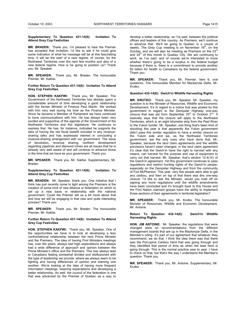# **Supplementary To Question 431-14(6): Invitation To Attend Grey Cup Festivities**

**MR. BRADEN:** Thank you. I'm pleased to hear the Premier has accepted that invitation. I'd like to ask if he could give some indication of what his message will be at this fascinating time. It will be the start of a new regime, of course, for the Northwest Territories over the next few months and also of a new federal regime. How is he going to position us? Thank you, Mr. Speaker.

**MR. SPEAKER:** Thank you, Mr. Braden. The honourable Premier, Mr. Kakfwi.

# **Further Return To Question 431-14(6): Invitation To Attend Grey Cup Festivities**

**HON. STEPHEN KAKFWI:** Thank you, Mr. Speaker. The Government of the Northwest Territories has already spent a considerable amount of time developing a good relationship with the former Minister of Finance Paul Martin. We worked with him very well during his time as the Finance Minister. Since he became a Member of Parliament we have continued to have communications with him. He has always been very excited and supportive of the agenda of the Government of the Northwest Territories and this legislature. He continues to express that. He has, for instance, indicated he supports the idea of having the net fiscal benefit included in any revenuesharing talks and has expressed interest in concluding a revenue-sharing arrangement with our government. The issue of devolution, revenue sharing, northern development regarding pipelines and diamond mines are all issues that he is already very well aware of and will continue to advance those in the time that we have as your government. Thank you.

**MR. SPEAKER:** Thank you, Mr. Kakfwi. Supplementary, Mr. Braden.

# **Supplementary To Question 431-14(6): Invitation To Attend Grey Cup Festivities**

**MR. BRADEN:** Mr. Speaker, thank you. One initiative that I think has just recently come to light among the Premiers is the creation of some kind of new alliance or federation on which to set up a new basis or relationship with the national government. Could the Premier tell us a bit more about that and how we will be engaging in that new and quite interesting process? Thank you.

**MR. SPEAKER:** Thank you, Mr. Braden. The honourable Premier, Mr. Kakfwi.

#### **Further Return To Question 431-14(6): Invitation To Attend Grey Cup Festivities**

**HON. STEPHEN KAKFWI:** Thank you, Mr. Speaker. One of the opportunities we have is to look at developing a less confrontational relationship between the next Prime Minister and the Premiers. The idea of having First Ministers meetings has, over the years, always had high expectations and always had a wide difference of approach and opinion between the Prime Minister's office and the Premiers. This has always lead to Canadians feeling somewhat divided and disillusioned with the type of leadership we provide, where we always seem to be fighting and having differences of opinion and blaming one another. We're looking at the idea of having more frequent information meetings, lowering expectations and developing a better relationship. As well, the council of the federation is one that was advanced by the Premier of Quebec as a way to

develop a better relationship, as I've said, between the political offices and leaders of this country. As Premiers, we'll continue to advance that. We'll be going to Quebec in a couple of weeks. The Grey Cup meeting is on November 16<sup>th</sup>, on the Sunday, and we will also be meeting as Premiers on the  $23<sup>rd</sup>$ and  $24<sup>th</sup>$  of this month in Quebec City. We are continuing to work, as I've said, and of course we're interested to know whether there's going to be a surplus in the federal budget because if there is, there is a commitment to provide another \$2 billion for health to Canadians by the federal government. Thank you.

**MR. SPEAKER:** Thank you, Mr. Premier. Item 6, oral questions. The honourable Member for Mackenzie Delta, Mr. Krutko.

#### **Question 432-14(6): Gwich'in Wildlife Harvesting Rights**

**MR. KRUTKO:** Thank you, Mr. Speaker. Mr. Speaker, my question is to the Minister of Resources, Wildlife and Economic Development. It's in regard to a notice that was posted by this government in regard to the Dempster Highway one-way closure that was set from September  $25<sup>th</sup>$  to October  $2<sup>nd</sup>$ . It basically says that the closure will apply to the Northwest Territories, which is an eight kilometre strip from the Peel River to the Yukon border. Mr. Speaker, one thing that's been kind of shocking this year is that apparently the Yukon government didn't pass this similar regulation to have a similar closure on the Yukon side and we, as the Northwest Territories government, are the only ones who have done that. Mr. Speaker, because the land claim agreements and the wildlife provisions haven't been changed, in the land claim agreement it's clear that the Gwich'in have the right to harvest with any means, can harvest for the purpose and use of equipment to carry out that harvest. Mr. Speaker, that's section 12.4(14) of the Gwich'in agreement. Yet this government continues to pass regulations and restrict hunting rights of the Gwich'in people, especially on the Dempster Highway and from the community of Fort McPherson. This year, very few people were able to get any caribou, and then on top of that there was this one-way closure. I'd like to ask the Minister, would you hold off on signing any more regulations until the wildlife amendments have been concluded and it's brought back to this House and the First Nation claimant groups have the ability to implement those sections of their agreements in territorial legislation?

**MR. SPEAKER:** Thank you, Mr. Krutko. The honourable Minister of Resources, Wildlife and Economic Development, Mr. Antoine.

#### **Return To Question 432-14(6): Gwich'in Wildlife Harvesting Rights**

**HON. JIM ANTOINE:** Mr. Speaker, the regulations that were changed were on recommendations from the different management boards that are up in the Mackenzie Delta, in the Member's riding. It's part of our agreement that whatever they recommend, we do that. I think the idea there was that there was the Porcupine Caribou Herd that was going through and they identified that period of time as when the lead herd is going through. This is the normal practice year to year. I have to check on that, but that's the way I understand the Member's question. Thank you.

**MR. SPEAKER:** Thank you, Mr. Antoine. Supplementary, Mr. Krutko.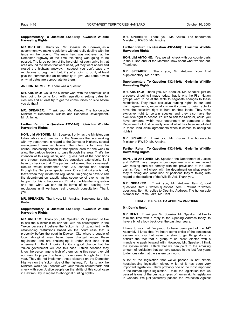#### **Supplementary To Question 432-14(6): Gwich'in Wildlife Harvesting Rights**

**MR. KRUTKO:** Thank you, Mr. Speaker. Mr. Speaker, as a government we make regulations without really dealing with the issue on the ground. The main herd was not even at the Dempster Highway at the time this thing was going to be passed. The large portion of the herd did not even arrive in that area around the dates that were used, yet they went ahead and closed the highway anyway. I suggest you don't pass any regulations to begin with but, if you're going to do it, at least give the communities an opportunity to give you some advice on what dates are appropriate for them.

# **AN HON. MEMBER:** There was a question.

**MR. KRUTKO:** Could the Minister work with the communities if he's going to come forth with regulations setting dates for closures and at least try to get the communities on side before you do that?

**MR. SPEAKER:** Thank you, Mr. Krutko. The honourable Minister of Resources, Wildlife and Economic Development, Mr. Antoine.

# **Further Return To Question 432-14(6): Gwich'in Wildlife Harvesting Rights**

**HON. JIM ANTOINE:** Mr. Speaker, I only, as the Minister, can follow advice and direction of the Members that are working with my department in regard to the Dempster Highway special management area regulations. The intent is to close the caribou harvesting season in that special area for one week to allow the caribou leaders to pass through the area. That's the intention of this regulation, and I guess part of the conditions and through consultation they've consulted extensively. So I have to check on that. The parties had agreed that a one-week closure would commence once 200 caribou had passed through the Dempster special area. Once that criteria is met, that's when they initiate this regulation. I'm going to have to ask the department on exactly what sequence of events has to happen for this to happen and I'll take the Member's question and see what we can do in terms of not passing any regulations until we have real thorough consultation. Thank you.

**MR. SPEAKER:** Thank you, Mr. Antoine. Supplementary, Mr. Krutko.

#### **Supplementary To Question 432-14(6): Gwich'in Wildlife Harvesting Rights**

**MR. KRUTKO:** Thank you, Mr. Speaker. Mr. Speaker, I'd like to ask the Minister if he can talk with his counterparts in the Yukon because I believe the Yukon is not going forth with establishing restrictions based on the court case that is presently before the court in Dawson City where a couple of local aboriginal men have been charged under these regulations and are challenging it under their land claim agreement. I think it looks like it's a good chance that the Yukon government will lose this case. I think because they know the percentage is high of them losing this case, they did not want to jeopardize having more cases brought forth this year. They did not implement these closures on the Dempster Highway on the Yukon side of the highway. I'd like to ask the Minister, would you consult with your Yukon counterparts and check with your Justice people on the ability of this court case in Dawson City in regard to aboriginal hunting rights?

**MR. SPEAKER:** Thank you, Mr. Krutko. The honourable Minister of RWED, Mr. Antoine.

## **Further Return To Question 432-14(6): Gwich'in Wildlife Harvesting Rights**

**HON. JIM ANTOINE:** Yes, we will check with our counterparts in the Yukon and let the Member know about what we find out. Thank you.

**MR. SPEAKER:** Thank you, Mr. Antoine. Your final supplementary, Mr. Krutko.

## **Supplementary To Question 432-14(6): Gwich'in Wildlife Harvesting Rights**

**MR. KRUTKO:** Thank you, Mr. Speaker. Mr. Speaker, just on a couple of points I made today, that is why the First Nation groups want to be at the table to negotiate changes to these restrictions. They have exclusive hunting rights in our land claim agreements, especially when it comes to being able to have the exclusive right to hunt on their lands. They have exclusive right to certain species and they also have the exclusive right to access. I'd like to ask the Minister, could you have someone within your department or someone at the Department of Justice really look at what has been negotiated in these land claim agreements when it comes to aboriginal rights?

**MR. SPEAKER:** Thank you, Mr. Krutko. The honourable Minister of RWED, Mr. Antoine.

# **Further Return To Question 432-14(6): Gwich'in Wildlife Harvesting Rights**

**HON. JIM ANTOINE:** Mr. Speaker, the Department of Justice and RWED have people in our departments who are tasked with making sure we comply with the provisions of the land claims. Yes, I will check with the department on what exactly they're doing and what kind of positions they're taking with regard to the drafting of the Wildlife Act. Thank you.

**MR. SPEAKER:** Thank you, Mr. Antoine. Item 6, oral questions. Item 7, written questions. Item 8, returns to written questions. Item 9, replies to Opening Address. The honourable Member for Frame Lake, Mr. Dent.

#### **ITEM 9: REPLIES TO OPENING ADDRESS**

#### **Mr. Dent's Reply**

**MR. DENT:** Thank you, Mr. Speaker. Mr. Speaker, I'd like to take the time with a reply to the Opening Address today, to have a bit of a look back over the past four years.

I have to say that I'm proud to have been part of the  $14<sup>th</sup>$ Assembly. I know that I've heard some critics of the consensus system who say that we're too slow to get things done or criticize the fact that a group of us aren't elected with a mandate to push forward with. However, Mr. Speaker, I think the system works. I think that we can point to the amazing amount of legislation that we have passed in the last four years to demonstrate that the system can work.

A lot of the legislation that we've passed is not simple housekeeping legislation either. A lot of it has been very important legislation. I think probably one of the most important is the human rights legislation. I think the legislation that we passed is one of the best examples of human rights legislation in Canada. We just yesterday passed the Protection Against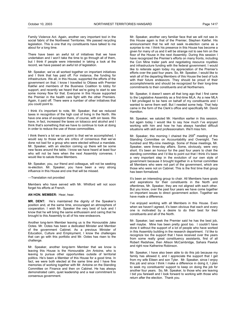Family Violence Act. Again, another very important tool in the social fabric of the Northwest Territories. We passed recycling legislation. This is one that my constituents have talked to me about for a long time.

There have been an awful lot of initiatives that we have undertaken and I won't take the time to go through all of them, but I think if people were interested in taking a look at the record, we have passed an awful lot of legislation.

Mr. Speaker, we've all worked together on important initiatives and I think that has paid off. For instance, the funding for infrastructure. We all, in this House, supported the efforts of the government on that. I know I travelled to Ottawa with Premier Kakfwi and members of the Business Coalition to lobby for support, and recently we heard that we're going to start to see some money flow for that. Everyone in this House supported the Premier in the health care fight with the other Premiers. Again, it paid off. There were a number of other initiatives that you could point to.

I think it's important to note, Mr. Speaker, that we reduced taxes in recognition of the high cost of living in the North. We have one area of exception there, of course, with sin taxes. We have, in fact, increased the taxes on tobacco and alcohol and I think that's something that we have to continue to look at doing in order to reduce the use of those commodities.

I think there's a lot we can point to that we've accomplished. I would say to those who are critics of consensus that we've done not bad for a group who were elected without a mandate. Mr. Speaker, with an election coming up there will be some new faces around the table. I know we have heard at least four who will not be here when the next Assembly convenes. I would like to salute those Members.

Mr. Speaker, you, our friend and colleague, will not be seeking re-election. Mr. Speaker, you have been a very strong influence in this House and one that will be missed.

---Translation not provided

Members who have served with Mr. Whitford will not soon forget his efforts at French.

**AN HON. MEMBER:** Hear, hear.

**MR. DENT:** He's maintained the dignity of the Speaker's position and, at the same time, encouraged an atmosphere of cooperation. I wish Mr. Speaker the very best of luck and I know that he will bring the same enthusiasm and caring that he brought to this Assembly to all of his new endeavors.

Another long-term Member leaving us is the Honourable Jake Ootes. Mr. Ootes has been a dedicated Minister and Member of the government Cabinet. As a previous Minister of Education, Culture and Employment, I know the challenges that can go with this portfolio and Mr. Ootes has risen to the challenge.

Mr. Speaker, another long-term Member that we know is leaving this House is the Honourable Jim Antoine, who is leaving to pursue other opportunities outside of territorial politics. He's been a Member of this House for a good time. In fact, we were both elected at the same time and I have fine memories of working together with Mr. Antoine on the Standing Committee on Finance and then on Cabinet. He has always demonstrated calm, quiet leadership and a real commitment to consensus government.

Mr. Speaker, another very familiar face that we will not see in this House again is that of the Premier, Stephen Kakfwi. His announcement that he will not seek re-election came as a surprise to me. I think his presence in this House has become a given for many of us and it will be strange not to see him on the floor of the House in the next Assembly. During this session I have recognized the Premier's efforts on many fronts, including the Con Mine trailer park and negotiating resource royalties and infrastructure funding with the federal government. I would like to reiterate again today my appreciation of the Premier's efforts over the past four years. So, Mr. Speaker, I would like to wish all of the departing Members of this House the best of luck with their future endeavors. They should be proud of their accomplishments and should be recognized for their long-time commitments to their constituents and all Northerners.

Mr. Speaker, it doesn't seem all that long ago that I first came to the Legislative Assembly as a first-time MLA. As a new MLA I felt privileged to be here on behalf of my constituents and I wanted to serve them well. But I needed some help. That help came in the form of the Clerk's office and specifically Mr. David **Hamilton** 

Mr. Speaker, we saluted Mr. Hamilton earlier in this session, but again today I would like to say how much I've enjoyed working with him and how he has always handled difficult situations with skill and professionalism. We'll miss him.

Mr. Speaker, this morning I chaired the  $259<sup>th</sup>$  meeting of the Standing Committee on Accountability and Oversight. Two hundred and fifty-nine meetings. Some of those meetings, Mr. Speaker, were three-day affairs. Some, obviously, were very short. It's been an honour for the past four years to chair the standing committee and I'd like to point out that I think it's been a very important step in the evolution of our own style of government because it brought together in a formal committee all Members who were not part of the government, which are those who were not on Cabinet. This is the first time that group has been formalized.

It's been an interesting group to chair. All Members have goals and aspirations for their constituents in the North and oftentimes, Mr. Speaker, they are not aligned with each other. But you know, over the past four years we have come together on important issues to direct government action. Together we have made a difference.

I've enjoyed working with all Members in this House. Even when we haven't agreed, it's been obvious that each and every one is motivated by a desire to do their best for their constituents and all of the North.

Mr. Speaker, last week the Premier said he has the best job, well maybe. Mine has been pretty good too. I couldn't have done it without the support of a lot of people who have worked in this Assembly building in the research department. I'd like to recognize too the support that I have received over the years from some really great constituency assistants, first of all Robert Redshaw, then Allison McCambridge, Sahara Pawluk and right now Katherine Robinson.

Mr. Speaker, I have also been able to do this job because my family has allowed it, and I appreciate the support that I get from my wife Eileen and son Tyler. Mr. Speaker, since I enjoy this job and since I think I make a difference in doing it, I plan to seek my constituents' support to keep on doing the job for another four years. So, Mr. Speaker, to those who are leaving I bid you farewell and I look forward to working with those who return after the election. Thank you.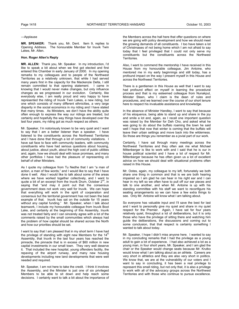#### ---Applause

**MR. SPEAKER:** Thank you, Mr. Dent. Item 9, replies to Opening Address. The honourable Member for Inuvik Twin Lakes, Mr. Allen.

## **Hon. Roger Allen's Reply**

**MR. ALLEN:** Thank you, Mr. Speaker. In my introduction, l'd like to speak a bit about when we first got elected and first entered this Chamber in early January of 2000. In my opening remarks to my colleagues and to people of the Northwest Territories as a relatively unknown, that while I had served many years first in the capacity for the Mackenzie Delta, I still remain committed to that opening statement. I came in knowing that I would never make changes, but only influence changes as we progressed in our evolution. Certainly, like everybody else, I am really proud and very happy to have represented the riding of Inuvik Twin Lakes, a new riding, but one which consists of many different ethnicities, a very large disparity in the social economics in my riding and I have stated that many times. As Ministers, we don't have the ability quite often enough to express the way our ridings are treated, but certainly and hopefully the way things have developed over the last four years, my riding got as much respect as others.

Mr. Speaker, I'm notoriously known to be very quiet and I want to say that I am a better listener than a speaker. I have listened to the constituents across the Northwest Territories and I have done that through a lot of community visitations. I have sat face to face with community leaders, with community constituents who have had serious questions about housing, about justice, about youth, about the high cost of public utilities and, again, how we should deal with issue promises, and many other portfolios I have had the pleasure of representing on behalf of other Ministers.

As I quote my colleague from Tu Nedhe that I am "a man of action, a man of few words," and I would like to say that I have done it well. Also I would like to talk about some of the areas where we have worked together collectively, and I want to quote a bit of an excerpt from the Inuvik Drum, October 2<sup>nd</sup>, in saying that "and may it point out that the consensus government does not work very well for Inuvik. We can hope that everything will work in the spirit of cooperation and consensus but the territorial government has not been the best example of that. Inuvik has sat on the outside for 15 years without any capital funding." Mr. Speaker, when I talk about teamwork, I include my honourable colleague from Inuvik Boot Lake, and certainly at the beginning of this Assembly, Inuvik was not treated fairly and I can sincerely agree with a lot of the comments raised by the small communities which always had the problem of how capital should be shared across the North and how our priorities should be set.

I want to say that I am pleased that in my short term I have had the privilege of standing with eight new Members for the  $14<sup>th</sup>$ Assembly, that Inuvik in the last four years has reached the pinnacle, the pinnacle that is in excess of \$60 million in new capital investments in our small town. They very well deserve it. That included the new hospital, young offenders facility, the repaving of the airport runway, and many new housing developments including new land developments that were well needed and required.

Mr. Speaker, I am not here to take the credit. I think it involves the Assembly, and the Minister is just one of six privileged Members to be able to sit down and help reach some decisions. I certainly want to talk a bit about the importance of

the Members across the hall here that offer questions on where we are going with policy development and how we should meet the growing demands of all constituents. I too have taken a lot of Christmases of not being home which I am not afraid to say today that I feel privileged that I could not only serve my constituents but the constituents across the Northwest Territories.

Also, I want to commend the mentorship I have received in this House from my honourable colleague, Jim Antoine, who mentored me in my early beginnings and still today, has a profound impact on the way I present myself in this House and across the Northwest Territories.

There is a gentlemen in this House as well that I want to say had profound effect on myself in learning the procedural process and that is my esteemed colleague from Nunakput, Minister Steen, who I claim is the dean of rules and procedures, and we learned over the course of our short tenure here to respect his invaluable assistance and knowledge.

In the absence of Minister Handley, I want to say that because of his eloquence, being able to stand up and share in the joy and smile a lot and, again, as I recall one important question was raised by the Member for Deh Cho, and asked what he was going to do about the buffalo roaming the town he said well I hope that now that winter is coming that the buffalo will leave their urban settings and move back into the wilderness. So those are things you remember as a jovial part of our work.

Certainly, I have sat through many meetings across the Northwest Territories and they often ask me what Michael Miltenberger is like to work with and I said that he is our in house political scientist and I have a lot of respect for Mr. Miltenberger because he has often given us a lot of excellent advice on how we should deal with situational problems often raised in this House.

Mr. Ootes, again, my colleague to my left, fortunately we both share one thing in common and that is we are both hearing impaired so I am glad he can hear in his right ear and I can hear in my left so we often have to pull off our ear pieces and talk to one another, and when Mr. Antoine is up with his standing committee with his staff we want to reconfigure his seating arrangements so we can have a few extra things to see. Only Mr. Antoine will know what I am talking about.

So everyone has valuable input and I'll save the best for last and I want to personally give my quiet and share in my quiet respect for the Premier. Again, I have sat for four years relatively quiet, throughout a lot of deliberations, but it is only those who have the privilege of sitting there and watching him guide the deliberations, the discussions and coming out to some conclusion, that that respect is certainly something I wanted to talk about today.

Mr. Speaker, I hope I didn't miss anyone here. I wanted to say in my concluding remarks that I had the privilege as a young adult to gain a lot of experience. I had also achieved a lot as a young man, in four short years, Mr. Speaker, and I am glad the chair or the Speaker would change seats because Mr. Krutko would know what I am talking about as an athlete. Careers are very short in athletics and they are also very short in politics. We know that, we are at the vulnerability of our voters and I want to say in concluding, it has been a real privilege to represent this small riding, but not only that, it is also a privilege to work with all of the advocacy groups across the Northwest Territories and with those who continue to pursue excellence.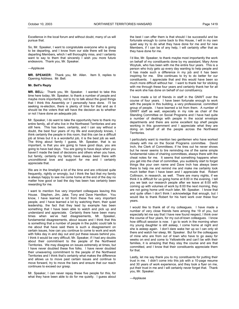Excellence in the local forum and without doubt, many of us will pursue that.

So, Mr. Speaker, I want to congratulate everyone who is going to be departing, and I know from our side there will be three departing Members, which I will thoroughly miss, and I certainly want to say to them that sincerely I wish you more future endeavors. Thank you, Mr. Speaker.

## ---Applause

**MR. SPEAKER:** Thank you, Mr. Allen. Item 9, replies to Opening Address. Mr. Bell.

#### **Mr. Bell's Reply**

**MR. BELL:** Thank you, Mr. Speaker. I wanted to take this time here today, Mr. Speaker, to thank a number of people and maybe more importantly, not to try to talk about the good things that I think this Assembly or I personally have done. I'll be seeking re-election, there is plenty of time for that and as it should be the voters that will have the decision as to whether or not I have done an adequate job.

Mr. Speaker, I do want to take the opportunity here to thank my entire family, all of who live in the Northwest Territories and are still here. This has been, certainly, and I can say without a doubt, the best four years of my life and everybody knows, I think certainly the people in this room, that this can be a difficult job at times but it is a wonderful job, it is the best job as well. The thing about family I guess, Mr. Speaker, that is so important, is that you are going to have good days, you are going to have bad days. You are going to have days when you haven't made the best of decisions and others when you have, but family, certainly my family have always been there with unconditional love and support for me and I certainly appreciate that.

We are in the limelight a lot of the time and are criticized quite frequently, rightly or wrongly, but I think the fact that my family is always happy to see me come home at the end of the day no matter how good or bad the day has been has certainly been rewarding for me.

I want to mention five very important colleagues leaving this House. Stephen, Jim, Jake, Tony and Dave Hamilton. You know, I have learned a lot from these five very important people, and I have learned a lot by watching them, their quiet leadership, the fact that they lead by example has been something that I have been able to watch and pick up and understand and appreciate. Certainly there have been many times when we've had disagreements, Mr. Speaker, fundamental disagreements, about issues and I think that this is something that a number of people in the public could talk to me about that have said there is such a disagreement on certain issues, how can you continue to come to work and work with folks day in and day out and put these issues behind you. I think it would be very difficult, Mr. Speaker, if I had any doubts about their commitment to the people of the Northwest Territories. We may disagree on issues extremely at times, but I have never doubted these five folks. I have never doubted their unwavering commitment to the people of the Northwest Territories and I think that's certainly what makes the difference and allows us to move past certain issues and continue to move forward, try to move the bars and ensure that our reach continues to exceed our grasp.

Mr. Speaker, I can never repay these five people for this, for what they have been able to do for me quietly. I guess about the best I can offer them is that should I be successful and be fortunate enough to come back to this House, I will in my own quiet way try to do what they have done for me and for new Members, if I can be of any help, I will certainly offer that as they have done for me.

I'd like, Mr. Speaker, to thank maybe most importantly the work on behalf of my constituents done by my assistant, Mary Anne Woytuik, who has been with me the entire four years. This is a person who truly gets up every day wanting to help people and it has made such a difference in my job and it has been inspiring for me. She continues to try to do better for our constituents. I appreciate that and this would have been so much more difficult without her. I want to thank her for sticking with me through these four years and certainly thank her for all the work she has done on behalf of our constituency.

I have made a lot of friends in staff in the GNWT over the course of four years. I have been fortunate enough to work with the people in this building, a very professional, committed group of people. I have learned a lot from them. A number of GNWT staff as well, especially in my role as chair of the Standing Committee on Social Programs and I have had quite a number of dealings with people in the social envelope departments and there are some excellent top shelf people working in this government and I appreciate what they are doing on behalf of all the people across the Northwest Territories.

I particularly want to mention two gentlemen who have worked closely with me on the Social Programs committee. David Inch, the Clerk of Committees; if he tires out he never shows but he never seems to tire reminding me of the same simple fundamental rules of chairing committees, always there with the cheat notes for me. It seems that something happens when you get into the chair of committee, you suddenly start to forget things like your own name and Dave Inch has always been there to help me and remind me and make me certainly look much better than I have been and I appreciate that. Robert Collinson, in research, as well. There are many nights, if we think it is difficult for us going home at 8:00 in the evening, I tell you we task our research people after we leave at 8:00 with coming up with volumes of work by 8:00 the next morning, they are not going home until much later, Mr. Speaker. I know that and quite often I don't think I acknowledge that enough, but I would like to thank Robert for his hard work over these four years.

I would like to thank all of my colleagues. I have made a number of very close friends here among the 19 of you, but especially let me say that I have new found respect, I think over the course of four years, for my out-of-town colleagues. I know how difficult session is now. I go to work in the morning when my young daughter is still asleep, I come home at night and she is asleep again. I don't dare wake her up so I can only sit there and watch her sleep, Mr. Speaker. But for the colleagues of mine who are from out of town who have to go away for weeks on end and come to Yellowknife and can't be with their families, it is amazing that they stay the course and are that committed, and I know that their constituents appreciate them for that.

Lastly, let me say thank you to my constituents for putting their trust in me. I didn't come into this job with a 10-page resume and 30 years of work experience, and they took a flyer on me, put their trust in me and I will certainly never forget that. Thank you, Mr. Speaker.

---Applause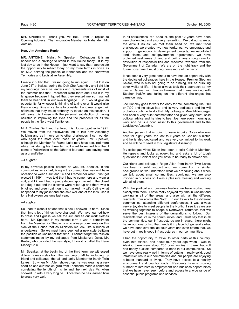**MR. SPEAKER:** Thank you, Mr. Bell. Item 9, replies to Opening Address. The honourable Member for Nahendeh, Mr. Antoine.

### **Hon. Jim Antoine's Reply**

**MR. ANTOINE:** Mahsi, Mr. Speaker. Colleagues, it is an honour and a privilege to stand in this House today. It is my last day to be in the House. I just want to say that I appreciate the opportunity to reflect today on my three terms in office as an MLA serving the people of Nahendeh and the Northwest Territories and Legislative Assembly.

I made it public that I wasn't going to run again. I did that on June 24<sup>th</sup> at Kakisa during the Deh Cho Assembly and I did it in my language because leaders and representatives of most of the communities that I represent were there and I did it in my language because I figured that they elected me so I wanted them to hear first in our own language. So it would give an opportunity for whoever is thinking of taking over, it would give them enough time since June to consider it and rearrange their affairs so that they would probably try to take on this position. I will leave this House with the personal satisfaction of having assisted in improving the lives and the prospects for all the people in the Northwest Territories.

MLA Charles Dent and I entered this House together in 1991. We moved from the Yellowknife Inn to this new Assembly building and as I move on to other challenges, I can wonder who aged the most over those 12 years. Mr. Speaker, although the Member for Frame Lake may have acquired more white hair during his three terms, I want to remind him that I came to Yellowknife as the father of four and I am leaving here as a grandfather.

# ---Laughter

In my previous political careers as well, Mr. Speaker, in the communities as a chief, living in the communities we don't have occasion to wear a suit and tie and I remember when I first got elected in 1991, I was told that I had to come here and wear a suit, and I knew I had a pretty decent sport jacket in the closet so I dug it out and the sleeves were rolled up and there was a bit of red and green paint on it, so I asked my wife Celine what happened to my jacket and she said well one of the kids used it for a Halloween costume last year.

#### ---Laughter

So I had to clean it off and that is how I showed up here. Since that time a lot of things have changed. We have learned how to dress and I guess we call the suit and tie our work clothes here. Mr. Speaker, in my second term it was a compliment from the Member for Thebacha who always comments on this side of the House that as Ministers we look like a bunch of undertakers. So we must have deemed a new style befitting the position of Cabinet at that time. I cannot forget the fashion statement made by my colleague from Mackenzie Delta, Mr. Krutko, who provided the new style, I think it is called the Dene Disney Chic.

Mr. Speaker, at the beginning of the third term, we witnessed different dress styles from the new crop of MLAs, including my friend and colleague, the tall and lanky Member for Inuvik Twin Lakes. So when Mr. Allen showed up, he was wearing a very short tie and our fashion guru from Thebacha made a comment correlating the length of his tie and the next day Mr. Allen showed up with a very long tie. Since then he has learned how to dress very well.

In all seriousness, Mr. Speaker, the past 12 years have been very challenging and also very rewarding. We did not scare at the difficult issues, we met them head on, we met fiscal challenges, we created two new territories, we encourage and support huge economic development projects, we negotiated land claims and self-government agreements, we have protected vast areas of land and built a very strong case for devolution of responsibilities and resource revenues from the Government of Canada. We are on the right track and the future government must bring home more of the bacon.

It has been a very great honour to have had an opportunity with the dedicated colleagues here in the House. Premier Stephen Kakfwi, who is also not going to be running, will be pursuing other walks of life. I have always took their approach as my role in Cabinet with him as Premier that I was working with Stephen Kakfwi and taking on the different challenges that came our way.

Joe Handley goes to work too early for me, something like 6:00 or 7:00 and he stays late and is very dedicated and he will probably continue to do that. My colleague Mike Miltenberger has been a very quiet commentator and given very quiet, solid political advice and he tries to beat Joe here every morning at work and he is a good asset to this government and to the Legislative Assembly.

Another person that is going to leave is Jake Ootes who was here for eight years, the last four years as Cabinet Minister, and he is also dedicated and was very committed to his work and he will be missed in this Legislative Assembly.

My colleague Vince Steen has been a solid Cabinet Member. He repeats and looks at everything and asks a lot of tough questions in Cabinet and you have to be ready to answer him.

Our friend and colleague Roger Allen from Inuvik Twin Lakes has been a solid support and we come from a similar background so we understand what we are talking about when we talk about small communities, aboriginal, we are also involved in business so it was a pleasure meeting and working with all of them.

With the political and business leaders we have worked very closely with them. I have really enjoyed my time in Cabinet and working in all of the areas, and also with all the different residents from across the North. In our travels to the different communities, attending different conferences, it was always very enjoyable to meet people in the North. I see it as we are all working together to shape a Northwest Territories that will serve the best interests of the generations to follow. Our residents that live in the communities, and I must say that in all the communities, our infrastructures are in place, there might be an odd one or two that needs it in place but generally what we have done over the last four years and even before that, we have put in really good infrastructures in our communities.

I had the opportunity to travel to other parts of this country, even into Alaska, and about four years ago when I was in Alaska, there were about 200 communities in there that still had honey buckets compared to none in our communities. So we have done really well in terms of putting in really solid, good infrastructures in our communities and our people are enjoying a better standard of living. They have access to a healthy environment and country foods. Residents have a growing number of interests in employment and business opportunities that we have never seen before and access to a wide range of essential public programs and services.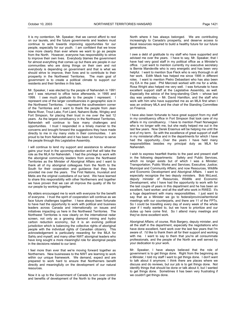It is my contention, Mr. Speaker, that we cannot afford to rest on our laurels, and the future governments and leaders must continue to work towards improving opportunities for our people, especially for our youth. I am confident that we know now more clearly than ever where we want to go as people from the North. However, everyone has responsibility to strive to improve their own lives. Everybody blames the government for almost everything that comes up but there are people in our communities who are doing things on their own and not everybody is depending on government and that is what we should strive to improve, their lives and to contribute to their prosperity in the Northwest Territories. The main goal of government is to create a political climate to support our residents and their families in this task.

Mr. Speaker, I was elected by the people of Nahendeh in 1991 and I was returned to office twice afterwards, in 1995 and 1999. I owe much gratitude to the people I represent. I represent one of the larger constituencies in geographic size in the Northwest Territories. I represent the southwestern corner of the Territories and I want to thank the people from Jean Marie River, Trout Lake, Fort Liard, Nahanni Butte, Wrigley and Fort Simpson, for placing their trust in me over the last 12 years. As the largest constituency in the Northwest Territories, Nahendeh will continue to face many challenges and opportunities. I trust I responded in a timely manner to the concerns and brought forward the suggestions they have made directly to me in my many visits in their communities. I am proud to be from Nahendeh and it has been an honour to serve the people through this Legislative Assembly.

I will continue to lend my support and assistance to whoever gains your trust in the upcoming election and that will take the role as the MLA for Nahendeh. I had the privilege to work with the aboriginal community leaders from across the Northwest Territories as the Minister of Aboriginal Affairs and I want to thank all of my aboriginal colleagues from the North to the South for their cooperation and guidance that they have provided me over the years. The First Nations, Inuvialuit and Metis are the original custodians of our land. We have learned to share this responsibility with other Northerners and together we have proven that we can all improve the quality of life for our people by working together.

My elders encouraged me to work with everyone for the benefit of everyone. I trust the spirit of cooperation will continue as we face future challenges together. I have always been fortunate to have had the opportunity to work with political and business leaders across Canada and internationally on issues and initiatives impacting us here in the Northwest Territories. The Northwest Territories is now clearly on the international radar screen, not only as a growing diamond mining and hydro carbon reduction economy, but it is an evolving political jurisdiction which is balancing the collective rights of aboriginal people with the individual rights of Canadian citizenry. This acknowledgement is particularly rewarding for the MLA for Sahtu and myself, and many other NWT aboriginal leaders who have long sought a more meaningful role for aboriginal people in the decisions related to our land.

I feel more than ever that we're moving forward together as Northerners. New businesses to the NWT are learning to work within our unique framework. We demand, expect and are prepared to work hard to ensure that Northerners benefit directly and meaningfully on the development of our natural resources.

Now it is up to the Government of Canada to turn over control and benefits of development of the North to the people of the North where it has always belonged. We are contributing increasingly to Canada's prosperity, and deserve access to fiscal resources required to build a healthy future for our future generations.

I owe a debt of gratitude to my staff who have supported and advised me over the years. I have to say, Mr. Speaker, that I have had very good staff in my political office as a Minister's office. I just want to mention currently my executive secretary is Bernie Mandeville who is very energetic and has been very helpful. I want to mention Sue Fleck who is very thorough in all her work. Edith Mack has helped me since 1995 in different roles. I want to mention Pietro Debastiani who has also been my EA in the past. Phil Mercredi worked with me for a while. Rosa Wright also helped me very well. I was fortunate to have excellent support staff at the Legislative Assembly, as well. Especially the advice of the long-standing Clerk -- whose last day was yesterday -- Mr. David Hamilton, and the staff who work with him who have supported me as an MLA first when I was an ordinary MLA and the chair of the Standing Committee on Finance.

I have also been fortunate to have great support from my staff in my constituency office in Fort Simpson that took care of my affairs in my constituency. I have to mention Pearl Norwegian who is no longer with me, but she really helped me out in the last few years. Now Derek Erasmus will be helping me until the end of my term. So with the excellence of great support of staff in my ministerial office and in the departments for which I have had the opportunity…Over the years I have held many responsibilities besides my principal duty as MLA for Nahendeh.

I wish to express heartfelt thanks to the past and present staff in the following departments: Safety and Public Services, which no longer exists but of which I was a Minister; Transportation; Public Works and Services; Executive; Justice; Municipal and Community Affairs; and now Resources, Wildlife and Economic Development and Aboriginal Affairs. I want to especially recognize the two deputy ministers. Bob McLeod, deputy minister of Resources, Wildlife and Economic Development, who I have had the opportunity to work with for the last couple of years in this department and he has been an excellent, hard worker; and all the staff who work in RWED. It's a huge department with many responsibilities. I just want to say that as a Minister we go to federal/provincial/territorial meetings with our counterparts, and there are 11 of the FPTs. So I could be travelling every day of every week of the whole year if I really wanted to, but we have to prioritize and our duties up here come first. So I attend many meetings and they've done excellent work.

Aboriginal Affairs; of course, Rick Bargery, deputy minister, and all the staff in the department, especially the negotiations who have done excellent, hard work over the last few years that I'm aware of. I'd like to thank them all for their support and working with me. I want to say to them that you're all consummate professionals, and the people of the North are well served by your dedication to your work.

Mr. Speaker, I have always believed that the role of government is to get things done. Right from the beginning as a Minister, I told my staff I want to get things done. I don't want to talk about it anymore; I think there are places where we discuss and do reviews, but our job is to get things done. Not identify things that should be done or talk about it, but I wanted to get things done. Sometimes it has been very frustrating if we couldn't get things done.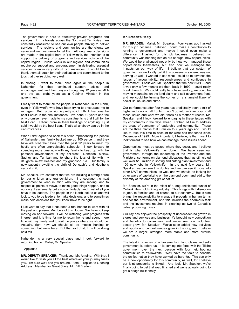The government is here to effectively provide programs and services. In my travels across the Northwest Territories I am constantly reassured to see our own people striving to deliver services. The regions and communities are the clients we serve and we must never forget that. Although many decisions are made in the capital here in Yellowknife, the intention is to support the delivery of programs and services outside of the capital region. Public works in our regions and communities require our support and encouragement in delivering essential services often in very difficult circumstances. I would like to thank them all again for their dedication and commitment to the jobs that they're doing very well.

In closing, I want to thank once again all the people in Nahendeh for their continued support, advice and encouragement, and their prayers through my 12 years as MLA and the last eight years as a Cabinet Minister in this government.

I really want to thank all the people in Nahendeh, in the North, even in Yellowknife who have been trying to encourage me to run again. But my decision is pretty solid. I think I've done the best I could in the circumstances. I've done 12 years and the only promise I ever made to my constituents is that I will try the best I can. I didn't promise them buildings or anything, I just said I would try the best I can. That's all anybody can do in the circumstances.

When I first agreed to seek this office representing the people of Nahendeh, my family backed me up 100 percent, and they have adjusted their lives over the past 12 years to meet my hectic and often unpredictable schedule. I look forward to spending more time now with my family to keep up with the personal development of my children: Denezeh, Melaw, Sachey and Tumbah and to share the joys of life with my daughter-in-law Heather and my grandson K'a. Our family is now patiently awaiting the birth of Denezeh's and Heather's second child.

Mr. Speaker, I'm confident that we are building a strong future for our children and grandchildren. I encourage the next government to keep in mind who they are serving, and to respect all points of views, to make good things happen, and to not only dress smartly but also comfortably, and most of all you have to be leaders. The people in the North look to us and will look to you to be leaders, to make decisions, and to sometimes make bold decisions that you know have to be right.

I just want to say that it has been a real honour to work with all the past and present Members of this House. We have to keep moving on and forward. I will be watching your progress with interest and it is time for me to return home and spend more time with my family and to visit the places where we should be. Actually, right now we should all be moose hunting or something, but we're here. But that sort of stuff I will be doing next fall.

Nahendeh is a very special place and I look forward to returning home. Mahsi, Mr. Speaker.

#### ---Applause

**MR. DEPUTY SPEAKER:** Thank you, Mr. Antoine. With that, I would like to wish you all the best wherever your journey takes you. I'm sure we'll see you around. Item 9, replies to Opening Address. Member for Great Slave, Mr. Bill Braden.

#### **Mr. Braden's Reply**

**MR. BRADEN:** Mahsi, Mr. Speaker. Four years ago I asked for this job because I believed I could make a contribution to running a government and maybe I could even make a difference. I asked for this job because I believed my community was heading into an era of huge, new opportunities. We would be challenged not only by how we managed these opportunities themselves, but also how we managed the impacts on our way of life. I believe that our system of governing, as we fondly call it this consensus system, was not serving us well. I wanted to see what I could do to advance the issues of accountability, responsiveness and confidence in government. I believed, Mr. Speaker, that the new NWT -- and it was only a few months old then, back in 1999 -- could really break through. We could really be a have territory, we could be moving mountains on the land claim and self-government front, and we could be turning the corner on a shameful litany of social ills, abuse and crime.

Our performance after four years has predictably been a mix of highs and lows on all fronts. I won't go into an inventory of all those issues and what we did, that's all a matter of record, Mr. Speaker, and I look forward to engaging in these issues with my constituents in the days ahead. Rather, I'd like to address the areas of economy, of leadership and community. These are the three planks that I ran on four years ago and I would like to take this time to account for what has happened since December of 1999. More important, I believe, is that I want to look forward to see how we can manage these issues ahead.

Opportunities must be seized where they occur, and I believe that is what Yellowknife has done. government, through the leadership of the Premier and the Ministers, set terms on diamond allocations that has stimulated well over \$10 million in sorting and cutting plant investment and 100 new jobs in Yellowknife. In the next few years, Mr. Speaker, we can see this double and we can see it move into other NWT communities, as well, and we should be looking for other ways of capitalizing on the diamond boom and add to the diversity of this amazing gift of nature.

Mr. Speaker, we're in the midst of a long-anticipated sunset of Yellowknife's gold mining industry. This brings with it disruption to jobs, to families and, of course, to our economy. But is also brings the responsibility to manage it properly in human terms and for the environment, and this includes the enormous task and the investment required in cleaning up two of Canada's oldest producing mines.

Our city has enjoyed the prosperity of unprecedented growth in stores and services and business, it's brought new competition and benefits to consumers, and we've seen our volunteer sector grow, Mr. Speaker. We've seen added new activities and sports and cultural venues grow in the city, and I believe we are a larger, stronger, more stable and more diverse community.

The latest in a series of achievements in land claims and selfgovernment is before us. It is coming into force with the Tlicho government over the next decade with four neighbouring communities to Yellowknife. We'll have the tools to become the unified nation they have worked so hard for. This can only be a new opportunity for this community, as well, for I believe our joint prosperity is linked. And look, Mr. Speaker, we're finally going to get that road finished and we're actually going to get a bridge built; finally.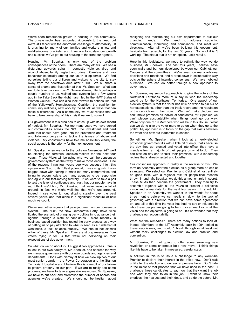We've seen remarkable growth in housing in this community. The private sector has responded vigorously to the need, but we're still faced with the enormous challenge of affordability. It is crushing for many of our families and workers in low and middle-income brackets, and if we are to sustain our growth and success we've got to put housing at the front our agenda.

Housing, Mr. Speaker, is only one of the problem consequences of the boom. There are many others. We see a disturbing upwards spiral in domestic violence, drug and alcohol abuse, family neglect and crime. Careless and risky behaviour especially among our youth is epidemic. We find ourselves telling our children and visitors to the city to stay away from the downtown area after 10:00. We all share a sense of shame and frustration at this, Mr. Speaker. What can we do to take back our town? Several dozen, I think perhaps a couple hundred of us, walked one evening just a few weeks ago in the Take Back the Night march led by the NWT Status of Women Council. We can also look forward to actions like that of the Yellowknife Homelessness Coalition, the coalition for community wellness, new work by the RCMP as ways that can make a difference. As a community we must realize that we have to take ownership of this crisis if we are to solve it.

Our government in this area has to catch up with its own record of neglect, Mr. Speaker. For too many years we have denied our communities across the NWT the investment and hard work that should have gone into the prevention and treatment and follow-up programs to tackle the issues of abuse and violence. My constituents have told me absolutely clearly the social agenda is the priority for the next government.

Mr. Speaker, when we go to the polls on November  $24<sup>th</sup>$  we'll be electing the territorial decision-makers for the next four years. These MLAs will be using what we call the consensus government system as their way to make those decisions. One of the reasons I ran four years ago was because I felt this system wasn't up to its fullest potential, it was sluggish, it was bogged down with having to make too many compromises and trying to accommodate too many agendas to be responsive and agile in our fast-moving territory. If we were to take a poll to test the level of confidence and trust that our people have in us, I think we'd find, Mr. Speaker, that we're losing a lot of ground; in fact, we might well find that we're underground. Indeed, I see voter turnout slipping steadily over the past several years, and that alone is a significant measure of how much we count.

We've seen other signals that pass judgment on our consensus system. The NDP, the New Democratic Party, have twice floated the scenario of bringing party politics in to advance their agenda through a slate of candidates. More recently, a business-based coalition has tested the party process as a way of getting us to pay attention to what is seen as a fundamental weakness, a lack of accountability. We should not dismiss either of these, Mr. Speaker. They are strong messages from voters trying to tell us that we're not delivering on their expectations of due government.

So what do we do about it? I suggest two approaches. One is to look in our own backyard, Mr. Speaker, and address the way we manage governance with our own boards and agencies and departments. I look with dismay at how we blew up two of our most senior boards -- the Power Corporation and the Stanton Territorial Hospital -- and I believe this is a result of our failure to govern properly on our part. If we are to really see some progress, we have to take aggressive measures, Mr. Speaker, we have to cut back and streamline the number of boards and agencies we've created. We should not be hesitant about

realigning and redistributing our own departments to suit our changing needs. We need to address capacity, communication, monitoring and compliance, and reset our directions. After all, we've been building this government, basically from scratch, for the last 30 years. Some of it isn't working. The status quo is not an option. Let's rebuild.

Here in this legislature, we need to rethink the way we do business, Mr. Speaker. The past four years, I believe, have seen walls and barriers developed between our Cabinet, our Caucus and the committees. We've seen too many arbitrary decisions and reactions, and a breakdown in collaboration way outside the sphere of intended consensus. We have hobbled ourselves. We can do better through a new approach to governance.

Mr. Speaker, my second approach is to give the voters of the Northwest Territories more of a say in who the leadership would be for the Northwest Territories. One aspect of our election system is that the voter has little on which to pin his or her expectations, other than the track record and the reputation of the candidates in their riding. We can't make pledges, we can't make promises as individual candidates, Mr. Speaker, we can't pledge accountability when things don't go our way. We're only one of 19 Members who will be in this House. What can we do to give the voter more to go on when they go to the polls? My approach is to focus on the gap that exists between the voter and how our leadership is chosen.

Sometimes, Mr. Speaker, when I look at a newly-elected provincial government it's with a little bit of envy, that's because the day they get elected and voted into office, they have a mandate from a majority of their people on what to do. They can start on day one to fulfill their promises, with a leadership regime that's already tested and together.

Our consensus approach in reality is the reverse of this. We form an Assembly after the election as a group more or less of strangers. We select our Premier and Cabinet almost entirely on good faith, with a regional mix for geopolitical reasons thrown in and, Mr. Speaker, we do this almost entirely in secret. These MLAs then become the government. They then try to assemble together with all the MLAs to present a collective vision and a mandate for the next four years. In short, Mr. Speaker, in an Assembly we wander in the woods for about three months before we can really sit down to the task of governing with a direction that we can have some agreement on, and all of this time the voter has had no say or influence in who these people are going to be in government or what the vision and the objective is going to be. It's no wonder that they challenge our accountability.

What are the remedies? There are many options to look at. Indeed, Members of the 12<sup>th</sup> Assembly back in 1994 looked at these very issues, and couldn't break through or at least not without tricky challenges to election law and practice and convention.

Mr. Speaker, I'm not going to offer some sweeping new revelation or some enormous bold new move. I think things like this have to be taken in measured, careful steps.

A solution in this is to issue a challenge to any would-be Premier to declare their interest in the office now. Don't wait until after the election and our secret process here. Don't hide in the midst of that process that we have used in the past. I challenge those candidates to say now that they want the job and what they plan to do in the job. I want to know their priorities, their values and their ideas, and so do the voters, Mr.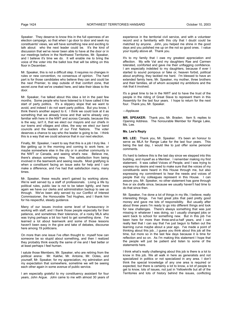Speaker. They deserve to know this in the full openness of an election campaign, so that when I go door to door and seek my constituents' views, we will have something new and exciting to talk about: who the next leader could be. It's the kind of discussion that we've never been able to have at the door or in our meetings before in the Northwest Territories, Mr. Speaker, and I believe it's time we do. It will enable me to bring the voice of the voter into the ballot box that will be sitting on this floor in December.

Mr. Speaker, this is not a difficult step. It requires no changes in rules or new convention, no consensus of opinion. The hard part is for those candidates who believe they can and could be the next Premier, to step outside of that comfort zone, that secret zone that we've created here, and take their ideas to the door.

Mr. Speaker, I've talked about this idea a lot in the past few months. Some people who have listened to it have called it the start of party politics. It's a slippery slope that we want to avoid, and indeed I do not want party politics. But you know, I think there's another aspect to it. I think we could look at it as something that we already know and that we're already very familiar with here in the NWT and across Canada, because this is the way, isn't it, that we elect our mayors and our chiefs in our towns and villages and cities, the way we elect our band councils and the leaders of our First Nations. The voter deserves a chance to say who the leader is going to be. I think this is a way that we could advance that in our next election.

Finally, Mr. Speaker, I want to say that this is a job I truly like. I like getting up in the morning and coming to work here, or maybe somewhere else in the city or in another community in the NWT or Canada, and seeing what's new. Believe me, there's always something new. The satisfaction from being involved in the teamwork and seeing results. Most gratifying is when a constituent facing an issue asks for help and I can make a difference, and I've had that satisfaction many, many times.

Mr. Speaker, these results aren't gained by working alone. We're well served by a staff of professionals. Living a life by political rules, public law is not to be taken lightly, and here again we have our clerks and administration backup to see us through. We've been ably served by our Conflict of Interest Commissioner, the Honourable Ted Hughes, and I thank him for his respectful, steady guidance.

Many of our issues involve some level of bureaucracy in working with staff, and I thank those people especially for their patience, and sometimes their tolerance, of a rooky MLA who was trying perhaps a bit too hard to get something done. I've learned a lot about teamwork and some of those lessons haven't been easy in the give and take of debates, discourse here among 19 politicians.

On more than one issue I've often thought to myself how can someone be so stupid about something, and then I realized they probably think exactly the same of me and I feel better or at least perhaps I feel human.

I salute those Members, Mr. Speaker, who are retiring from the political arena: Mr. Kakfwi, Mr. Antoine, Mr. Ootes, and yourself, Mr. Speaker, for my appreciation, my admiration and my expectation that somewhere, sometime we will be seeing each other again in some avenue of public service.

I am especially grateful to my constituency assistant for four years, John Argue. John came to me with almost 30 years of experience in the territorial civil service, and with a volunteer record and a familiarity with this city that I doubt could be matched by anyone. John, you helped me shine in the good days and you polished me up on the not so good ones. I value your loyalty above all. Thank you.

It's to my family that I owe my greatest appreciation and affection. My wife Val and my daughters Rae and Carmen tolerated, comforted and gave me their unflagging confidence. I am especially indebted to my daughters, because if ever I started to sound pompous or fake or, heaven forbid, political about anything, they tackled me hard. I'm blessed to have an extended family here, Mr. Speaker, my mother, three brothers and their families, all of whom accepted my ambitions and the risk that it involved.

It's a great time to be in the NWT and to have the trust of the people in the riding of Great Slave to represent them in this Assembly for the last four years. I hope to return for the next four. Thank you, Mr. Speaker.

#### ---Applause

**MR. SPEAKER:** Thank you, Mr. Braden. Item 9, replies to Opening Address. The honourable Member for Range Lake, Ms. Lee.

#### **Ms. Lee's Reply**

**MS. LEE:** Thank you, Mr. Speaker. It's been an honour to serve as MLA for Range Lake for the last four years. This being the last day, I would like to just offer some personal comments.

It's hard to believe this is the last day since we stepped into this building, and myself as a Member. I remember making my first statement. It was called Voices of People, and I was trying to express my desire and need to make sure that the voices of my constituents were heard in this House through me, but also expressing my commitment to hear the needs and voices of people that my colleagues represent in this House. I can assure you, Mr. Speaker, no other statement has gone through five or six drafts since, because we usually haven't had time to do that since then.

Mr. Speaker, I've done a lot of things in my life, I believe; really interesting things. I've had great jobs that paid pretty good money and gave me lots of responsibility. But usually after about three years I'm ready to go into different things and look for new challenges. There's always something that was just missing in whatever I was doing, so I usually changed jobs or went back to school for something new. But in this job I've been here for more than three-and-a-half years, and I can really feel that I can say that I've just begun to flatten out the learning curve maybe about a year ago. I've made a point of thinking about this job…I guess you think about this job all the time, but more so in the last few days because it is time for reflection and so on. As I'm making this statement I hope that the people will just be patient and listen to some of the statements here.

I think what's really challenging about this job is there is a lot to know in this job. We all walk in here as generalists and not specialized in politics or not specialized in any area. I don't think the special knowledge of any one area is required or expected, but there is certainly a lot to know, a lot of people to get to know, lots of issues, not just in Yellowknife but all of the Territories and lots of history behind the issues, conflicting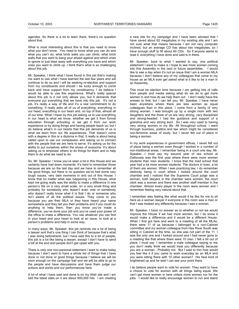agendas. So there is a lot to learn there, there's no question about that.

What is most interesting about this is that you need to know what you don't know. You need to know what you can do and what you can't do, what brick walls you can climb, what brick walls that you want to bang your ahead against and which ones to ignore or just blast away with everything you have and which ones you want to climb up. I think that's what is so challenging about this job.

Mr. Speaker, I think what I have found in this job that's making me want to use what I have learned the last few years and will continue to do so and I will be seeking re-election and support from my constituents and should I be lucky enough to come back and have support from my constituency, I do believe I would be able to use this experience. What's really special about this job is it not only allows you, but it demands that everyone put everything that we have into this job. It's not a job, it's really a way of life and it's a real commitment to do something. It really asks all of us of everything, everything in our head, everything in our heart and, on top of that, almost all of our time. What I mean by this job asking us to use everything in our head is what we know, whether we get it from formal education through schooling or we get it from our work experience or by doing things and having people teach us, but I do believe what's in our hearts that this job demands of us is what we learn from our life experiences. That doesn't come with a degree in this or a diploma in that. It really is about being called upon to use our compassion and asking us to connect with the people that we are here to serve. It's asking us for the ability to put ourselves within the shoes of everyone. It's about asking us to empower others to do things for them and to help them to do what we need to do.

So, Mr. Speaker, I know you've seen a lot in this House and we certainly have had down moments. It's hard to remember those because we are on the last day and we have to remember all the good things, but there is no question we've had some very tough issues, very dark moments in and out of this House. I know that no matter what was happening in this House, what kept me going really was the ability to make a difference in one person's life on a very small scale, on a very small thing and probably for somebody who doesn't even vote or somebody who doesn't really know what it is that I do or someone who isn't aware of all the political issues. They come to you because you are their MLA or they have heard your name somewhere and they tell you their problems and if you could do anything to help them, then you know you've made a difference, you've done your job and you've used your power of the office to make a difference. You use whatever you can find in your head and your heart to look at an issue, to look at a person's problems and help in some way.

In many ways, Mr. Speaker, this job reminds me a lot of being a lawyer and that's one thing I can think of because that's what I was doing beforehand, but I have said this to a lot of people, this job is a lot like being a lawyer, except I don't have to send a bill at the end and people don't get upset with you.

There is only one non-personal statement I want to make today because I don't want to have a whole list of things that I have done or not done or good things because I believe we will be soon enough on the campaign trail and we will be able to go to the people and have discussions and have them judge our actions and words and our performances here.

A lot of what I have said and done is on my Web site and I am told the latest stats on it are about 800,000 hits. I am creating

a new site for my campaign and I have been advised that I have saved about 62 megabytes in my existing site and I am not sure what that means because I am not very computer inclined, but an average CD has about two megabytes, so I have enough stuff to fill about 60 CDs. So if anyone wants to read it, everything I have done and said is in there.

Mr. Speaker, back to what I wanted to say, one political statement I want to make is I hope to see more women coming into this Assembly in the next or future assemblies. I would like to see a day when it's not an issue that I am a woman MLA because I don't believe any of my colleagues that come to my house as an MLA ever get asked what is it like to be a man in an Assembly.

This must be election time because I am getting lots of calls from people and media asking what do we do to get more women in and how do we help them out. I don't really have the answer to that, but I can tell you, Mr. Speaker, I have never been anywhere where there are less women as equal colleagues than in this place. I come from a family of very strong women. I was brought up by a single mom with two daughters and the three of us are very strong, very disciplined and strong-headed. I had the guidance and support of a grandma and very strong aunt. So I was very used to having very strong women in my life. All throughout school, I went through business, politics and law which might be considered non-feminine areas of study, but I never felt out of place in being a woman.

In my work experiences in government offices, I never felt out of place being a woman even though I worked in a number of non-traditional areas. I remember being in a court one day, Mr. Speaker…I must say my second year of law school at Dalhousie was the first year where there were more women students than men students. I know that the med school that year had a lot more women students. The doctors in town, a lot of them are women. When I was practicing law, I do remember distinctly being in court where I looked around the court chamber and I noticed that the Supreme Court judge was a woman, both lawyers in the chamber were women, the court clerk was a woman and there was another staff member in the chamber. Almost every player in the room were women and I remember feeling very natural about that.

I remember also feeling like what would it be like for me to sit here as a woman lawyer if everyone in the room was a man or that I was treated any differently because I was a woman.

Mr. Speaker, I have no answer as to whether or not we would improve the House if we had more women, but I do know it would make a difference and it would be a different House. When I first got here and went to a meeting of all the MLAs, there were 11 of us because I belonged to a non-Cabinet committee and my woman colleague from Hay River South was sitting in Cabinet at the time, so she was not part of the 11. I was the only one and I looked around and I had never gone to a meeting like that where there were 10 men. I felt a bit out of place, I must say. I remember a male colleague saying to me you don't really think we would treat you differently because you are a woman. Probably not. But I said to him how would you feel like it if you came to work everyday as an MLA and you were sitting there with 10 other women? His face kind of brightened up and he said I can see your point there.

I do believe people want to vote for women. They want to have a choice to vote for women with all things being equal. We can't get more women in here unless more women run for the jobs. I would like to really encourage women to run and stand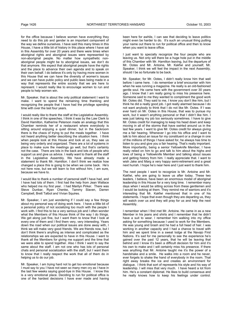for the office because I believe women have everything they need to do this job and gender is an important component of the way we define ourselves. I have said this many times in this House, I have a little bit of history in this place where I have sat in this Assembly for over 20 years and there were times when aboriginal rights and aboriginal issues were represented by non-aboriginal people. No matter how sympathetic nonaboriginal people might be to aboriginal issues, we don't do that anymore. We expect that aboriginal people have the rights and the place to advance their own agenda and to speak on their own behalf. I do believe it's only by having more women in this House that we can have the diversity of women's issues and we can have public policy and public laws being made in a way that represents the entire society that we are here to represent. I would really like to encourage women to run and people to help women win.

Mr. Speaker, that is about the only political statement I want to make. I want to spend the remaining time thanking and recognizing the people that I have had the privilege spending time with over the last four years.

I would really like to thank the staff at the Legislative Assembly. I think in one of the speeches, I think it was by the Law Clerk to David Hamilton, Katherine Peterson made an analogy that this Chamber reminds her of a restaurant where everybody is sitting around enjoying a quiet dinner, but in the backroom there is the chaos of trying to put the meals together. I have not heard anything better describing the situation here. I think when people look at this House and look at us, they see us being very orderly and organized. There are a lot of systems in place to make sure the meetings go well, but that's certainly not the case. There are lots in the back and lots of people who support us and give us advice. I really want to thank all the staff in the Legislative Assembly. We have already made a statement to thank Mr. Hamilton. I don't think we realize how changed a place this is going to be when we come back. He's not here now, but we will learn to live without him, I am sure, because we have to.

I would like to thank a number of personal staff I have had, and I have had lots of them. I first had the help from Jean Wallace who helped me my first year. I had Marilyn Pirker. There was Steve Dunbar, Ryan Chenke, Tammy Slaven, Darren Campbell, Brett Talbot and Vivian Squires.

Mr. Speaker, I am just wondering if I could say a few things about my personal way of doing work here. I have a little bit of a personal policy of not socializing too much with the people I work with. I find this to be a very serious job and I often wonder what the Members of this House think of the way I do things. We get along just fine, but I want them to know that I look at every one of them and I find them very, very interesting. Years down the road when our political issues are done away with, I think we will make very good friends. We are friends now, but I don't think there's anything as intense and complicated as the relationships we are expected to have in this House. I want to thank all the Members for giving me support and the time that we were able to spend together. Also I think I want to say the same about the staff. I am not one who has lots of personal chats and personal socialization with the staff, but I want them to know that I really respect the work that all of them do in helping us to do our job.

Mr. Speaker, I am trying hard not to get too emotional because I must say to you I have not seen so many men cry as I have in the last few weeks saying good-bye in this House. I know this is a very emotional place. Deciding to run for political office is one of the hardest decisions I have ever made and having

been here for awhile, I can see that deciding to leave politics might even be harder to do. It's such an unusual thing putting your name out there to run for political office and then to know when you want to leave office.

I just want to specially recognize the four people who are leaving us. Not only will there be a huge hole put in the middle of this Chamber with Mr. Hamilton leaving, but the departure of Mr. Ootes and Mr. Antoine, Mr. Kakfwi and yourself, Mr. Speaker, I think we will feel the impact in the next Assembly, should I be so fortunate to be back.

Mr. Speaker, for Mr. Ootes, I didn't really know him that well before I came here. I do remember a brief encounter with him when he was running a magazine. He really is an old-fashioned gentle soul. He came here with the government over 30 years ago. I know that I am really going to miss his presence here. Someone said to me they wanted to compliment the good work Mr. Ootes did. They said to me, I know you don't like him, but I think he did a really good job. I got really alarmed because I do not want anybody to think that I do not like Mr. Ootes. If I was ever hard on Mr. Ootes in this House, that was to pursue my work, but it wasn't anything personal or that I didn't like him. I was just taking my job too seriously sometimes. I have to give Mr. Ootes credit for managing to keep his head down and keep moving in all of the storms that have swirled around us in the last few years. I want to give Mr. Ootes credit for always giving me a fair hearing. Whenever I go into his office and I want to talk to him about an issue for my constituent or a change in one of the millions of things I have asked for, he always has time to listen to you and give you a fair hearing. That's really important. More importantly, being a senior Yellowknife Member, I have really relied on him to go and talk to him about the highs and lows of being a Yellowknife Member and talking about issues and getting history from him. I really appreciate that. I want to wish Jake and Marg a very happy semi-retirement and a great next hurrah. I hope he's near here and I just want to thank him.

The next people I want to recognize is Mr. Antoine and Mr. Kakfwi, who are going to leave us after today. These two leaders, I believe, have been an enormous model of aboriginal leadership in this House for a very long time. I remember many days when I would be sitting across from these gentlemen and I would be looking at them. They remind me of warriors and it's interesting that Mr. Kakfwi mentioned that in one of his statements. I hope that even though they are departing us, they will watch over us and they will pray for us and help the next Assembly.

I remember when I first met Mr. Antoine. He came in as a new Member in his jeans and shirts and I remember that he didn't have a suit to wear. I remember him walking into my office asking for something because I used to work for the Members. He was young and brash and he had a full head of hair. I was working in another capacity and I had a chance to travel with him and we spent time in a sweat lodge at the Navajo First Nations. It's sad for me personally to see the experience he's gained over the past 12 years, that he will be leaving that behind and I know it's been a difficult decision for him and it's his own to make and I will certainly miss his presence. If there was anything that Mr. Antoine taught me it's the power of a handshake and a smile. He walks into a room and he never, ever forgets to shake the hand of everybody in the room. That right away breaks the ice and creates an environment for dialogue. I think that sort of represents his style and his way of leadership. I will miss that very much. I have heard a lot from him. He's a constant diplomat. He likes to build consensus and he really knows how to keep his feelings under control.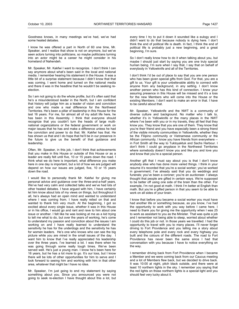Goodness knows, in many meetings we've had, we've had some heated debates.

I know he was offered a part in North of 60 one time, Mr. Speaker, and I realize that show is not on anymore, but we've seen actors turning into politicians, so maybe politicians turning into an actor might be a career he might consider in his homeland of Nahendeh.

Mr. Speaker, Mr. Kakfwi I want to recognize. I don't think I can say anymore about what's been said in the local and national media. I remember hearing his statement in the House. It was a little bit of a surprise statement because I didn't know that that was coming. I went home and turned on the national media and there it was in the headline that he wouldn't be seeking reelection.

So I am not going to do the whole profile, but it's often said that he's a misunderstood leader in the North, but I am confident that history will judge him as a leader of vision and conviction and one who made a real difference for the Northwest Territories. He's been a pillar of leadership in this House for the last 16 years. For me, for almost all of my adult life here, he has been in this Assembly. I think that everyone should recognize that you couldn't turn the heads of large multinational organizations or the federal government or work on major issues that he has and make a difference unless he had the conviction and power to do that. Mr. Kakfwi has that. He has shown us that and I do hope that he'll be in our presence in the future to give us the benefit of that guidance and leadership.

Often, Mr. Speaker, in this job, I don't think that achievements that you make in this House or outside of this House or as a leader are really felt until five, 10 or 15 years down the road. I think what we do here is important, what difference you make here in one day is important, but a lot of how we are judged will depend on how our issues are judged, five, 10 or 15 years down the road.

I would like to personally thank Mr. Kakfwi for giving me personal advice and guidance over the three-and-a-half years. We've had very calm and collected talks and we've had lots of other heated debates. I have argued with him, I have certainly let him know about lots of my views on things, but throughout it all, he's always had an open mind and wanted to understand where I was coming from. I have really relied on that and wanted to thank him very much. At the beginning, I got so excited about every single issue, whether it was in this House or in his office, I would go and rant and rave to him about one issue or another. I felt like he was looking at me as a kid trying to tell me what to do, but over the years of working, he's come to understand my passion and conviction about the issues I am working on and I have really learned to understand the sensitivity he has for the underdogs and the sensitivity he has for women leaders. He's one who knows who can see the big picture while you are mired in the small issues of the day. I want him to know that I've really appreciated his leadership over the three years. I've learned a lot. I was there when he was going through some really tough times. We've been served well. He's just a young man. I know he's been here for 16 years, but he has a lot more to go. It's our loss, but I know there will be lots of other opportunities for him to serve and I look forward to seeing him and working with him in that other area, whatever that might be I have no idea.

Mr. Speaker, I'm just going to end my statement by saying something about you. Since you announced you were not going to seek re-election I have thought about this a lot, but every time I try to put it down it sounded like a eulogy and I didn't want to do that because nobody is dying here. I don't think the end of political life is death. In fact, I think the end of political life is probably just a new beginning, and a great beginning, I'm sure.

So I don't really know how to do it when talking about you, but maybe I should just start by saying you are one truly special human being. I'm sure when I say that, I say that on behalf of everybody in Yellowknife and all of the Territories.

I don't think I'd be out of place to say that you are one person who has been given special gifts from God. For that, you are a gift to us. Your gift is your unbelievable ability to connect with anyone from any background, in any setting. I don't know another person who has this kind of connection. I know your assuring presence in this House will be missed and it's a loss for the new Members who will come into the House or the existing Members. I don't want to make an error in that. I have to be careful about that.

Mr. Speaker, Yellowknife and the NWT is a community of diverse culture and background. No matter who I talk to, whether it's in Yellowknife or the many places in the NWT where I've been with you or in my travels, they all feel that they know you. They know that you are one of them. They know that you're their friend and you have especially been a strong friend of the visible minority communities in Yellowknife, whether they be the Filipino community or Vietnamese community or the African community. I know you have friends from everywhere - in Fort Smith all the way to Tuktoyaktuk and Sachs Harbour. I don't think I could go anyplace in the Northwest Territories where somebody doesn't know you and like you and love you and know that you're a special person.

Another gift that I must say about you is that I don't know anybody else who has done more varied things. I think in your resume it's recorded that you're a social worker; you've worked in government; I've already said that you do weddings and funerals; you've been a coroner; you're an auctioneer. I always thought that people are gifted in certain ways. We're supposed to be better off using one side of the brain than the other. For example, I'm not good at math. I think I'm better at English than math. But you're a gifted person in that you seem to be able to work on all sides of your brain.

I know that before you became a social worker you must have had another life or something because, as you know, I've had the opportunity to work with you way before I came here. I need to thank you for giving me the opportunity when I was 25 to work as assistant to you as the Minister. That was quite a job and I remember not being able to sleep, worried about whether I could do this job or not. In those years we travelled. I had the opportunity to travel with you to many places. I'll never forget driving to Fort Providence and you telling me a story about every telephone pole and every rock and every highway you built and the colours of the different roads. The road to Fort Providence has never been the same since I had that conversation with you because I have to notice everything on the way.

I remember driving back from Fort Providence when I became a Member and we were coming back from our Caucus meeting and a lot of Members flew back, but we decided to drive back. It was 10:00 at night, pitch black outside, and there were at least 10 northern lights in the sky. I remember you saying that the red lights on those northern lights is a special light and you should feel very lucky about it.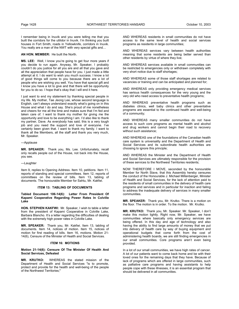I remember being in Inuvik and you were telling me that you built the corridors for the utilidor in Inuvik. I'm thinking you built houses in Fort Smith, roads in Yellowknife, corridors in Inuvik. You really are a man of the NWT with very special gifts and…

#### **AN HON. MEMBER:** He built the North.

**MS. LEE:** Well, I know you're going to get four more years if you decide to run again. Anyway, Mr. Speaker, I probably couldn't do you justice for all you are and all that you gave and all the appreciation that people have for you. I just made a little attempt at it. I do want to wish you much success. I know a lot of good things will come to you because there are a lot of people who are wishing you well. You have that special gift and I know you have a lot to give and that there will be opportunity for you to do so. I hope that's okay that I will end it here.

I just want to end my statement by thanking special people in my life. My mother, Tae Jeong Lee, whose second language is English, can't always understand exactly what's going on in this House and what I do and say. She's proud of me nonetheless and cheers for me all the time and makes sure that I'm fed and taken care of. I want to thank my mother for giving me the opportunity and love to be everything I am. I'd also like to thank my partner, Dave. As everybody has said, this is a very tough job and you need the support and love of everyone. I've certainly been given that. I want to thank my family. I want to thank all the Members, all the staff and thank you very much, Mr. Speaker.

---Applause

**MR. SPEAKER:** Thank you, Ms. Lee. Unfortunately, recall only recalls people out of the House, not back into the House, you see.

#### ---Laughter

Item 9, replies to Opening Address. Item 10, petitions. Item 11, reports of standing and special committees. Item 12, reports of committees on the review of bills. Item 13, tabling of documents. The honourable Member for Sahtu, Mr. Kakfwi.

#### **ITEM 13: TABLING OF DOCUMENTS**

**Tabled Document 106-14(6): Letter From President Of Kapami Cooperative Regarding Power Rates In Colville Lake** 

**HON. STEPHEN KAKFWI:** Mr. Speaker, I wish to table a letter from the president of Kapami Cooperative in Colville Lake, Barbara Blancho. It's a letter regarding the difficulties of dealing with the extremely high power rates in Colville Lake.

**MR. SPEAKER:** Thank you, Mr. Kakfwi. Item 13, tabling of documents. Item 14, notices of motion. Item 15, notices of motion for first reading of bills. Item 16, motions. Motion 21- 14(6), Censure of the Minister of Health and Social Services.

#### **ITEM 16: MOTIONS**

### **Motion 21-14(6): Censure Of The Minister Of Health And Social Services, Defeated**

**MR. KRUTKO:** WHEREAS the stated mission of the Department of Health and Social Services "is to promote, protect and provide for the health and well-being of the people of the Northwest Territories;"

AND WHEREAS residents in small communities do not have access to the same level of health and social services programs as residents in large communities;

AND WHEREAS services vary between health authorities meaning that some residents are being better served than other residents by virtue of where they live;

AND WHEREAS services available in small communities can be restricted to emergencies only or withdrawn completely with very short notice due to staff shortages;

AND WHEREAS some of those staff shortages are related to vacancies or training and can be anticipated and planned for;

AND WHEREAS only providing emergency medical services has serious health consequences for the very young and the very old who need access to preventative health programs;

AND WHEREAS preventative health programs such as diabetes clinics, well baby clinics and other preventative programs are essential to the continued health and well-being of a community;

AND WHEREAS many smaller communities do not have access to such core programs as mental health and alcohol and drug workers and cannot begin their road to recovery without such assistance;

AND WHEREAS one of the foundations of the Canadian health care system is universality and the Department of Health and Social Services and its subordinate health authorities are choosing to ignore this principle;

AND WHEREAS the Minister and the Department of Health and Social Services are ultimately responsible for the provision of these services to the Northwest Territories residents;

NOW THEREFORE I MOVE, seconded by the honourable Member for North Slave, that this Assembly hereby censures the conduct of the Honourable J. Michael Miltenberger, Minister of Health and Social Services, for the lack of attention paid to the residents of small communities in the delivery of health care programs and services and in particular for inaction and failing to address the inadequate delivery of services in many smaller communities.

**MR. SPEAKER:** Thank you, Mr. Krutko. There is a motion on the floor. The motion is in order. To the motion. Mr. Krutko.

**MR. KRUTKO:** Thank you, Mr. Speaker. Mr. Speaker, I don't make this motion lightly. Right now, Mr. Speaker, we have communities where basically only emergency services are being offered. In this day and age of technology and also having the ability to find large amounts of money that we put into delivery of health care by way of buying equipment and operational budgets that come forth from the cost of administering health boards, we are still finding emergencies in our small communities. Core programs aren't even being provided.

In a lot of our small communities, we have high rates of cancer. A lot of our patients want to come back home and be with their loved ones for the remaining days that they have. Because of lack of programs which are offered in large communities, such as palliative care programs and having assistants to help people cope with these illnesses, it is an essential program that should be delivered in all communities.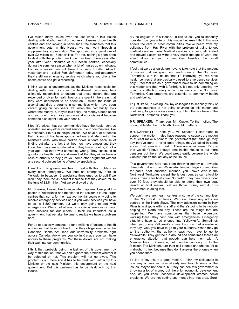I've raised many issues over the last week in this House dealing with alcohol and drug workers, closures of our health centres and also looking in particular at the standards that this government sets. In this House, we just went through a supplementary appropriation. We approved an expenditure of over \$2 million to 13 specialists. For me, nothing's been done to deal with the problem we know has been there year after year after year; closures of our health centres, especially during the summer season when a lot of nurses go on holidays. For some reason, we still have this crisis. I called Aklavik yesterday and I called Fort McPherson today and apparently they're still on emergency service watch where you phone the health centre and get a recording.

I think we as a government, as the Minister responsible for dealing with health care in the Northwest Territories, he's ultimately responsible to ensure that those dollars that are expended or given to health boards are spent in the areas that they were addressed to be spent on. I raised the issue of alcohol and drug programs in communities which have been vacant going on two years. Yet when the community asks where that money is, they're told sorry, the money's been spent and you don't have those resources at your disposal because someone else spent it on your behalf.

I feel it's critical that our communities have the health centres operated like any other central service in our communities, like our schools, like our municipal offices. We have a lot of people that I know of that have approached me and also during the Minister's visits, who have broken down in tears because of finding out after the fact that they now have cancer and they know their days are numbered and they knew months, if not a year ago, that there was something wrong. They continued to go into our health centre and were told that they either have a case of arthritis or they give you some other argument without any second opinions being offered by specialists.

I feel that this government has to deal with this problem as every other emergency. We had an emergency here in Yellowknife because 13 specialists threatened us to quit if we didn't pay them the 38 percent increase that they asked for, to the tune of \$2.8 million. Yet we swallowed that.

Mr. Speaker, I would like to know what happens if we post this poster in Yellowknife and mention to the residents in the larger centres that, sorry, for the next two months you're only going to receive emergency services and if you want services you have to call a 1-800 number, but we're only going to deal with emergencies. We're not offering any clinical services or basic care services for our elders. I think it's important as a government that we take the time to realize we have a problem here.

For us to basically continue to fund millions of dollars to health authorities that have not lived up to their obligations under the Canadian Health Act, lead our universality problems right across Canada. Anywhere you go in Canada you can have access to these programs. Yet these dollars are not making their way into our communities.

I think that, probably being the last act of this government by way of this motion, that we don't ignore the problem whether it be defeated or not. This problem will not go away. This problem is out there and it has to be dealt with, either by this Minister or the next Minister, this government or the next government. But this problem has to be dealt with by this House.

My colleagues in this House, I'd like to ask you to seriously consider how you vote on this matter because I think this also affects the care in other communities. We've heard from my colleague from Hay River with the problem of trying to get medical services there. Medical services are being eliminated and moved elsewhere without very much thought of what that affect does to your communities besides the small communities.

I feel that we as a legislature have to take note that the amount of money that we spend on health care in the Northwest Territories, with the notion that it's improving, yet we have health centres that are basically closed to emergency services only. I feel that we as a government have to do something on this matter and deal with it forthright. It's not only affecting my riding, it's affecting every other community in the Northwest Territories. Core programs are essential to community health and well-being.

I'd just like to, in closing, ask my colleagues to seriously think of the consequences of not doing anything on this matter and continuing to ignore a very serious problem that we have in the Northwest Territories. Thank you.

**MR. SPEAKER:** Thank you, Mr. Krutko. To the motion. The honourable Member for North Slave, Mr. Lafferty.

**MR. LAFFERTY:** Thank you, Mr. Speaker. I also stand to support the motion. I also have reasons to support the motion to at least make a point to this government that although they say they've done a lot of good things, they've failed in some areas. That area is in health. There are other areas, it's just that we didn't have enough time in this House to put more censures out there. We could pretty easily censure the whole Cabinet, but it's the last day of the House.

This government here has been throwing money out towards diamonds, oil and gas. We're also funding large communities for parks, boat launches, marinas, you know? Who in the Northwest Territories except the largest centres can afford to have a marina for boats over 30 feet? If they can have a boat over 30 feet, they should be able to afford their own boat launch or boat marina. Yet we throw money into it. This government is doing that.

We don't have any health centres in some of the communities in the Northwest Territories. We don't have any addiction centres in the North Slave. The only addiction centre in Hay River is in dispute with its staff and there's going to be nobody helping the North one day. These are the things that are happening. We have communities that have laypersons working there. They can't deal with emergencies. Emergency situations have to be phoned into Yellowknife. Sometimes when you phone Yellowknife to see if you can get a medevac they say, well, you have to go to your authority. When they go to the authority, the authority says you have to go to Yellowknife. They get the run around and sometimes there's an emergency situation that nobody can help them with. A Member tries to intervene, but then he can only go to the Minister. The Ministers turn their cell phones and phones off at midnight, I think, because they don't answer the phones when you phone them.

I'd like to say this is a good motion. I think my colleagues in one way or another have already run through some of the issues. Maybe not health, but they can see this government is throwing a lot of money out there for economic development and, as you know, economic development creates social problems. We are not putting any money into that area. Sure,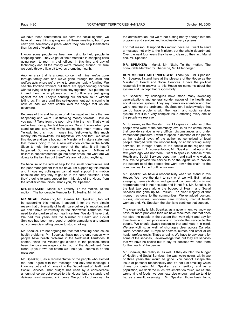we have these conferences, we have the social agenda, we have all these things going on, all these meetings, but if you can't give somebody a place where they can help themselves then it's sort of worthless.

I know some people we hear are trying to help people in shopping carts. They've got all their materials in shopping carts going room to room in their offices. In this time and day of technology and all the money we're throwing around, I'm sure we could throw a little bit towards promoting health.

Another area that is a great concern of mine, we've gone through family acts and we've gone through the child and welfare acts where we're trying to promote healthy families. We see the frontline workers out there are apprehending children without trying to help the families stay together. We put the act in and then the employees at the frontline are just going against the act. They're sending our children south without telling us. I'm sure glad this self-government act is coming in now. At least we have control over the people that we are governing.

Because of this and because of all the negative things that are happening and we're just throwing money towards…How do you put it? Take from the poor, give it to the rich. That's what we've been doing the last few years. Sure, it looks when you stand up and say, well, we're putting this much money into Yellowknife, this much money into Yellowknife, this much money into Yellowknife. It's repetitive. We see that. We leave this House and we're hoping the Minister will make a statement that there's going to be a new addiction centre in the North Slave to help the people north of the lake. It still hasn't happened. But we see money is being spent. Millions of dollars in supplementaries go into other areas, but what are we doing for the families out there? We are not doing anything.

So because of the lack of help for the small communities and the poor management that we have, I'm supporting this motion and I hope my colleagues can at least support this motion because one day they might be in the same situation. Then they're going to want support from this side of the House from the smaller communities. Thank you, Mr. Speaker.

**MR. SPEAKER:** Mahsi, Mr. Lafferty. To the motion. To the motion. The honourable Member for Tu Nedhe, Mr. Nitah.

**MR. NITAH:** Mahsi cho, Mr. Speaker. Mr. Speaker, I, too, will be supporting this motion. I support it for the very simple reason that universality of health care delivery is important and we don't have universality in the Northwest Territories. We need to standardize all our health centres. We don't have that. We had four years and the Minister of Health and Social Services has been very good at public campaigns and putting out commercials telling people to stop smoking.

Mr. Speaker, I'm not arguing the fact that smoking does cause health problems. Mr. Speaker, that's not the only reason why people have health problems in the Northwest Territories. It seems, since the Minister got elected to the position, that's been the core message coming out of the department. You clean up your own act before we'll help you, seems to be the message

Mr. Speaker, I, as a representative of the people who elected me, don't agree with that message and only that message. I know we put a lot of money into the Department of Health and Social Services. That budget has risen by a considerable amount since we got elected to this House, but the standard of delivery hasn't seemed to improve. We put a lot of money into the administration, but we're not putting nearly enough into the programs and services and frontline delivery systems.

For that reason I'll support this motion because I want to send a message not only to the Minister, but the whole department. Over the next four years they have to clean up their act. Mahsi cho, Mr. Speaker.

**MR. SPEAKER:** Mahsi, Mr. Nitah. To the motion. The honourable Member for Thebacha, Mr. Miltenberger.

**HON. MICHAEL MILTENBERGER:** Thank you, Mr. Speaker. Mr. Speaker, I stand here at the pleasure of the House as the Minister of Health and Social Services. I have the political responsibility to answer to this House on concerns about the system and I accept that responsibility.

Mr. Speaker, my colleagues have made many sweeping generalizations and general condemnation of the health and social services system. They say there's no attention and that we're ignoring the problems. Mr. Speaker, I acknowledge that we do have problems with the health and social services system; that it is a very complex issue affecting every one of the people we represent.

Mr. Speaker, as the Minister, I want to speak in defense of the people who work at the community level in all the communities that provide service in very difficult circumstances and under tremendous pressure. I want to speak in defense of the people at the regional level; of the authorities comprised of local people charged with the responsibility of administering many services, life through death, to the people of the regions that they represent. A representation, Mr. Speaker, that up until a few years ago was not there. I want to speak in defense of the Health and Social Services department and staff who work at this level to provide the service to do the legislation to provide the support to all the people that work down the chain, to the communities, to the frontline workers.

Mr. Speaker, we have a responsibility when we stand in this House. We have the right to say what we will. But making sweeping generalizations and general condemnations is not appropriate and is not accurate and is not fair. Mr. Speaker, in the last two years alone the budget of Health and Social Services has gone up \$49 million. The clear majority of that money has gone to the communities. We've added doctors, nurses, mid-wives, long-term care workers, mental health workers and, Mr. Speaker, the plan is to continue that support.

The clear reality is, Mr. Speaker, as a government we know we have far more problems than we have resources, but that does not stop the people in the system that work night and day for their lives and their professions to provide the service to the people. We should always recognize that and keep it in mind. We are victims, as well, of shortages clear across Canada, North America and Europe of doctors, nurses and other allied health professionals. That's a reality. We have to pay dearly for some of the services, I acknowledge that, but they are services that we have no choice but to pay for because we need them for the health of the people.

Mr. Speaker, the reality is, as well, if they doubled the budget of Health and Social Services, the way we're going, within two or three years that would be gone. You cannot escape the issue of personal responsibility and it's not just smoking which drives our costs. Mr. Speaker, as a territory and as a population, we drink too much, we smoke too much, we eat the wrong kind of foods, we don't exercise enough and we tend to be, as a result, overweight. Mr. Speaker, those basic facts,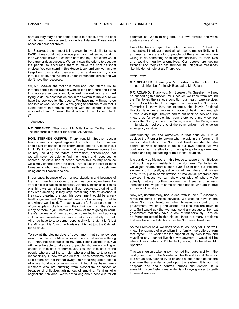hard as they may be for some people to accept, drive the cost of this health care system to a significant degree. Those are all based on personal choice.

Mr. Speaker, the one most telling example I would like to use is FASD. If we could just convince pregnant mothers not to drink then we could have our children born healthy. That alone would be a tremendous success. We can't stop the efforts to educate the people, to encourage them to make the right personal choices. We can stand in this House today and say we have to keep fixing things after they are broken and we can try to do that, but clearly the system is under tremendous stress and we don't have the resources.

So, Mr. Speaker, the motion is there and I can tell this House that the people in the system worked long and hard and I take this job very seriously and I, as well, worked long and hard trying to do the best that we can in the system to make sure we have the services for the people. We have many things to do and lots of work yet to do. We're going to continue to do that. I stand before this House charged with the serious issue of misconduct and I'd await the direction of the House. Thank you.

#### ---Applause

**MR. SPEAKER:** Thank you, Mr. Miltenberger. To the motion. The honourable Member for Sahtu, Mr. Kakfwi.

**HON. STEPHEN KAKFWI:** Thank you, Mr. Speaker. Just a few comments to speak against the motion. I, too, think we should just let people in the communities and all try to do that. I think it's important to know that every Premier across this country, including the federal government, acknowledge that we will never be able to find the money and resources to address the difficulties of health across this country because we simply cannot cover the cost. That is just the cost of most Canadians who need basic health services. The costs are rising and will continue to rise.

In our case, because of our remote situations and because of the rising health conditions of aboriginal people, we have the very difficult situation to address. As the Minister said, I think one thing we can all agree here, if our people stop drinking, if they stop smoking, if they stop committing acts of violence, if they stop breaking the law, this government would be a very healthy government. We would have a lot of money to put to use where we should. The fact is we don't. Because too many of our people smoke too much, they drink too much, there's too many of them in jail, there's too many of them going to court, there's too many of them abandoning, neglecting and abusing children and somehow we have to take responsibility for that. All of us have to take some responsibility for that. It isn't just the Minister. It isn't just the Ministers. It is not just the Cabinet. It's all of us.

To say at the closing days of government that somehow you want to single out a Minister for all the ills that we're suffering is, I think, not acceptable on my part. I don't accept that. We will never be able to take care of people who are not willing or unable to take care of themselves. You can take care of the people who are willing to help, who are willing to take some responsibility. I know we can do that. These problems that I've said before are not that far away. I'm not talking about people who are hundreds of miles away. A lot of us have family members who are suffering from alcoholism or cancer or because of difficulties arising out of smoking. Families who neglect their children. We're not talking about people in far-off

communities. We're talking about our own families and we're acutely aware of that.

I ask Members to reject this motion because I don't think it's acceptable. I think we should all take some responsibility for it and realize there are a lot of people out there as well who are willing to do something or taking responsibility for their lives and seeking healthy alternatives. Our people are getting stronger and they can get stronger still. Negative messages like this do not help at all. Thank you.

---Applause

**MR. SPEAKER:** Thank you, Mr. Kakfwi. To the motion. The honourable Member for Inuvik Boot Lake, Mr. Roland.

**MR. ROLAND:** Thank you, Mr. Speaker. Mr. Speaker, I will not be supporting this motion. Mr. Speaker, we know from around the Territories the serious condition our health care services are in. As a Member for a larger community in the Northwest Territories I know that, for example, the Inuvik Regional Hospital is under a serious situation of having not enough nurses to do things. They've had to cut back on services. We know that, for example, last year there were many centres across the North, some in the Sahtu, some in the Delta, some in Nunakput, I believe one of the communities, had to go on emergency services.

Unfortunately, we find ourselves in that situation. I must applaud the Premier for saying what he said in this forum. Until we as individuals in the Northwest Territories start to take control of what happens to us in our own bodies, we will continually be in a situation of having to go to a government source and request funding or help in that situation.

It is our duty as Members in this House to support the initiatives that would help our residents in the Northwest Territories. As we've just heard, there's been over \$49 million put into the system and I, myself, question sometimes where that money goes; if it's just to administration or into actual programs and services. I guess we can show examples of where we're actually putting frontline workers in there and actually increasing the wages of some of those people who are in drug and alcohol facilities.

Now, we, unfortunately, had to deal with in the  $13<sup>th</sup>$  Assembly, removing some of those services. We used to have in the whole Northwest Territories, when Nunavut was part of this government, five drug and alcohol facilities. We are down to one. So I would say that we must send a message to the next government that they have to look at that seriously. Because as Members stated in this House, there are many problems that revolve around alcoholism in the Northwest Territories.

As the Premier said, we don't have to look very far. I, as well, know the ravages of alcoholism in a family. I've suffered from that myself. If it wasn't for the support of my own family and myself to say I cannot live this way anymore, I would still be where I was before, if I'd be lucky enough to be alive, Mr. Speaker.

This we shouldn't take lightly. I've had the responsibility in the past government to be Minister of Health and Social Services. It is not an easy task to try to balance all the needs across the spectrum that are demanded upon the system. It is not just hospitals and health centres, nurses and doctors. It is everything from foster care to dentists to eye glasses to teeth to funeral services.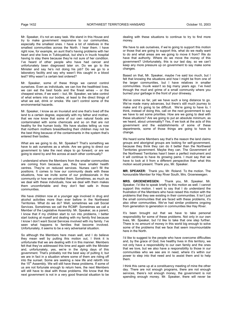Mr. Speaker, it's not an easy task. We stand in this House and try to make government responsive to our communities, especially the smallest ones. I have a lot of relatives in the smallest communities across the North. I hear them. I have right now, for example, an aunt that's having problems with her heart and she lives in Tuktoyaktuk, but she's in Inuvik hospital having to stay there because they're not sure of her condition. I've heard of other people who have had cancer and unfortunately been diagnosed later on. Do we go to the Minister and say he's not doing his job? Do we go to a laboratory facility and say why wasn't this caught in a blood test? Why wasn't a certain test ordered?

Mr. Speaker, some of these things we cannot control ourselves. Even as individuals, we can live the healthiest lives, we can eat the best foods and the finest wines -- or the cheapest wines, if we want -- but, Mr. Speaker, we take control of what enters into our bodies, at least to the direct things of what we eat, drink or smoke. We can't control some of the environmental hazards.

Mr. Speaker, I know as an Inuvialuit and one that's lived off the land to a certain degree, especially with my father and mother, that we now know that some of our own natural foods are contaminated with some chemicals and so on that are not healthy for the human body. We have studies telling us now that northern mothers breastfeeding their children may not be the best thing because of the contaminants in the system that's entered their bodies.

What are we going to do, Mr. Speaker? That's something we have to ask ourselves as a whole. Are we going to direct our government to take the next steps to go forward, or are we going to stand by and fire across at each other continually?

I understand where the Members from the smaller communities are coming from because, yes, they have smaller health centres. They're on reduced services. Nurses can't fill the positions. It comes to how our community deals with these situations, how we invite some of our professionals in the community or how we uninvited them. Sometimes, as much as we deal with these individuals, how we deal with them makes them uncomfortable and they don't feel safe in those communities.

We have children now at a younger age involved in drug and alcohol activities more than ever before in the Northwest Territories. What do we do? Well, sometimes we call Social Services. Sometimes we call the RCMP. Sometimes we call a Member of the Legislative Assembly. Mr. Speaker, as a parent, I know that if my children start to run into problems, I better start looking at myself and dealing with my family first because I know I don't want Social Services involved with my family. I've seen what happens to families that become involved. Unfortunately, it seems to be a very adversarial situation.

So although the Members here mean well, and I do believe they mean well by putting this motion out, I think it is unfortunate that we are dealing with it in this manner. Members felt that they've addressed this time and again with the Minister and, unfortunately, yes, we're in the dying days of this government. That's probably not the best way of putting it, but we are in fact in a situation where some of them are riding off into the sunset. Some are seeking a new life and rebirth into the 15<sup>th</sup> Assembly. We will still have these problems. If some of us are not fortunate enough to return here, the next Members will still have to deal with those problems. We know that the next government is not in a very good financial situation to be

dealing with these situations to continue to try to find more money.

We have to ask ourselves, if we're going to support this motion or those that are going to support this, what do we really want to do and what areas are we going to move it from? We do have that authority. Where do we move the money of this government? Unfortunately, this is our last day, so we can't keep any more pressure up on government to say make some changes.

Based on that, Mr. Speaker, maybe I've said too much, but I felt that knowing the situations and how I might be from one of the larger communities, but I have relatives in smaller communities. Inuvik wasn't so big many years ago. I've lived through the mud and grime of a small community where you burned your garbage in the front of your driveway.

We've come so far, yet we have such a long distance to go. We've made many advances, but there's still much journey to make and it's going to be difficult. We're going to have to, I think, instead of doing this, call on the next government to say we have to set some priorities. How are we going to deal with these situations? Are we going to put an absolute minimum, as we heard, about universality? Yes, if we look at the acts of this government and the establishments of some of these departments, some of those things are going to have to change.

We heard some Members say that's the reason the land claims groups and aboriginal groups are looking for self-government, because they think they can do it better than the Northwest Territories government. Maybe they can. The Government of the Northwest Territories hasn't been a perfect instrument and it will continue to have its growing pains. I must say that we have to look at it from a different perspective than what this motion would present. Thank you, Mr. Speaker.

**MR. SPEAKER:** Thank you, Mr. Roland. To the motion. The honourable Member for Hay River South, Mrs. Groenewegen.

**MRS. GROENEWEGEN:** Thank you, Mr. Speaker. Mr. Speaker, I'd like to speak briefly to this motion as well. I cannot support this motion. I want to say that I do understand the frustration of the Members who have raised this motion with the problems that they see existing in their communities. It isn't just the small communities that are faced with these problems, it's also other communities. We've had similar problems ongoing from generation to generation in communities like Hay River.

It's been brought out that we have to take personal responsibility for some of these problems. Not only in our own lives, Mr. Speaker, but I'd like to take that one step further. There is no amount of money in this world big enough to solve some of the problems that we face that seem insurmountable here in the North.

I'd like to suggest to the people who have overcome difficulties and, by the grace of God, live healthy lives in this territory, we not only have a responsibility to our own family and the ones that we love, but we also have a responsibility to those in our communities who we see are in need, where it's within our power to step into that need and to assist them and to help them.

I think this came up at a constituency meeting of mine the other day. There are not enough programs, there are not enough services, there's not enough money, the government is not spending enough money. Mr. Speaker, there will never be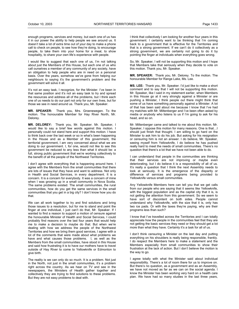enough programs, services and money, but each one of us has it in our power the ability to help people we see around us. It doesn't take a lot of extra time out of your day to make a phone call to check on people, to see how they're doing, to encourage people, to take them into your home for a meal, to show hospitality, to share your own life's experience with people.

I would like to suggest that each one of us, I'm not talking about just the Members of this House, but each one of us who call ourselves a member of any community of any society, have an obligation to help people who are in need on a personal basis. Over the years, somehow we've gone from helping our neighbours to saying it's the government's problem and the government will solve it all.

It's not an easy task, I recognize, for the Minister. I've been in that same position and it's not an easy task to try and spread the resources and address all of the problems, but I think each one of us needs to do our part not only for our own lives, but for those we see in need around us. Thank you, Mr. Speaker.

**MR. SPEAKER:** Thank you, Mrs. Groenewegen. To the motion. The honourable Member for Hay River North, Mr. Delorey.

**MR. DELOREY:** Thank you, Mr. Speaker. Mr. Speaker, I would like to say a brief few words against this motion. I personally could not stand here and support this motion. I have to think back over the last week or so in what's been happening in the House and as a Member of this government, the territorial government, I am very concerned about what we are doing to our government. I, for one, would not like to see this government be reduced to any less than what it should be: a full, strong public government that we're working collectively to the benefit of all the people of the Northwest Territories.

I don't agree with everything that is happening around here. I agree with the Members from the small communities that there are lots of issues that they have and want to address. Not only in Health and Social Services, in every department. It is a concern. It is a concern for everybody. It was a concern of mine when I was growing up in a small community in Nova Scotia. The same problems existed. The small communities, the rural communities, how do you get the same services in the small communities that you get in a big city? I don't know how you do that.

We can all work together to try and find solutions and bring those issues to a resolution, but for me to stand and point the finger at one individual, I just can't do that, Mr. Speaker. If I wanted to find a reason to support a motion of censure against the honourable Minister of Health and Social Services, I could probably find reasons over the last four years that would help me to make a decision to maybe do that. But when we're dealing with how we address the people of the Northwest Territories and how we bring them good services, I agree with a lot of the comments that were made about what problems we have and what causes those problems. I, as well as the Members from the small communities, have stood in this House and said how frustrating it is to have our mothers have to travel outside of Hay River to come to Yellowknife or Edmonton to give birth.

The reality is we can only do so much. It is a problem. Not just in the North, not just in the small communities, it's a problem right across the country. As we hear on TV and see in the newspapers, the Ministers of Health gather together and collectively they are trying to find solutions to these problems. But they are not easy problems to deal with.

I think that collectively I am looking for another four years in this government. I certainly want to be thinking that I'm coming back to a government that is effective for the Territories and that is a strong government. If we can't do it collectively as a strong government, we are certainly not going to do it by pointing the finger at individuals when everything goes wrong.

So, Mr. Speaker, I will not be supporting this motion and I hope that Members take that seriously when they decide to vote on this motion. Thank you, Mr. Speaker.

**MR. SPEAKER:** Thank you, Mr. Delorey. To the motion. The honourable Member for Range Lake, Ms. Lee.

**MS. LEE:** Thank you, Mr. Speaker. I'd just like to make a short comment and to say that I will not be supporting this motion. Mr. Speaker, like I said in my statement earlier, when Members in this House go at it very strongly against a Minister or are pushing a Minister, I think people out there might think that some of us have something personally against a Minister. A lot of that has been said about me because I know that I've had my matches with Mr. Miltenberger and I've been often asked by media or anybody who listens to us if I'm going to ask for his head, and so on.

Mr. Miltenberger came and talked to me about this motion. Mr. Speaker, I oppose this motion for many reasons. One is that…I should just finish that thought. I am willing to go hard on the Minister to ask him to do his job. But asking for his resignation or censuring him is not an answer. I do believe, Mr. Speaker, seeing myself from Yellowknife, I do believe he has pushed really hard to meet the needs of small communities. There's no question that there's a lot that we have not been able to do.

I can understand that people in the communities are thinking that their services are not improving or maybe even deteriorating, but I do believe it is a responsibility of all of us. It's really a question that I think the next Assembly needs to look at seriously. It is the emergence of the disparity or difference of services and programs being provided to Yellowknife versus small communities.

Any Yellowknife Members here can tell you that we get calls from our people who are saying that it seems like Yellowknife, with the biggest population and as the capital city that it is, is not getting the attention from this government. So we seem to have sort of discontent on both sides. People cannot understand why Yellowknife, with the size that it is, only has two ice pads. Or with the taxes they're paying, why are their programs less than such?

I know that I've travelled across the Territories and I can totally appreciate how the people in the communities feel that they are not getting the basic services they need or they should get a lot more than what they have. Certainly it's a task for all of us.

I don't think censuring a Minister on the last day and putting everything on his shoulders is really being responsible, frankly. I do respect the Members here to make a statement and the Members especially from small communities to show their frustration at the lack of action. But I don't believe the motion is the way to go.

I agree totally with what the Minister said about individual responsibility. There's a lot of room there for us to improve on. But there's no question, as a government and as an Assembly, we have not moved as far as we can on the social agenda. I know the Minister has been working very hard on a health care plan. We have had so many studies in the last three years,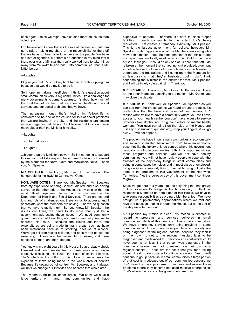once again, I think we might have studied more on issues than acted upon.

I do believe and I know that it's the eve of the election, but I am not afraid of taking my share of the responsibility for the stuff that we have not been able to achieve for the people. We have had lots of agendas, but there's no question in my mind that if there ever was a Minister that really worked hard to take things away from Yellowknife and put it into communities, that is Mr. Miltenberger.

## ---Laughter

I'll give you that. Much of my fight had to do with stopping him because that would be my job to do it.

So I hope I'm making myself clear. I think it's a question about small communities versus big communities. It's a challenge for many governments to come to address. It's about how much of the total budget we had that we spent on health and social services and our social problems that we have.

The increasing money that's flowing in Yellowknife is considered to be one of the causes for lots of social problems that we are having in the city, and the residents are getting more engaged in that debate. So I believe that this is an issue much bigger than the Minister himself…

- ---Laughter
- …so, for that reason…
- ---Laughter

…bigger than the Minister's power. So I'm not going to support this motion, but I do respect the arguments being put forward by the Members for North Slave and Mackenzie Delta. Thank you, Mr. Speaker.

**MR. SPEAKER:** Thank you, Ms. Lee. To the motion. The honourable for Yellowknife Centre, Mr. Ootes.

**HON. JAKE OOTES:** Thank you, Mr. Speaker. Mr. Speaker, from my experience of being Cabinet Minister and also having served on the other side of the House, it's my opinion that the most difficult department to run in this government is the Department of Health and Social Services. There are lots and lots and lots of challenges out there for us to address, and I appreciate what the Members are saying. There's no question that we have to tackle them. But you know, Mr. Speaker, the issues out there, we need to do more than just be a government addressing these issues. We need community governments to address this, we need community leaders to address this issue. Because the issues out there, the expenditures are being made in many areas, such as have been referenced because of smoking, because of alcohol. We've got children raising children, and obesity and people not exercising. Those are the issues, Mr. Speaker, and there needs to be more and more debate.

You know in my eight years in this House, I can probably check Hansard and count maybe two or three times when we've seriously discussed this issue, the issue of social lifestyles. That's what's at the bottom of this. How do we address the expenditure that's being made in the whole area of health? Because it's getting out of control, Mr. Speaker, and it always will until we change our lifestyles and address that whole area.

The system is, no doubt, under stress. We know we have a large territory with many, many communities, and that's expensive to operate. Therefore, it's hard to place proper facilities in each community to the extent that's being requested. That creates a tremendous difficulty, Mr. Speaker. This is the largest government for dollars, however, Mr. Speaker, while I appreciate what the Members are saying who moved this motion, I feel the condemnation of the Minister and his department are totally misdirected in this. But for the grace of God, there go I. It could be any one of us here if that attitude is taken at the moment that something isn't provided, okay, put a motion before the House of non-confidence in the Minister. I understand the frustrations and I compliment the Members for at least saying that they're frustrated, but I don't think condemning the Minister is the answer for that, Mr. Speaker, and I will definitely vote against it. Thank you.

**MR. SPEAKER:** Thank you, Mr. Ootes. To the motion. There are no other Members speaking to the motion. Mr. Krutko, you may close the debate.

**MR. KRUTKO:** Thank you, Mr. Speaker. Mr. Speaker, as you can see from the presentations we heard around the table, it's pretty clear that the have and have not communities don't realize what it's like to have a community where you can't have access to your health centre, you don't have access to service providers like alcohol and drug counsellors or mental health workers. You guys can all sit on that side of the House and just say quit smoking, quit drinking, snap your fingers, it will go away. It will not happen.

The problem we have in our small communities is economically and socially stimulated because we don't have an economic base, not like the luxury of large centres where this government basically runs those communities. I think it's important without these programs and services, you will not have healthy communities, you will not have healthy people to cope with the stresses of the day-to-day things in small communities and being in some cases homeless and in most cases unemployed, living on income support, living in social housing. That's the stem of the problem of this Government of the Northwest Territories. Yet the bureaucracy of this government continues to grow.

Since we got here four years ago, the only thing that has grown in this government's budget is the bureaucracy. I think as responsible Members on both sides of this House, we have to take some responsibilities as ordinary Members, too. We have brought up supplementary appropriations where we rant and rave and question it going through the House, but at the end of the day we vote them out.

Mr. Speaker, my motion is clear. My motion is directed in regard to programs and services delivered in small communities which at this time are nil in some communities. We have emergency services only being provided in some communities right now. We have people who basically are being diagnosed at the regional hospital because they took it on their own to get to the regional hospital, later to be diagnosed and medevaced to Edmonton at a cost which could have been a lot less if that person was diagnosed in the community before they had to make it on their own to a regional hospital. Those are the costs that you keep talking about. Health care costs will continue to go up. Yes, they'll continue to go up because in small communities a large portion of that cost is medevacs out of our communities because we don't have the basic programs to diagnose and assess these problems before they become so-called medical emergencies. That's where the costs of this government are going.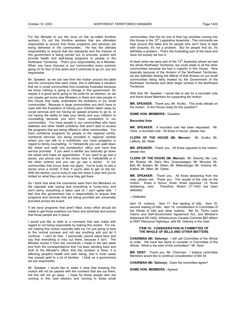For the Minister to put the onus on the so-called frontline workers, it's not the frontline workers that are ultimately responsible to ensure that those programs and services are being delivered in the communities. He has the ultimate responsibility to ensure that the standards and the mission of this government is being carried out, to promote, protect and provide health and well-being programs to people in the Northwest Territories. That's your responsibility as a Minister. When you have closures in our communities every summer going on for four or five years and it continues to go on, you are responsible.

Mr. Speaker, as we can see from the motion around the table and the comments that were made, this is definitely a situation that we in small communities find ourselves frustrated because we know nothing is going to change in this government. So maybe it is good we're going to the polls for an election, so we can maybe get some new Ministers in there and new people in this House that really understand the problems in our small communities. Because in large communities you don't have to cope with the frustration of having your children taken away by social services and not having an appeal process to go to, or not having the ability to take your family and your children to counselling because you don't have counsellors in our communities. You have people in our communities who have diabetes and other health problems that aren't able to access the programs that are being offered in other communities. You have nutritional programs for people in the regional centre, nutritional services are being provided in regional centres where you can talk to a nutritionist, you have programs in regard to family counselling. In Yellowknife you can walk down the street and walk into somebody's office and have that service provided. If you want a dentist you basically go down the street and make an appointment. If you want to go see a doctor, you phone one of the clinics here in Yellowknife or in the other centres and you can go see a doctor. In our communities that luxury does not apply. You're lucky to see a doctor once a month, if that, if you're able to get on the list. With the dentist, you're lucky to see him twice a year and you're limited on what they can do once they get there.

So I think that what the comments were from the Members on the opposite side saying that everything is hunky-dory and don't worry, everything is taken care of, I can't agree with. I feel that this government has a responsibility to ensure that programs and services that are being provided are universally provided across the board.

If we have programs that aren't filled, every effort should be made to get those positions out there and advertise and ensure that those people are in place.

I would just like to refer to a comment that was made with regard to not being responsible by making this motion. For me, not making this motion basically tells me I'm just going to bow to the normal process and not say anything and just let it continue. I can't do that. I personally cannot stand here and say that everything is rosy out there, because it isn't. The Minister knows it from the comments I made in the last week and from the correspondence that I've been sending back and forth to the Minister's office, that this problem is there, it is affecting people's health and well- being, and in most cases has caused grief to a lot of families. I think as a government we are responsible.

Mr. Speaker, I would like to make it clear that knowing this motion will not be passed with the numbers that are out there, but this will not go away. I hope for those people who are running in this next election and running in those small

communities, that this be one of their top priorities coming into this House in the 15<sup>th</sup> Legislative Assembly. The comments we hear around this table and for people who don't have to deal with closures, it's not a problem. But for people that do, it's definitely a problem. That's the frustrating part of the have and have not society we live in.

At least when we were part of the  $13<sup>th</sup>$  Assembly where we had the whole Northwest Territories, we could relate to all the other communities because we had a majority in this House. Now basically because of the division of the Northwest Territories, we are definitely feeling the effects of that division on our small communities being fairly treated by the Government of the Northwest Territories and other larger centres in the Northwest **Territories** 

With that, Mr. Speaker, I would like to ask for a recorded vote and thank those Members for supporting the motion.

**MR. SPEAKER:** Thank you, Mr. Krutko. This ends debate on the motion. Is the House ready for the question?

**SOME HON. MEMBERS:** Question.

#### **Recorded Vote**

**MR. SPEAKER:** A recorded vote has been requested. Mr. Clerk, a recorded vote. All those in favour, please rise.

**CLERK OF THE HOUSE (Mr. Mercer):** Mr. Krutko, Mr. Lafferty, Mr. Nitah.

**MR. SPEAKER:** Thank you. All those opposed to the motion, please rise.

**CLERK OF THE HOUSE (Mr. Mercer):** Mr. Delorey, Ms. Lee, Mr. Roland, Mr. Dent, Mrs. Groenewegen, Mr. McLeod, Mr. Bell, Mr. Braden, Mr. Steen, Mr. Miltenberger, Mr. Antoine, Mr. Kakfwi, Mr. Allen, Mr. Ootes.

**MR. SPEAKER:** Thank you. All those abstaining from the vote, please rise. Thank you. The results of the vote on the motion: those in favour, three; those opposed, 14; those abstaining, zero. Therefore, Motion 21-14(6) has been defeated.

#### ---Defeated

Item 16, motions. Item 17, first reading of bills. Item 18, second reading of bills. Item 19, consideration in Committee of the Whole of bills and other matters: Bill 34, Tlicho Land Claims and Self-Government Agreement Act, and Minister's Statement 89-14(6): Infrastructure Canada Commits \$65 Million to NWT Resource Highways, with Mr. Delorey in the chair.

#### **ITEM 19: CONSIDERATION IN COMMITTEE OF THE WHOLE OF BILLS AND OTHER MATTERS**

**CHAIRMAN (Mr. Delorey):** I will call Committee of the Whole to order. We have two items to consider in Committee of the Whole. What is the wish of the committee? Mr. Dent.

**MR. DENT:** Thank you, Mr. Chairman. I believe committee Members would like to continue consideration of Bill 34.

**CHAIRMAN (Mr. Delorey):** Does the committee agree?

#### **SOME HON. MEMBERS:** Agreed.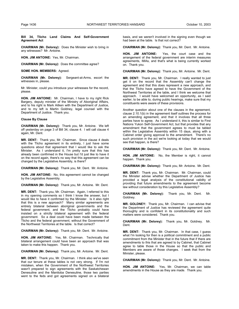#### **Bill 34, Tlicho Land Claims And Self-Government Agreement Act**

**CHAIRMAN (Mr. Delorey):** Does the Minister wish to bring in any witnesses? Mr. Antoine.

**HON. JIM ANTOINE:** Yes, Mr. Chairman.

**CHAIRMAN (Mr. Delorey):** Does the committee agree?

**SOME HON. MEMBERS:** Agreed.

**CHAIRMAN (Mr. Delorey):** Sergeant-at-Arms, escort the witnesses in, please.

Mr. Minister, could you introduce your witnesses for the record, please.

**HON. JIM ANTOINE:** Mr. Chairman, I have to my right Rick Bargery, deputy minister of the Ministry of Aboriginal Affairs, and to his right is Mark Aitken with the Department of Justice, and to my left is Martin Goldney, legal counsel with the Department of Justice. Thank you.

#### **Clause By Clause**

**CHAIRMAN (Mr. Delorey):** Thank you, Mr. Antoine. We left off yesterday on page 3 of Bill 34, clause 4. I will call clause 4 again, Mr. Dent.

**MR. DENT:** Thank you, Mr. Chairman. Since clause 4 deals with the Tlicho agreement in its entirety, I just have some questions about that agreement that I would like to ask the Minister. As I understand it, I'm pretty sure that this has already been confirmed in the House but I'd just like to have it on the record again, there's no way that this agreement can be changed by the Legislative Assembly, is there?

**CHAIRMAN (Mr. Delorey):** Thank you, Mr. Dent. Mr. Antoine.

**HON. JIM ANTOINE:** No, this agreement cannot be changed by the Legislative Assembly.

**CHAIRMAN (Mr. Delorey):** Thank you, Mr. Antoine. Mr. Dent.

**MR. DENT:** Thank you, Mr. Chairman. Again, I referred to this in my opening comments so I think I know the answer, but I would like to have it confirmed by the Minister. Is it also right that this is a new approach? Many similar agreements are entirely bilateral between aboriginal governments and the federal government, and the Tlicho probably could have insisted on a strictly bilateral agreement with the federal government. So a deal could have been made between the Tlicho and the federal government, without the Government of the Northwest Territories at the table. Is that correct?

**CHAIRMAN (Mr. Delorey):** Thank you, Mr. Dent. Mr. Antoine.

**HON. JIM ANTOINE:** Yes, Mr. Chairman. Technically that bilateral arrangement could have been an approach that was taken to make this happen. Thank you.

**CHAIRMAN (Mr. Delorey):** Thank you, Mr. Antoine. Mr. Dent.

**MR. DENT:** Thank you, Mr. Chairman. I think also we've seen that our tenure at these tables is not very strong. If I'm not mistaken, when the Government of the Northwest Territories wasn't prepared to sign agreements with the Saskatchewan Denesuline and the Manitoba Denesuline, those two parties went to the feds and got agreements signed on a bilateral

basis, and we weren't involved in the signing even though we had been at the table. Is that not correct?

**CHAIRMAN (Mr. Delorey):** Thank you, Mr. Dent. Mr. Antoine.

**HON. JIM ANTOINE:** Yes, the court case and the arrangement of the federal government are interim measures agreements, IMAs, and that's what is being currently worked on. Thank you.

**CHAIRMAN (Mr. Delorey):** Thank you, Mr. Antoine. Mr. Dent.

**MR. DENT:** Thank you, Mr. Chairman. I really wanted to just get it on the record that the Assembly can't change the agreement and that this does represent a new approach, and that the Tlicho have agreed to have the Government of the Northwest Territories at the table, and I think we welcome that approach. I would have welcomed an opportunity, as I said earlier, to be able to, during public hearings, make sure that my constituents were aware of these provisions.

Another question about one of the clauses in the agreement, clause 2.10.1(b) in the agreement itself outlines the process for an amending agreement, and that it involves that all three parties have to agree. As I understand it, this is similar to First Nations Yukon Self-Government Act, but that provides that any amendment that the government agrees to must be tabled within the Legislative Assembly within 15 days, along with a Cabinet order giving approval to the amendment. There's no such provision in the act we're looking at today that we would see that happen, is there?

**CHAIRMAN (Mr. Delorey):** Thank you, Mr. Dent. Mr. Antoine.

**HON. JIM ANTOINE:** No, the Member is right, it cannot happen. Thank you.

**CHAIRMAN (Mr. Delorey):** Thank you, Mr. Antoine. Mr. Dent.

**MR. DENT:** Thank you, Mr. Chairman. Mr. Chairman, could the Minister advise whether the Department of Justice has provided a legal analysis of the constitutional validity of providing that future amendments to the agreement become law without consideration by this Legislative Assembly?

**CHAIRMAN (Mr. Delorey):** Thank you, Mr. Dent. Mr. Goldney.

**MR. GOLDNEY:** Thank you, Mr. Chairman. I can advise that the Department of Justice has reviewed the agreement quite thoroughly and is confident in its constitutionality and such matters were considered. Thank you.

**CHAIRMAN (Mr. Delorey):** Thank you, Mr. Goldney. Mr. Dent.

**MR. DENT:** Thank you, Mr. Chairman. In that case, I guess what I'm looking for then is a political commitment and a public commitment from the Minister that in the future that if there are amendments to this that are agreed to by Cabinet, that Cabinet agree to table those in the House so that the public and Members are aware of those changes. I seek that from the Minister, please.

**CHAIRMAN (Mr. Delorey):** Thank you, Mr. Dent. Mr. Antoine.

**HON. JIM ANTOINE:** Yes, Mr. Chairman, we can table amendments in the House as they are made. Thank you.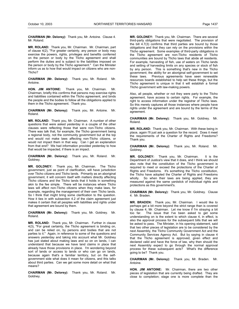**CHAIRMAN (Mr. Delorey):** Thank you, Mr. Antoine. Clause 4. Mr. Roland.

**MR. ROLAND:** Thank you, Mr. Chairman. Mr. Chairman, part of clause 4(2), "For greater certainty, any person or body may exercise the powers, rights, privileges and benefits conferred on the person or body by the Tlicho agreement and shall perform the duties and is subject to the liabilities imposed on the person or body by the Tlicho agreement." Can the Minister inform us as to how that would impact on citizens who are non-Tlicho?

**CHAIRMAN (Mr. Delorey):** Thank you, Mr. Roland. Mr. Antoine.

**HON. JIM ANTOINE:** Thank you, Mr. Chairman. Mr. Chairman, briefly this confirms that persons may exercise rights and liabilities contained within the Tlicho agreement, and binds the people and the bodies to follow all the obligations applied to them in the Tlicho agreement. Thank you.

**CHAIRMAN (Mr. Delorey):** Thank you, Mr. Antoine. Mr. Roland.

**MR. ROLAND:** Thank you, Mr. Chairman. A number of other questions that were asked yesterday in a couple of the other clauses were reflecting those that were non-Tlicho citizens. There was talk that, for example, the Tlicho government being a regional body, not the community government but at the top end would not make laws affecting non-Tlicho citizens, or would not impact them in that way. Can I get an explanation from that end? We had information provided yesterday to how that would be impacted, if there is an impact.

**CHAIRMAN (Mr. Delorey):** Thank you, Mr. Roland. Mr. Goldney.

**MR. GOLDNEY:** Thank you, Mr. Chairman. The Tlicho government, just as point of clarification, will have jurisdiction over Tlicho citizens and Tlicho lands. Primarily as an aboriginal government, it will concern itself with matters directly affecting Tlicho citizens and the Tlicho lands that it holds in something akin to the fee simple. There will be instances where Tlicho laws will affect non-Tlicho citizens when they make laws, for example, regarding the management of their own Tlicho lands. So I think that might bring some clarification to the question. How it ties in with subsection 4.2 of the claim agreement just makes it certain that all peoples with liabilities and rights under that agreement are bound by them.

**CHAIRMAN (Mr. Delorey):** Thank you, Mr. Goldney. Mr. Roland.

**MR. ROLAND:** Thank you, Mr. Chairman. Further in clause 4(3), "For great certainty, the Tlicho agreement is binding on, and can be relied on, by persons and bodies that are not parties to it." Again, in reference to some of the questions and answers yesterday and taking into account what Mr. Goldney has just stated about making laws and so on on lands, I can understand that because we have land claims in place that already have those provisions in place. I'm wondering beyond sort of lands or access to lands or who can go on lands, because again that's a familiar territory, but on the selfgovernment side what does it mean for citizens, and this talks about third parties. Can we get some more detail on what that means?

**CHAIRMAN (Mr. Delorey):** Thank you, Mr. Roland. Mr. Goldney.

**MR. GOLDNEY:** Thank you, Mr. Chairman. There are several third-party obligations that were negotiated. The provision of the bill 4.7(3) confirms that third parties are bound by those obligations and that they can rely on the provisions within the Tlicho agreement. Some examples of third-party obligations in the Tlicho agreement are non-Tlicho residents of Tlicho communities are bound by Tlicho laws that abide all residents. For example, harvesting of fish, use of waters on Tlicho lands and setting of harvesting limits on any species or stock of fish by any person. This is something that's new in the Tlicho government; the ability for an aboriginal self-government to set these laws. Previous agreements have seen renewable resources boards established to help set these things, but the Tlicho agreement is unique in that it will establish a formal Tlicho government with law-making powers.

Also, all people, whether or not they were party to the Tlicho agreement, have access to certain rights. For example, the right to access information under the registrar of Tlicho laws. So this merely captures all those instances where people have rights under the agreement and are bound by the terms of the agreement.

**CHAIRMAN (Mr. Delorey):** Thank you, Mr. Goldney. Mr. Roland.

**MR. ROLAND:** Thank you, Mr. Chairman. With these being in place, again I'll just ask a question for the record. Does it meet the requirements of the Charter of Rights and Freedoms? Thank you.

**CHAIRMAN (Mr. Delorey):** Thank you, Mr. Roland. Mr. Goldney.

**MR. GOLDNEY:** Thank you, Mr. Chairman. It is the Department of Justice's view that it does, and I think we should also note that the constitution of the Tlicho government is required to meet or exceed the protections of the Charter of Rights and Freedoms. It's something the Tlicho constitution, the Tlicho have adopted the Charter of Rights and Freedoms wholly. So when their laws are being applied, they are measured against the same yardstick of individual rights and protections as this government's.

**CHAIRMAN (Mr. Delorey):** Thank you, Mr. Goldney. Clause 4. Mr. Braden.

**MR. BRADEN:** Thank you, Mr. Chairman. I would like to perhaps get a bit more beyond the strict range than is covered by clause 4, Mr. Chairman. Let me know if I'm straying a bit too far. The issue that I've been asked to get some understanding on is the extent to which clause 4, in effect, is also the approval process for the subsequent bills that we will be asked to pass. The Minister, in his opening statement, said that two other pieces of legislation are to be considered by the next Assembly, the Tlicho Community Government Act and the Community Services Agency Act. But by saying in clause 4 that the Tlicho agreement is approved, given effect and declared valid and have the force of law, why then should the next Assembly expect to go through the normal approval process for these subsequent acts? What's the difference going to be? Thank you.

**CHAIRMAN (Mr. Delorey):** Thank you, Mr. Braden. Mr. Antoine.

**HON. JIM ANTOINE:** Mr. Chairman, there are two other pieces of legislation that are currently being drafted. They are close to completion; stage one is more complete than the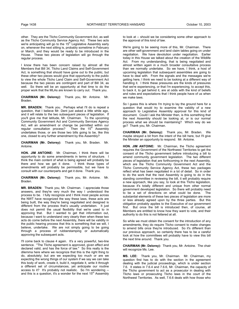other. They are the Tlicho Community Government Act, as well as the Tlicho Community Service Agency Act. These two acts we're anticipating will go to the 15<sup>th</sup> Legislative Assembly early on, whenever the next sitting is, probably sometime in February or March, and they would be ready to be introduced in the House. These two pieces of legislation will go through the regular process.

I know there has been concern raised by almost all the Members that Bill 34, Tlicho Land Claims and Self-Government Act, is something that should have gone out to the public, but these other two pieces would give that opportunity to the public to view the whole Tlicho Land Claim and Self-Government Act because the two pieces are contingent and part of Bill 34, as well. So there will be an opportunity at that time to do the proper work that the MLAs are known to carry out. Thank you.

**CHAIRMAN (Mr. Delorey):** Thank you, Mr. Antoine. Mr. Braden.

**MR. BRADEN:** Thank you. Perhaps what I'll do is repeat a question, that I believe Mr. Dent just asked a little while ago, and it will relate to the two subsequent pieces of legislation. If you'll give me that latitude, Mr. Chairman. To the upcoming Community Government Act and Community Services Agency Act, will an amendment or change be permitted within our regular consultation process? Then the  $15<sup>th</sup>$  Assembly regular consultation process? undertakes those, or are those two bills going to be, like this one, closed to any further amendment by this Assembly?

**CHAIRMAN (Mr. Delorey):** Thank you, Mr. Braden. Mr. Antoine.

**HON. JIM ANTOINE:** Mr. Chairman, I think there will be opportunity to do some amendments in terms of structure. I think the main content of what is being agreed will probably be there and how we get it done. I think those types of amendments will probably be permissible, but we have to consult with our counterparts and get it done. Thank you.

**CHAIRMAN (Mr. Delorey):** Thank you, Mr. Antoine. Mr. Braden.

**MR. BRADEN:** Thank you, Mr. Chairman. I appreciate those answers, and they're very much the way I understood the process to be. I fully recognize and I think most people across the NWT have recognized the way these laws, these acts are being built, the way they're being negotiated and designed is different from the process that's usually undertaken. It just does not permit the usual flexibility that we're used to in approving that. But I wanted to get that information out, because I want to understand very clearly then when these two acts do come before the next Assembly, there will be validity in the public hearing process that this is something that we will, I believe, undertake. We are not simply going to be going through a process of rubberstamping or automatically approving the subsequent acts.

I'll come back to clause 4 again. It's a very powerful, two-line sentence. "The Tlicho agreement is approved, given effect and declared valid, and has the force of law." So this really is the dilemma here where we recognize that this is the right thing to do, absolutely; but are we expecting too much or are we expecting the wrong things of our system if we say we can take this body of work, create it, build it, negotiate it, write it through a different set of circumstances, yet anticipate our routine access to it? It's probably not realistic. So I'm wondering - and this is a question, it's a wonder for the next  $15<sup>th</sup>$  Assembly

to look at -- should we be considering some other approach to the approval of this kind of law.

We're going to be seeing more of this, Mr. Chairman. There are other self-government and land claim tables going on under negotiation. We have devolution under negotiation. Earlier today in this House we talked about the creation of the Wildlife Act. From my understanding, that is being negotiated and almost written again in a much broader consultative process than we normally undertake. So we have, I think, a host of upcoming legislation that subsequent assemblies are going to have to deal with. From the signals and the messages we're getting here, I think we need to be looking at a different way of handling it. I think these pressures are the kinds of pressures that we're experiencing, or that I'm experiencing, to accept this, to back it, to get behind it, are at odds with the kind of beliefs and rules and expectations that I think people have of us when we make laws.

So I guess this is where I'm trying to lay the ground here for a question that would try to examine the validity of a new approach to Legislative Assembly approval for this kind of document. Could I ask the Minister then, is this something that the next Assembly should be looking at, or is our normal process what we should be maintaining? Which way do we go? Thank you, Mr. Chairman.

**CHAIRMAN (Mr. Delorey):** Thank you, Mr. Braden. We maybe strayed a bit from the intent of the bill here, but I'll give the Minister an opportunity to respond. Mr. Antoine.

**HON. JIM ANTOINE:** Mr. Chairman, the Tlicho agreement requires the Government of the Northwest Territories to get the consent of the Tlicho government before introducing a bill to amend community government legislation. The two different pieces of legislation that are forthcoming in the next Assembly, which are the Tlicho Community Government Act and the Tlicho Community Service Agency Act, these two packages reflect what has been negotiated in a lot of detail. So in order to do the work that the next Assembly is going to do in the standing committee in reviewing the bill, it will probably require a new approach, like you say, to look at this Tlicho legislation, because it's totally different and unique from other normal government developed legislation. So there will probably need to be a set of directions on what could be done. The substantial elements of these two pieces of legislation are more or less already agreed upon by the three parties. But this obligation probably applies to the Executive of our government first. But once the bill is introduced then, of course, all Members are entitled to know how they want to vote, and their authority to do this is not fettered at all.

So while we must obtain the consent for the introduction of any amendments, they do require Tlicho consent to make changes to amend bills once they're introduced. So it's different than our previous approach, so certainly there has to be a careful look at how the committees will probably have to view this bill the next time around. Thank you.

**CHAIRMAN (Mr. Delorey):** Thank you, Mr. Antoine. The chair will recognize Ms. Lee.

**MS. LEE:** Thank you, Mr. Chairman. Mr. Chairman, my question first has to do with the section in the agreement dealing with the judicial proceedings, which is under section 7.6. It states in 7.6.4 and 7.6.6, Mr. Chairman, the capacity of the Tlicho government to act as a prosecutor in dealing with Tlicho laws or prosecuting Tlicho laws in the court of the Northwest Territories. As well, 7.6.6 deals with how those who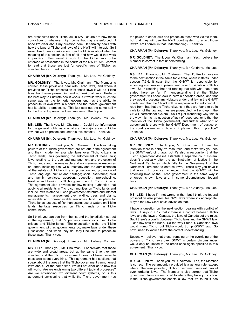are prosecuted under Tlicho law in NWT courts are how those convictions or whatever might come that way are enforced. I hope I'm clear about my question here. It certainly deals with how the laws of Tlicho and laws of the NWT will interact. So I would like to seek clarification from the Minister about what the meaning of this section is, first of all, and how would that work in practice. How would it work for the Tlicho laws to be enforced or prosecuted in the courts of the NWT? Am I correct to read that those are just for specific laws of Tlicho, as specified here? Thank you.

**CHAIRMAN (Mr. Delorey):** Thank you, Ms. Lee. Mr. Goldney.

**MR. GOLDNEY:** Thank you, Mr. Chairman. The Member is correct, these provisions deal with Tlicho laws, and where it provides for Tlicho prosecution of those laws it will be Tlicho laws that they're prosecuting and not territorial laws. Perhaps the best way to illustrate how it works is it would work much the same way as the territorial government has the ability to prosecute its own laws in a court, and the federal government has its ability to prosecute. This just sets out the same ability for the Tlicho to prosecute their own laws. Thank you.

**CHAIRMAN (Mr. Delorey):** Thank you, Mr. Goldney. Ms. Lee.

**MS. LEE:** Thank you, Mr. Chairman. Could I get information for the general public as to what are the major areas of Tlicho law that will be prosecuted under in this context? Thank you.

**CHAIRMAN (Mr. Delorey):** Thank you, Ms. Lee. Mr. Goldney.

**MR. GOLDNEY:** Thank you, Mr. Chairman. The law-making powers of the Tlicho government are set out in the agreement and they include, for example, laws over Tlicho citizens in Tlicho lands; laws governing the enforcement of those laws; laws relating to the use and management and protection of Tlicho lands and the renewable and non-renewable resources on lands, including fish, wills, intestacy and the administration of the estates of Tlicho citizens; protection and promotion of Tlicho language, culture and heritage; social assistance; child and family services; adoption; education; pre-schooling; taxation and training by Tlicho government to Tlicho citizens. The agreement also provides for law-making authorities that apply to all residents in Tlicho communities on Tlicho lands and include laws related to Tlicho government structure and internal managements; management over wildlife, trees and plants; renewable and non-renewable resources; land use plans for Tlicho lands; aspects of fish harvesting; use of waters on Tlicho lands; heritage resources on Tlicho lands or in Tlicho communities.

So I think you can see from the list and the jurisdiction set out in the agreement, that it's primarily jurisdictions over Tlicho citizens and Tlicho lands. The expectation is that the Tlicho government will, as governments do, make laws under these jurisdictions, and when they do, they'll be able to prosecute those laws. Thank you.

**CHAIRMAN (Mr. Delorey):** Thank you, Mr. Goldney. Ms. Lee.

**MS. LEE:** Thank you, Mr. Chairman. I appreciate that those are wide and broad areas, but at the same time they are specified and the Tlicho government does not have power to pass laws about everything. This agreement has sections that speak about the areas that the Tlicho government cannot enact laws about. At the same time, I'm still not clear as to how this will work. Are we envisioning two different judicial processes? Are we envisioning two different court systems, or is this agreement envisioning that while the Tlicho government has

the power to enact laws and prosecute those who violate them, but that they will use the NWT court system to enact those laws? Am I correct in that understanding? Thank you.

**CHAIRMAN (Mr. Delorey):** Thank you, Ms. Lee. Mr. Goldney.

**MR. GOLDNEY:** Thank you, Mr. Chairman. Yes, I believe the Member is correct in that understanding.

**CHAIRMAN (Mr. Delorey):** Thank you, Mr. Goldney. Ms. Lee.

**MS. LEE:** Thank you, Mr. Chairman. Then I'd like to move on to the next section in the same topic area, where it states under section 7.6.6, it says that the GNWT is responsible for enforcing any fines or imprisonment order for violation of Tlicho law. So in reaching that and reading that with what has been stated here so far, I'm understanding that the Tlicho government will enact laws in certain specified areas, and that they would prosecute any violators under that law in the GNWT courts, and that the GNWT will be responsible for enforcing it. I read from that that the Tlicho citizens, if they are found to be in violation of the law and they are prosecuted, will end up in the GNWT correctional system. So I'm just wondering why this is the way it is. Is it a question of lack of resources, or is that the intention of the Tlicho government, and further what sort of agreement is there with the GNWT Department of Justice or the court system as to how to implement this in practice? Thank you.

**CHAIRMAN (Mr. Delorey):** Thank you, Ms. Lee. Mr. Goldney.

**MR. GOLDNEY:** Thank you, Mr. Chairman. I think the intention there is partly it's resources, and that's why you see the GNWT enforcing laws, but it's also in recognition that the Tlicho agreement doesn't establish a separate court system, doesn't drastically alter the administration of justice in the Northwest Territories which falls to the Government of the Northwest Territories to enforce laws. That's why you have it that way. In practice, to expect that the GNWT will be enforcing laws of the Tlicho government in the same way it enforces its own laws and, in some circumstances, federal laws.

**CHAIRMAN (Mr. Delorey):** Thank you, Mr. Goldney. Ms. Lee.

**MS. LEE:** I hope I'm not wrong in that, but I think the federal prosecution also prosecutes NWT laws where it's appropriate. Maybe the Law Clerk could advise on that.

I have a question on the next section dealing with conflict of laws. It says in 7.7.2 that if there is a conflict between Tlicho laws and the laws of Canada, the laws of Canada set the rules. But if there's a conflict between Tlicho laws and the GNWT law, Tlicho law sets the rules. So the way I read it, Canadian laws would trump Tlicho, but Tlicho would trump GNWT law. So now I need to know if that's the correct understanding.

Secondly, I believe that those trumping or the overriding of the powers of Tlicho laws over GNWT in certain circumstances would only be limited to the areas once again specified in this agreement. Thank you.

**CHAIRMAN (Mr. Delorey):** Thank you, Ms. Lee. Mr. Goldney.

**MR. GOLDNEY:** Thank you, Mr. Chairman. Yes, the Member is correct. The paramountcy provided is a general rule; except where otherwise provided, Tlicho government laws will prevail over territorial laws. The Member is also correct that Tlicho government laws are restricted to where they have jurisdiction. If the Tlicho government enacts a law that it's found it has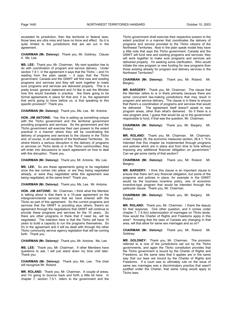exceeded its jurisdiction, then like territorial or federal laws, those laws are ultra vires and have no force and effect. So it is quite limited to the jurisdictions that are set out in the agreement.

**CHAIRMAN (Mr. Delorey):** Thank you, Mr. Goldney. Clause 4. Ms. Lee.

**MS. LEE:** Thank you, Mr. Chairman. My next question has to do with coordination of program and service delivery. Under section 7.9.1. in the agreement it says that the Tlicho -- and I'm reading from the plain speak -- it says that the Tlicho government, Canada and the GNWT will find new and existing programs and services and they will work together to make sure programs and services are delivered properly. This is a pretty broad, general statement and I'd like to ask the Minister how this would translate in practice. Are there going to be formal agreements in place for that and, if so, the agreement that we're going to have before us, is that speaking to this specific provision? Thank you.

**CHAIRMAN (Mr. Delorey):** Thank you, Ms. Lee. Mr. Antoine.

**HON. JIM ANTOINE:** Yes, this is setting up something unique with the Tlicho government and the territorial government providing programs and services. So the government and the Tlicho government will exercise their own powers to the extent practical in a manner where they will be coordinating the delivery of programs and services to the citizens in the Tlicho and, of course, to all residents of the Northwest Territories. So where there's a serious disruption in the delivery of programs or services on Tlicho lands or in the Tlicho communities, they will enter into discussions to reach agreement on how to deal with this disruption. Thank you.

**CHAIRMAN (Mr. Delorey):** Thank you, Mr. Antoine. Ms. Lee.

**MS. LEE:** So are these agreements going to be negotiated once the law comes into place, or are they being negotiated already, or were they negotiated while this agreement was being negotiated, at the same time? Thank you.

**CHAIRMAN (Mr. Delorey):** Thank you, Ms. Lee. Mr. Antoine.

**HON. JIM ANTOINE:** Mr. Chairman, I think what the Member is talking about is that there is a 10-year agreement on the intergovernmental services that we have entered with the Tlicho as part of this agreement. So the current programs and services that the GNWT is providing plus others, there's an agreement through the negotiations that GNWT will continue to provide these programs and services for the 10 years. So there are other programs in there that if need be, will be negotiated. The intention here is that the Tlicho will have 10 years to build a capacity to run the programs themselves. So it's in the agreement and it will be dealt with through the other Tlicho community service agency legislation that will be coming forth. Thank you.

**CHAIRMAN (Mr. Delorey):** Thank you, Mr. Antoine. Ms. Lee.

**MS. LEE:** Thank you, Mr. Chairman. If other Members have questions to ask, I will just stand down my time until later. Thank you.

**CHAIRMAN (Mr. Delorey):** Thank you, Ms. Lee. The chair will recognize Mr. Roland.

**MR. ROLAND:** Thank you, Mr. Chairman. A couple of areas, and I'm going to bounce back and forth a little bit here. In chapter 7, section 7.9.1. refers to the government and the Tlicho government shall exercise their respective powers to the extent practical in a manner that coordinates the delivery of programs and service provided to the Tlicho citizens of the Northwest Territories. Now in the plain speak model they have a little note that says the Tlicho government, Canada and the GNWT will fund new and existing programs and services, they will work together to make sure programs and services are delivered properly. I'm seeking some clarification. Who would initiate the new program or new funding for new programs than those existing already for program and delivery services in the Northwest Territories?

**CHAIRMAN (Mr. Delorey):** Thank you, Mr. Roland. Mr. Bargery.

**MR. BARGERY:** Thank you, Mr. Chairman. The clause that the Member refers to is in there primarily because there are some concurrent law-making jurisdictions that may result in program and service delivery. The clause is in there to ensure that there's a coordination of programs and services that would be delivered. The agreement itself doesn't speak to new program areas, other than what's delivered. So if there is a new program area, I guess that would be up to the government responsible to fund, if that was the question, Mr. Chairman.

**CHAIRMAN (Mr. Delorey):** Thank you, Mr. Bargery. Mr. Roland.

**MR. ROLAND:** Thank you, Mr. Chairman. Mr. Chairman, under chapter 26, the economic measures section, 26.4.1, "It is intended that this chapter be implemented through programs and policies which are in place and from time to time without imposing any additional financial obligation on government." Can we get some clarity of that section?

**CHAIRMAN (Mr. Delorey):** Thank you, Mr. Roland. Mr. Bargery.

**MR. BARGERY:** I think this clause is an important clause to ensure that there isn't any financial obligation, but some of the programs and policies in place, for example in the GNWT would be the business incentive policy, one of economic incentive-type program that would be intended through this particular clause. Thank you, Mr. Chairman.

**CHAIRMAN (Mr. Delorey):** Thank you, Mr. Bargery. Mr. Roland.

**MR. ROLAND:** Thank you, Mr. Chairman. I thank the deputy for that response. One other question, and it comes under chapter 7, 7.4.4(n) solemnization of marriages on Tlicho lands. How would the Charter of Rights and Freedoms apply in this area? Knowing that the laws of Canada are changing in that area, will that allow for same sex marriages and so on?

**CHAIRMAN (Mr. Delorey):** Thank you, Mr. Roland. Mr. Goldney.

**MR. GOLDNEY:** Thank you, Mr. Chairman. The provision referred to is one of the jurisdictions set out by the Tlicho governments, and again the Tlicho constitution provides that the Tlicho government is bound by the Charter of Rights and Freedoms, so the same laws that it applies are in the same way that our laws are bound by the Charter of Rights and Freedoms. If a court was to ultimately rule on the issue of same sex marriages was a discriminatory practice that wasn't justified under the Charter, that same ruling would apply to Tlicho laws.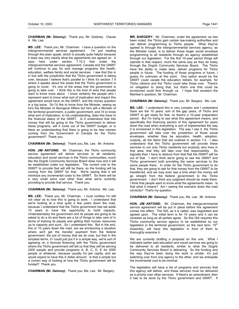**CHAIRMAN (Mr. Delorey):** Thank you, Mr. Goldney. Clause 4. Ms. Lee.

**MS. LEE:** Thank you, Mr. Chairman. I have a question on the intergovernmental services agreement. I'm just reading through this plain speak, which is actually quite helpful because it does say very clearly what the agreements are agreed on. It says here under section 7.10.3 that under the intergovernmental services agreement, Canada and the GNWT will continue to pay for and manage programs like health, education, welfare family and social services. I see that this is in line with the jurisdiction that the Tlicho government is taking over, because I believe that's parallel to I think it's section 7.4 where it speaks about the areas that the Tlicho government is going to cover. It's one of the areas that the government is going to take over. I think this is the kind of area that people want to know more about. I know certainly the people who I represent want to know what sort of implication and impact this agreement would have on the GNWT, and the money question is a big issue. So I'd like to know from the Minister, seeing as he's the Minister of Aboriginal Affairs but he's still a Minister of the territorial government, a public government, and I'd to know what sort of implication, to his understanding, does this have to the financial status of the GNWT. Is it understood that this money that will be going to the Tlicho government to deliver these programs, will it come out of the GNWT budget, or is there an understanding that there is going to be new monies coming from the Government of Canada for the Tlicho government? Thank you.

**CHAIRMAN (Mr. Delorey):** Thank you, Ms. Lee. Mr. Antoine.

**HON. JIM ANTOINE:** Mr. Chairman, the Tlicho community service agreement will deliver services to all residents; education and social services in the Tlicho communities, much like the Dogrib Community Services Board does now and it will be established under our legislation. The current cost to the GNWT to provide that will still be there, so the funding will be coming from the GNWT for that. We're saying that it will minimize any incremental costs to the GNWT. So there will be a very small extra cost other than what we're currently providing to provide that service. Thank you.

**CHAIRMAN (Mr. Delorey):** Thank you, Mr. Antoine. Ms. Lee.

**MS. LEE:** Thank you, Mr. Chairman. I must confess I'm still not clear as to how this is going to work. I understand that we're looking at a time quite a few years down the road, because I understand that the Tlicho government has set aside 10 years to have the opportunity to build capacity. Understandably the government and its people are going to be asked to do a lot and there are a lot of things to take care of in terms of training its people and getting their human resources up to capacity and such. So I understand this. But in the end, five or 10 years down the road, are we envisioning a situation where we'll get the transfer payment from the federal government, the pot of money that we do now, but that in the simplest terms, if I could just put it in a simple way, we're sort of agreeing on a formula financing with the Tlicho government where the Tlicho government will tell us that they will be serving 2000 people and provide programs A, B, C, D, E for 2000 people or whatever, because usually it's per capita, and we would expect to have this X dollar amount. Is that a simple but a correct way of looking at how the Tlicho government will be funded? Thank you.

**CHAIRMAN (Mr. Delorey):** Thank you, Ms. Lee. Mr. Bargery.

**MR. BARGERY:** Mr. Chairman, under the agreement, as has been noted, the Tlicho gain certain law-making authorities and can deliver programming to Tlicho people. What they've agreed to through the intergovernmental services agency, as the Minister noted, is to deliver those larger social envelope programming to all residents through an agency established through our legislation. For the first 10-year period things will operate in that respect, much the same way as they do today through the Dogrib Community Services Board. The Tlicho have the ability to make laws, deliver programs for Tlicho people in future. The funding of those programs in future, I guess it's unknown at this point. One option would be the GNWT could vacate the education dollars, for example, for Tlicho citizens and the Tlicho could take those over. There's no obligation to doing that, but that's one that could be envisioned could flow through us. I hope that answers the Member's question, Mr. Chairman.

**CHAIRMAN (Mr. Delorey):** Thank you, Mr. Bargery. Ms. Lee.

**MS. LEE:** I understand this is very complex and I understand there are the 10 years, sort of the gap years, of Tlicho and GNWT to get ready for that, so there's a 10-year preparation period. But I'm trying to see what this agreement means, and specifically this financing section of this agreement for years down the road when everything is sort of implemented the way it is envisioned in this legislation. The way I see it, the Tlicho government will take over the jurisdiction of those social envelopes, whether they be education, health, adoption, custody, all the items that are outlined in section 7.4. I also understand that the Tlicho government will provide these services to not only Tlicho residents but anybody who lives in that area, that they will take over that responsibility. So logically then I have to deduce from that that the GNWT will be out of that. I don't think we're going to see the GNWT and Tlicho government both providing the same services to the same people there. In order for the Tlicho government to do that, they are going to ask for that money from the GNWT to be transferred, and we may even see a time when the money will go straight from the federal government to the Tlicho government. I don't think any judgment should be made there. I think that people want to know what the agreements mean. Is that what it means? Am I seeing the scenario down the road correctly? That's my question.

**CHAIRMAN (Mr. Delorey):** Thank you, Ms. Lee. Mr. Antoine.

**HON. JIM ANTOINE:** Mr. Chairman, the intergovernmental service agreement will be put in place before this agreement comes into effect. The ISA, as it is called, was negotiated and agreed upon. The initial term is for 10 years and it can be renewed as long as all parties agree. So this ISA requires this Tlicho community service agency to be established by our legislation in the territorial government, so the next term,  $15<sup>th</sup>$ Assembly, will have this legislation in front of them to thoroughly examine it.

We are currently drafting a proposal on this one. What I indicated earlier said education and social services are going to be delivered to all residents, similar to what the Dogrib Community Services Board is delivering. So the funding and the way they've been doing the work is similar, it's just switching over from one agency to the other, and we anticipate the incremental cost to be minimal.

The legislation will have a list of programs and services that this agency will deliver, and these services must be delivered as a priority over other services. If there's an amendment, then it has to be done by the Tlicho government and GNWT. If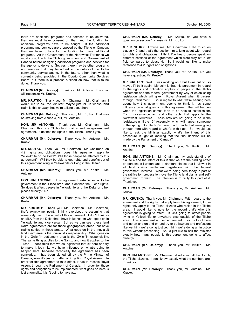there are additional programs and services to be delivered, then we must have consent on that, and the funding for additional programs have to be sought. If the additional programs and services are proposed by the Tlicho or Canada, then we have to look for the funding for these additional programs. As the Government of the Northwest Territories we must consult with the Tlicho government and Government of Canada before assigning additional programs and services for the agency to delivery. So, yes, there may be other programs and services that may be added to the duties of the Tlicho community service agency in the future, other than what is currently being provided in the Dogrib Community Services Board, but there is a process outlined on how that is to be done. Thank you.

**CHAIRMAN (Mr. Delorey):** Thank you, Mr. Antoine. The chair will recognize Mr. Krutko.

**MR. KRUTKO:** Thank you, Mr. Chairman. Mr. Chairman, I would like to ask the Minister, maybe just tell us whose land claim is this anyway that we're talking about here.

**CHAIRMAN (Mr. Delorey):** Thank you, Mr. Krutko. That may be straying from clause 4, but, Mr. Antoine.

**HON. JIM ANTOINE:** Thank you, Mr. Chairman. Mr. Chairman, this is a Tlicho land claims and self-government agreement. It defines the rights of the Tlicho. Thank you.

**CHAIRMAN (Mr. Delorey):** Thank you, Mr. Antoine. Mr. Krutko.

**MR. KRUTKO:** Thank you, Mr. Chairman. Mr. Chairman, on 4.2, rights and obligations; does this agreement apply to Yellowknife or the Delta? Will those people be affected by this agreement? Will they be able to get rights and benefits out of this agreement living in Yellowknife or living in the Delta?

**CHAIRMAN (Mr. Delorey):** Thank you, Mr. Krutko. Mr. Antoine.

**HON. JIM ANTOINE:** This agreement establishes a Tlicho government in the Tlicho area, and it defines the Tlicho rights. So does it affect people in Yellowknife and the Delta or other places directly? No.

**CHAIRMAN (Mr. Delorey):** Thank you, Mr. Antoine. Mr. Krutko.

**MR. KRUTKO:** Thank you, Mr. Chairman. Mr. Chairman, that's exactly my point. I think everybody is assuming that everybody has to be a part of this agreement. I don't think as an MLA from the Delta that I have influence on what goes on in Yellowknife and vice versa. But as we can see, these land claim agreements are for those geographical areas that have claims settled in those areas. What goes on in the Inuvialuit land claim area is the Inuvialuit's responsibility. What goes on in the Gwich'in settlement area is the Gwich'in responsibility. The same thing applies to the Sahtu, and now it applies to the Tlicho. I don't think that we as legislators that sit here and try to make it look like we have influence on what's going to happen here, because technically the agreement has been concluded, it has been signed off by the Prime Minister of Canada, now it's just a matter of it getting Royal Assent. In order for this agreement to take effect, it has to receive Royal Assent through the Parliament of Canada. In order for those rights and obligations to be implemented, what goes on here is just a formality, it isn't going to have a…

**CHAIRMAN (Mr. Delorey):** Mr. Krutko, do you have a question on section 4, clause 4? Mr. Krutko.

**MR. KRUTKO:** Excuse me, Mr. Chairman, I did touch on clause 4.2, and that's the section I'm talking about with regard to rights and obligations. I think I've heard people speak on different sections of the agreement which were way off in left field compared to clause 4. So I would just like to make reference to 4.2, rights and obligations.

**CHAIRMAN (Mr. Delorey):** Thank you, Mr. Krutko. Do you have a question, Mr. Krutko?

**MR. KRUTKO:** Well, I was working on it but I was cut off, so maybe I'll try it again. My point is that this agreement in regard to the rights and obligation applies to people in the Tlicho agreement and the federal government by way of establishing legislation which will give it Royal Assent when it passes through Parliament. So in regard to what we're hearing here about how this government seems to think it has some influence on what goes on in this agreement, that will happen when the legislation comes forth to be able to establish the Tlicho governance act and other acts that apply to the Northwest Territories. Those acts are not going to be in the<br>legislature until the 15<sup>th</sup> Assembly, which will happen sometime in the spring. So I think it's more of a formality that we're going through here with regard to what's in this act. So I would just like to ask the Minister exactly what's the intent of this procedure in light of knowing that the final decision will be made by the Parliament of Canada?

**CHAIRMAN (Mr. Delorey):** Thank you, Mr. Krutko. Mr. Antoine.

**HON. JIM ANTOINE:** Mr. Chairman, my understanding of clause 4 and the intent of this is that we are the binding effect on persons is I understand a standard clause that is viewed in all land claims settlement legislation with the federal government involved. What we're doing here today is part of the ratification process to move the Tlicho land claims and selfgovernment forward. The intention is to ratify this part of it. Thank you.

**CHAIRMAN (Mr. Delorey):** Thank you, Mr. Antoine. Mr. Krutko.

**MR. KRUTKO:** Thank you, Mr. Chairman. With regard to the agreement and the rights that apply from this agreement, those rights only apply to the Tlicho citizens who reside in the Tlicho area. I would like to note for the record that's who this agreement is going to affect. It isn't going to affect people living in Yellowknife or anywhere else outside of the Tlicho area. This agreement is their agreement. For us to sit here and go on and on and on and try to be lawyers and professors like we think we're doing justice, I think we're doing an injustice to this without proceeding. So I'd just like to ask the Minister exactly how many people is this agreement going to affect directly?

**CHAIRMAN (Mr. Delorey):** Thank you, Mr. Krutko. Mr. Antoine.

**HON. JIM ANTOINE:** Mr. Chairman, it will affect all the Dogrib, the Tlicho citizens. I don't know exactly what the numbers are. Thank you.

**CHAIRMAN (Mr. Delorey):** Thank you, Mr. Antoine. Mr. Krutko.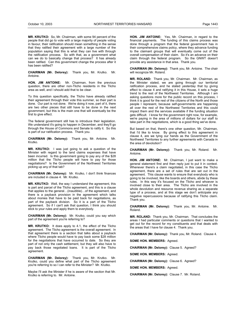**MR. KRUTKO:** So, Mr. Chairman, with some 94 percent of the people that did go to vote with a large majority of people voting in favour, their ratification should mean something in the sense that they ratified their agreement with a large number of the population saying that this is what they can live with through the ratification process. So with that, as a government what can we do to basically change that process? It has already been ratified. Can this government change the process after it has been ratified?

**CHAIRMAN (Mr. Delorey):** Thank you, Mr. Krutko. Mr. Antoine.

**HON. JIM ANTOINE:** Mr. Chairman, from the previous question, there are other non-Tlicho residents in the Tlicho area as well, and I should add that to be clear.

To this question specifically, the Tlicho have already ratified their agreement through their vote this summer, so their part is done. Our part is not done. We're doing it now, part of it, there are two other pieces that still have to be done in the next government, but this is the main one that will eventually be the first to give effect.

The federal government still has to introduce their legislation. We understand it's going to happen in December, and they'll go through the House of Commons and Senate to ratify it. So this is part of our ratification process. Thank you.

**CHAIRMAN (Mr. Delorey):** Thank you, Mr. Antoine. Mr. Krutko.

**MR. KRUTKO:** I was just going to ask a question of the Minister with regard to the land claims expenses that have been incurred. Is this government going to pay any of the \$28 million that the Tlicho people will have to pay for those negotiations? Is the Government of the Northwest Territories picking up any of that tab?

**CHAIRMAN (Mr. Delorey):** Mr. Krutko, I don't think finances are included in clause 4. Mr. Krutko.

**MR. KRUTKO:** Well, the way I understand the agreement, this is part and parcel of the Tlicho agreement, and this is a clause that applies to the general…(inaudible)…of the agreement, and there is a payback provision in the agreement which talks about monies that have to be paid back for negotiations, as part of the payback division. So it is a part of the Tlicho agreement. So if I can't ask that question, I think you should stick to your rules and apply them to everybody.

**CHAIRMAN (Mr. Delorey):** Mr. Krutko, could you say which part of the agreement you're referring to?

**MR. KRUTKO:** It does apply to 4.1, the effect of the Tlicho agreement. The Tlicho agreement is the overall agreement. In that agreement there is a section that talks about a payback where Tlicho people would have to pay back some \$28 million for the negotiations that have occurred to date. So they are part of not only the cash settlement, but they will also have to pay back those negotiated loans. It is part of the Tlicho agreement.

**CHAIRMAN (Mr. Delorey):** Thank you, Mr. Krutko. Mr. Krutko, could you define what part of the Tlicho agreement you're referring to so I can refer to the Minister? Mr. Krutko.

Maybe I'll ask the Minister if he is aware of the section that Mr. Krutko is referring to. Mr. Antoine.

**HON. JIM ANTOINE:** Yes, Mr. Chairman, in regard to the financial payments. The funding of this claims process was done through a program that the federal government has in their comprehensive claims policy, where they advance funding to the claimant groups that will eventually come out of the overall compensation of their claim. So it's an advance on their claim through the federal program. So the GNWT doesn't provide any assistance in that area. Thank you.

**CHAIRMAN (Mr. Delorey):** Thank you, Mr. Antoine. The chair will recognize Mr. Roland.

**MR. ROLAND:** Thank you, Mr. Chairman. Mr. Chairman, as the Minister stated, we are going through our territorial ratification process, and he stated yesterday that by giving effect to clause 4 and ratifying it in this House, it sets a huge trend to the rest of the Northwest Territories. Although I am asking questions more for the public record on this process, I think it is good for the rest of the citizens of the North and those people I represent, because self-governments are happening all over the rest of the Northwest Territories and this could impact them and the services available if the funding situation gets difficult. I know for the government right now, for example, we're paying in the area of millions of dollars for our staff to take part in the negotiations, which is a good thing we've done.

But based on that, there's one other question, Mr. Chairman, that I'd like to know. By giving effect to this agreement in clause 4, are we tying our hands as the Government of the Northwest Territories to any further agreements with Canada in the area of devolution?

**CHAIRMAN (Mr. Delorey):** Thank you, Mr. Roland. Mr. Antoine.

**HON. JIM ANTOINE:** Mr. Chairman, I just want to make a general statement first and then reply just to put it in context. Whenever there's a claim negotiated, in this case the Tlicho agreement, there are a set of rules that are set out in the agreement. This clause wants to ensure that everybody who is going to be involved, like the boards and others, abide by these rules. In this way it's focused on the Tlicho and whoever is involved close to their area. The Tlicho are involved in the whole devolution and resource revenue sharing as a separate type of a process, and at this stage we don't anticipate any negative repercussions because of ratifying this Tlicho claim. Thank you.

**CHAIRMAN (Mr. Delorey):** Thank you, Mr. Antoine. Mr. Roland.

**MR. ROLAND:** Thank you, Mr. Chairman. That concludes the areas I had particular comments or questions that I wanted to get out for the record for my constituents and that deals with the areas that I have for clause 4. Thank you.

**CHAIRMAN (Mr. Delorey):** Thank you, Mr. Roland. Clause 4.

**SOME HON. MEMBERS:** Agreed.

**CHAIRMAN (Mr. Delorey):** Clause 5. Agreed?

**SOME HON. MEMBERS:** Agreed.

**CHAIRMAN (Mr. Delorey):** Clause 6. Agreed?

**SOME HON. MEMBERS:** Agreed.

**CHAIRMAN (Mr. Delorey):** Clause 7. Mr. Roland.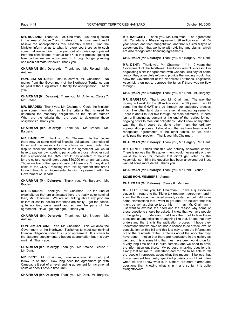**MR. ROLAND:** Thank you, Mr. Chairman. Just one question in the area of clause 7 and it refers to this government and I believe the appropriations this Assembly makes. Can the Minister inform us as to what is referenced there as to such sums that are required to be paid out of monies appropriated from the consolidated revenue fund? Is that process going to take part as we are accustomed to through budget planning and main estimate reviews? Thank you.

**CHAIRMAN (Mr. Delorey):** Thank you, Mr. Roland. Mr. Antoine.

**HON. JIM ANTOINE:** That is correct, Mr. Chairman. No money from the Government of the Northwest Territories can be paid without legislative authority for appropriation. Thank you.

**CHAIRMAN (Mr. Delorey):** Thank you, Mr. Antoine. Clause 7. Mr. Braden.

**MR. BRADEN:** Thank you, Mr. Chairman. Could the Minister give some information as to the criteria that is used to determine the monetary obligations as the clause states? What are the criteria that are used to determine those obligations? Thank you.

**CHAIRMAN (Mr. Delorey):** Thank you, Mr. Braden. Mr. Bargery.

**MR. BARGERY:** Thank you, Mr. Chairman. In this clause there may be some minimal financial obligations, examples of those and the reasons for this clause in there, under the dispute resolution mechanisms in the agreement we would have to pay our own costs to participate in those. Another cost that is envisioned, the GNWT would pay one-third of the cost for the cultural coordinator, about \$60,000 on an annual basis. Those are two of the types of costs but there aren't many direct costs to the GNWT resulting from this agreement that aren't funded through an incremental funding agreement with the Government of Canada.

**CHAIRMAN (Mr. Delorey):** Thank you, Mr. Bargery. Mr. Braden.

**MR. BRADEN:** Thank you, Mr. Chairman. So the kind of expenditures that are anticipated here are really quite nominal then, Mr. Chairman. We are not talking about any program dollars or capital dollars that these are really, I get the sense, quite nominal, quite small and so are the parts of the agreement. Have I got that right? Thank you.

**CHAIRMAN (Mr. Delorey):** Thank you, Mr. Braden. Mr. Antoine.

**HON. JIM ANTOINE:** Yes, Mr. Chairman. This will allow the Government of the Northwest Territories to meet our minimal financial obligation under this Tlicho agreement. It is similar to the statutory supplementary budget appropriation but it is very minimal. Thank you.

**CHAIRMAN (Mr. Delorey):** Thank you, Mr. Antoine. Clause 7. Mr. Dent.

**MR. DENT:** Mr. Chairman, I was wondering if I could just follow up on that. How long does the agreement go with Canada, is it sort of a never-ending agreement for incremental costs or does it have a time limit?

**CHAIRMAN (Mr. Delorey):** Thank you, Mr. Dent. Mr. Bargery.

**MR. BARGERY:** Thank you, Mr. Chairman. The agreement with Canada is a 10-year agreement, \$8 million over that 10 year period, and then renegotiation, and that is a similar type of agreement then that we have with existing land claims, which are also renegotiated financing agreements.

**CHAIRMAN (Mr. Delorey):** Thank you, Mr. Bargery. Mr. Dent.

**MR. DENT:** Thank you, Mr. Chairman. If in 10 years the Government of the Northwest Territories wasn't successful in negotiating a similar agreement with Canada, let's say for some reason they absolutely refuse to provide the funding, would that allow the Government of the Northwest Territories, Legislative Assembly then not to approve the funds if there was no flow through?

**CHAIRMAN (Mr. Delorey):** Thank you, Mr. Dent. Mr. Bargery.

**MR. BARGERY:** Thank you, Mr. Chairman. The way the money will work for the \$8 million over the 10 years, it would come into the GNWT and go through our budgetary process much like other land claim incremental funding agreements. There is about four or five through the main estimates. If there isn't a financing agreement at the end of that period for our ongoing costs to meet our obligations, I don't know of any other way that they could be done other than the ordinary appropriation process. I should add that we have been able to renegotiate agreements at the other tables, so we don't anticipate that problem. Thank you, Mr. Chairman.

**CHAIRMAN (Mr. Delorey):** Thank you, Mr. Bargery. Mr. Dent.

**MR. DENT:** I think that this was actually answered earlier. There is no way that this government would necessarily or they would be stuck for monies that didn't get voted by the Assembly, so I think the question has been answered but I just wanted some more detail. Thank you.

**CHAIRMAN (Mr. Delorey):** Thank you, Mr. Dent. Clause 7.

**SOME HON. MEMBERS:** Agreed.

**CHAIRMAN (Mr. Delorey):** Clause 8. Ms. Lee.

**MS. LEE:** Thank you, Mr. Chairman. I have a question on clause 8 in regard to the Tlicho tax treatment agreement and I know that this was mentioned already yesterday, but I still have some clarifications that I want to get and I do believe that this might be my last chance to do this. If I may, Mr. Chairman, I just want to express the need and the reason why some of these questions should be asked. I know that we have people in the gallery. I understand that I ask them not to take these questions as any criticism or anything like that, I hope that they understand that this is the ratification process. I hope they understand that we have not had a chance to do a wide level of consultation on this bill and this is a way to get the information out to the residents of the Territories about the work that they have done. I notice that there are negotiators in the gallery as well, and this is something that they have been working on for a very long time and it is quite complex and we need to have the information out there. My purpose in asking questions is simply that for me to understand and for me to be able to tell the people I represent about what this means. I believe that this agreement has pretty specified provisions so I think often when we don't know what is in it, there are more alarms and questions than knowing what is in it and so far it is quite straightforward.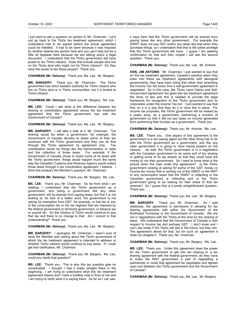I just want to ask a question on section 8, Mr. Chairman. Let's just go back to the Tlicho tax treatment agreement, which I understand had to be signed before the actual agreement could be initialled. It had to be done because it was required by another federal law section here and you can't help but be a little bit legalese here because we are talking about a legal document. I understand that the Tlicho government will have power to tax Tlicho citizens. Does that include people who live on the Tlicho land who might not be Tlicho citizens? Do they have the power to tax those people? Thank you.

**CHAIRMAN (Mr. Delorey):** Thank you, Ms. Lee. Mr. Bargery.

**MR. BARGERY:** Thank you, Mr. Chairman. The Tlicho government has direct taxation authority for Tlicho citizens who live on Tlicho land or in Tlicho communities, but it is limited to Tlicho citizens.

**CHAIRMAN (Mr. Delorey):** Thank you, Mr. Bargery. Ms. Lee.

**MS. LEE:** Could I ask what is the difference between tax sharing or coordination agreement versus the tax treatment agreement that the Tlicho government has with the Government of Canada?

**CHAIRMAN (Mr. Delorey):** Thank you, Ms. Lee. Mr. Bargery.

**MR. BARGERY:** I will take a stab at it, Mr. Chairman. Tax sharing would be when a government, for example, the Government of Canada decides to share some of their tax revenues with the Tlicho government and they can do that<br>through the Tlicho agreement by agreement only Tax through the Tlicho agreement by agreement only. coordination would be things like the harmonization of rates and the collection of those taxes. For example, if the Government of Canada chose to share some of its taxes with the Tlicho government, things would happen much the same way the Canadian Customs and Revenue Agency would collect those taxes through a tax coordination agreement, I believe. I think that answers the Member's question, Mr. Chairman.

**CHAIRMAN (Mr. Delorey):** Thank you, Mr. Bargery. Ms. Lee.

**MS. LEE:** Thank you, Mr. Chairman. So far from what I am reading, I understand that the Tlicho government as a government, and being a government like any other government, will be exempt from paying taxes, but that it is not looking at, for lack of a better word, the government is not asking for exemption from GST, for example, or fuel tax or any of the consumption tax or the tax regimes that are imposed by the federal government or territorial government, or tobacco tax or payroll tax. So the citizens of Tlicho would continue to pay that tax and there is no change in that. Am I correct in that understanding? Thank you.

**CHAIRMAN (Mr. Delorey):** Thank you, Ms. Lee. Mr. Bargery.

**MR. BARGERY:** I apologize, Mr. Chairman, I wasn't sure of what the Member was asking about the Tlicho government of which the tax treatment agreement is intended to address or whether Tlicho citizens would continue to pay taxes. If I could get that clarification, Mr. Chairman.

**CHAIRMAN (Mr. Delorey):** Thank you, Mr. Bargery. Ms. Lee, could you clarify that question?

**MS. LEE:** Thank you. This is why this tax question gets so complicated. I thought I had it pretty straight there in the beginning. I am trying to understand what this tax treatment agreement means and I have a briefing note in front of me and I am trying to verify what it is saying there. As far as I can see,

it says here that the Tlicho government will be exempt from paying taxes like any other government. For example the GNWT does not pay GST and/or any taxes like that when they purchase things, so I understand that that is the same privilege that the Tlicho government will have. I guess I am seeking confirmation on that and then maybe I will ask the second question. Thank you.

**CHAIRMAN (Mr. Delorey):** Thank you, Ms. Lee. Mr. Antoine.

**HON. JIM ANTOINE:** Mr. Chairman, I just wanted to say that on this tax treatment agreement, Canada's practice when they enter into these tax treatment agreements with aboriginal governments, they have been doing that rather than amending the Income Tax Act every time a self-government agreement is negotiated. So in this case, the Tlicho Land Claims and Self-Government Agreement Act gives this tax treatment agreement the force of law and this is needed to provide the legal framework for recognition of the Tlicho government and its corporation under the Income Tax Act. I just wanted to say that first, so it is a way that they do it to have this in place. For income tax purposes, the Tlicho government will be treated as a public body, as a government, performing a function of government so that it will not pay taxes on income generated from performing their function as a government. Thank you.

**CHAIRMAN (Mr. Delorey):** Thank you, Mr. Antoine. Ms. Lee.

**MS. LEE:** Thank you. One aspect of this agreement is the government is a tax paying agent but the other thing has to do with the Tlicho government as a government, and like any other government it is going to have taxing powers on the citizens. As well, the Tlicho government is in a negotiation with the Canadian government to do some sort of tax sharing or getting some of its tax shares so that they could have the money to run their government. So I want to know what is the picture down the road under this agreement? Is the Tlicho government looking at asking for some of the GST money or income tax money that is coming out of the GNWT or the NWT or any consumption taxes that the GNWT is collecting or the Canadian government is collecting and is the Tlicho government going to be looking for their share of that tax revenue? So I guess that is a pretty straightforward question. Thank you.

**CHAIRMAN (Mr. Delorey):** Thank you, Ms. Lee. Mr. Bargery.

**MR. BARGERY:** Thank you, Mr. Chairman. As I said yesterday, the agreement is permissive in allowing for tax sharing agreements with either the Government of the Northwest Territories or the Government of Canada. We are not in negotiations with the Tlicho at this time for the sharing of taxes. We understand that the Government of Canada is with respect to income tax and perhaps GST. I don't know and I can't say today if the Tlicho will ask in the future, but they can. The agreement allows for that, but for such an agreement it does not obligate it. Thank you, Mr. Chairman.

**CHAIRMAN (Mr. Delorey):** Thank you, Mr. Bargery. Ms. Lee.

**MS. LEE:** Thank you. Under this agreement does the power for the Tlicho government to get into tax sharing or a tax sharing agreement with the federal government, do they have to make the NWT government a part of negotiating a partnership or could that agreement be negotiated and agreed upon just between the Tlicho government and the Government of Canada?

**CHAIRMAN (Mr. Delorey):** Thank you, Ms. Lee. Mr. Bargery.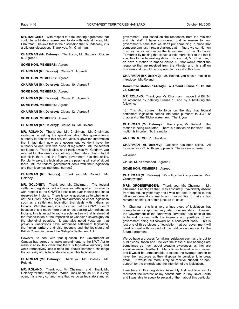**MR. BARGERY:** With respect to a tax sharing agreement that could be a bilateral agreement to do with federal taxes, Mr. Chairman, I believe that is the discussion that is underway, it is a bilateral discussion. Thank you, Mr. Chairman.

**CHAIRMAN (Mr. Delorey):** Thank you, Mr. Bargery. Clause 8. Agreed?

**SOME HON. MEMBERS:** Agreed.

**CHAIRMAN (Mr. Delorey):** Clause 9. Agreed?

**SOME HON. MEMBERS:** Agreed.

**CHAIRMAN (Mr. Delorey):** Clause 10. Agreed?

**SOME HON. MEMBERS:** Agreed.

**CHAIRMAN (Mr. Delorey):** Clause 11. Agreed?

**SOME HON. MEMBERS:** Agreed.

**CHAIRMAN (Mr. Delorey):** Clause 12. Agreed?

**SOME HON. MEMBERS:** Agreed.

**CHAIRMAN (Mr. Delorey):** Clause 13. Mr. Roland.

**MR. ROLAND:** Thank you, Mr. Chairman. Mr. Chairman, yesterday in asking the questions about this government's authority to deal with this act, the Minister gave me information that in fact right now as a government we don't have the authority to deal with this piece of legislation until the federal act is put in. There is also, and I think it was Mr. Goldney, you referred to ultra vires or something of that nature, that in fact it can sit in there until the federal government has that ability. For clarity sake, the legislation we are passing will sort of sit out there until the federal government deals with their legislation and then it comes into force, correct?

**CHAIRMAN (Mr. Delorey):** Thank you, Mr. Roland. Mr. Goldney.

**MR. GOLDNEY:** Thank you, Mr. Chairman. The federal settlement legislation will address something of an uncertainty with respect to the GNWT's jurisdiction over Indians and lands reserved for Indians. There is some question as to whether or not the GNWT has the legislative authority to enact legislation such as a settlement legislation that deals with Indians as Indians. With that said, it is not certain that the GNWT doesn't because this is much more than an act dealing with Indians as Indians, this is an act to ratify a solemn treaty that is aimed at the reconciliation of the imposition of Canadian sovereignty on the aboriginal peoples. It was also noted yesterday that previous jurisdictions have introduced settlement legislation, the Yukon territory and also recently, and the legislature of British Columbia passed the Nishga'a Settlement Act.

However, to deal with that question, the Government of Canada has agreed to make amendments to the NWT Act to make it absolutely clear that there is legislative authority and while retroactively less if need be, should someone challenge the authority of this legislature to enact this legislation.

**CHAIRMAN (Mr. Delorey):** Thank you, Mr. Goldney. Mr. Roland.

**MR. ROLAND:** Thank you, Mr. Chairman, and I thank Mr. Goldney for that response. When I look at clause 13, it is very open, it is a very common one that we do as legislators and as

government. But based on the responses from the Minister and his staff, I have considered that to ensure for our government's sake that we don't put something in place that someone can just throw a challenge at. I figure we can tighten it up as far as we can as the Government of the Northwest Territories by making that clause a little more clear to the fact it specifies to the federal legislation. So on that, Mr. Chairman, I do have a motion to amend clause 13, that would reflect the response that we received from the Minister and his staff on this area and I would be prepared to move it at this time.

**CHAIRMAN (Mr. Delorey):** Mr. Roland, you have a motion to introduce. Mr. Roland.

**Committee Motion 144-14(6) To Amend Clause 13 Of Bill 34, Carried** 

**MR. ROLAND:** Thank you, Mr. Chairman. I move that Bill 34, be amended by deleting Clause 13 and by substituting the following:

13. This Act comes into force on the day that federal settlement legislation comes into force pursuant to 4.3.3 of chapter 4 of the Tlicho agreement. Thank you.

**CHAIRMAN (Mr. Delorey):** Thank you, Mr. Roland. The motion is being circulated. There is a motion on the floor. The motion is in order. To the motion.

**AN HON. MEMBER:** Question.

**CHAIRMAN (Mr. Delorey):** Question has been called. All those in favour? All those opposed? The motion is carried.

---Carried

Clause 13, as amended. Agreed?

**SOME HON. MEMBERS:** Agreed.

**CHAIRMAN (Mr. Delorey):** We will go back to preamble. Mrs. Groenewegen.

**MRS. GROENEWEGEN:** Thank you, Mr. Chairman. Mr. Chairman, I apologize that I was absolutely unavoidably absent from the House yesterday and I was not able to speak to this bill under general comments and I would like to make a few remarks on this just at this juncture if I could.

Mr. Chairman, this is a very unique piece of legislation that comes to us for approval very late in our mandate. However, the Government of the Northwest Territories has been at the table and involved with the interests and positions of our government being put forward on a consistent basis. This is just one of three pieces of legislation that our government will need to deal with as part of the ratification process for the future agreement.

We do have a process for taking legislation such as this out to public consultation and I believe the these public hearings are sometimes as much about creating awareness as they are about receiving feedback. Many times legislation is complex and it would be unreasonable to expect the average person to have the resources at their disposal to consider it in great detail. It would be more likely to receive support or nonsupport for the principle and the intention of the legislation.

I am here in this Legislative Assembly first and foremost to represent the interest of my constituents in Hay River South and I was able to speak to several of them about this particular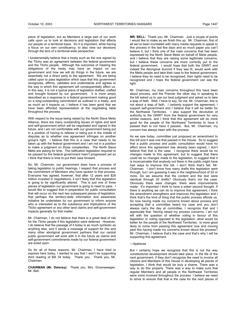piece of legislation, but as Members a large part of our work calls upon us to look at decisions and legislation that affects our people on a territorial basis. So it is important, while having a focus on our own constituency, to also view our decisions through the lens of a territorial-wide perspective.

I fundamentally believe that a treaty such as the one signed by the Tlicho was an agreement between the federal government and the Tlicho people. Although the outcomes of meeting the obligations of the treaty may have an impact on our government and how we will do things in the future, we are essentially not a direct party to the agreement. We are being called upon to pass legislation which says that this government recognizes, affirms, validates and understands and agrees to the way in which this agreement will consequentially affect us. In this way, it is not a typical piece of legislation drafted, crafted and brought forward by our government. It is more amply described as a response to a federal government making good on a long-outstanding commitment as outlined in a treaty, and as much as it impacts us, I believe it has been good that we have been afforded representation at the negotiating table throughout the process.

With respect to the issue being raised by the North Slave Metis Alliance, there are many outstanding issues of rights and land and self-government which will be negotiated and signed in the future, and I am not comfortable with our government being put in a position of having to referee or being put in the middle of disputes as to whether one agreement infringes on another group's right. I believe that this is a case that needs to be taken up with the federal government and I am not in a position to make a judgment on those complexities. The North Slave Metis are asking for time. The ratification legislation required to be passed by the federal government hasn't progressed yet so I think that there is time to put their case forward.

So, Mr. Chairman, our government does have a process of taking legislation to public hearings, I respect that process and the commitment of Members who have spoken to that process. Everyone has agreed, however, that after 12 years and \$28 million invested in negotiations, it isn't likely that this legislation is going to be significantly altered. This is just one of three pieces of legislation our government is going to need to pass. I would like to suggest that in preparation for public consultation that will occur on the next two subsequent pieces of legislation, that perhaps the territory-wide information and awareness initiative be undertaken by our government to inform anyone who is interested as to the substance and implications of the Tlicho agreement or any other land claims and self-government impacts generally for that matter.

Mr. Chairman, I do not believe that there is a great deal of risk for the Tlicho people if this legislation were deferred. However, I do believe that the passage of it today is as much symbolic as anything else, and it sends a message of support for this and many other aboriginal government partners that our central public government will work with it in the future as claims and self-government commitments made by our federal government are acted upon.

So for all of these reasons, Mr. Chairman, I have tried to express here today, I wanted to say that I won't be supporting third reading of Bill 34 today. Thank you. Thank you, Mr. Chairman.

**CHAIRMAN (Mr. Delorey):** Thank you, Mrs. Groenewegen. Mr. Bell.

**MR. BELL:** Thank you, Mr. Chairman. Just a couple of points I would like to make as we finish this up. Mr. Chairman, first of all we've been inundated with many media requests to speak to this process in the last few days and so much paper you can't believe it, but I think one of the main concerns that has been expressed by the North Slave Metis on behalf of Metis people, and I believe that they are raising some legitimate concerns, but I believe these concerns are more correctly put to the federal government. I would hope that both the GNWT and indeed the Aboriginal Summit if they see fit, would work with the Metis people and take their case to the federal government. I believe they do need to be recognized, their rights need to be recognized and I hope the federal government can see the light.

Mr. Chairman, my main concerns throughout this have been about process, and the Premier the other day in speaking to the bill asked us to use our best judgment and asked us to take a leap of faith. Well, I have to say, for me, Mr. Chairman, this is not about a leap of faith. I certainly support the agreement, I support self-government and I believe that it will be better for the Northwest Territories. I also support the devolution of authority to the GNWT from the federal government for very similar reasons, and I think that this agreement will do more good for the people of the Northwest Territories to have it passed than to not have it passed. But, Mr. Chairman, my concern has always been with the process.

As we saw today, committee just proposed an amendment to this bill and it was one that passed in the House. So to suggest that a public process and public consultation would have no affect since this agreement has already been signed, I don't believe that that is the case. I recognize there would be no changes made to this agreement, but to suggest that there could be no changes made to the legislation, to suggest that it is inconceivable that anybody out there in the public might have had ways to improve this bill, I don't think that's fair, Mr. Chairman. I don't know how many drafts this legislation went through, but I am guessing it was in the neighbourhood of 20 or more. Do we assume that the content and the text were identical through 20 drafts? Obviously that's not the case. Obviously there were changes, there were improvements made. It's important I think to have a sober second thought. If there is anything we can do to improve this agreement, I think the amendment strengthens and improves this legislation and I think that's the kind of thing that the public process affords us. So now having made my concerns known about process and accepting that a committee heard my case and you don't always carry the day at committee, I recognize that and I appreciate that. Having raised my process concerns, I am not left with the question of whether voting in favour of this legislation or voting opposed to the legislation, what would be better for the people of the Northwest Territories. Is more good likely to come from passing this agreement now and moving past this having made my concerns known about the process? Mr. Chairman, I believe that's the case and that's why I will be supporting this agreement.

#### ---Applause

But I certainly hope we recognize that this is not the way constitutional development should take place. In the life of the next government, if they don't recognize the need to involve all citizens and Members of this House in developing all pieces of legislation, I think that would be truly a shame. There was a way to do this properly. There was a way to make sure that regular Members and all people in the Northwest Territories were more involved throughout the process. I believe we need to strive to ensure that that is the case for the next pieces of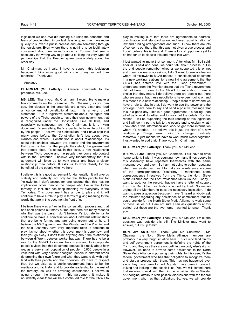legislation we see. We did nothing but raise the concerns and fears of people when, in our last days in government, we move quickly to subvert a public process and jam something through the legislature. Even where there is nothing to be legitimately concerned about, we raised concerns. To me, that seems absolutely the wrong way to go about building the very types of partnerships that the Premier spoke passionately about the other day.

Mr. Chairman, as I said, I have to support this legislation because I think more good will come of my support than otherwise. Thank you.

---Applause

**CHAIRMAN (Mr. Lafferty):** General comments to the preamble, Ms. Lee.

**MS. LEE:** Thank you, Mr. Chairman. I would like to make a few comments on the preamble. Mr. Chairman, as you can see, the clauses in the preamble are a very clear and loud announcement of constitutional law. It is a very broad statement. It is a legislative statement about the rights and powers of the Tlicho people to have their own government that is recognized under the Constitution. Like all laws, and especially constitutional law, Mr. Chairman, it is a living document. It's something that's expected to have life put into it by the people. I believe the Constitution, and I have said this many times before, the Constitution isn't just about laws, clauses and words. Constitution is about relationships. It's about relationships between the people and the government that governs them or the people they elect, the government that people elect. It's about, in this case, a new relationship between Tlicho people and the people they come into contact with in the Territories. I believe very fundamentally that this agreement will force us to work closer and have a closer relationship than before. It asks us to work closely for the benefit of all the people who live here.

I believe this is a good agreement fundamentally. It will give us stability and certainty, not only for the Tlicho people but for Yellowknife. I don't accept for one second that this has no implications other than to the people who live in the Tlicho territory. In fact, this has deep meaning for everybody in the Territories. This government has a role to play and it will continue to have a role to play in terms of giving meaning to the words that are in this document in front of us.

I believe there was a flaw in the consultation process and that has been pointed out many a time and there are many reasons why that was the case. I don't believe it's too late for us to continue to have a conversation about different relationships that are being formed and are being grown out of here. I believe the NWT government, the Minister and the Premier and the next Assembly have very important roles to continue to play. It's not about whether this government is done now, and then you go away. I don't think anything about the relationship between different peoples works that way. There has to be a role for the GNWT to inform the citizens and to incorporate people's views into this document because it's really about how we, as a very small population of people, 40,000 people in a vast land with very distinct aboriginal people in different areas determining their own future and what they want to do with their land with their people and their priorities. We have to respect that, but we also, as a public government, have to be the mediator and facilitator and to provide leadership for the rest of the territory, as well as providing coordination. I believe in going through the clauses in this agreement, it makes it abundantly clear there will be a continued role for the GNWT to

play in making sure that there are agreements to address, coordination and standardization and even administration of law and funding arrangements and such. I know there are lots of concerns out there that this was not given a due process and I don't believe this is the end. There is lots of opportunity yet to be had for us to discuss this and make this work.

I just wanted to make that comment. After what Mr. Bell said, after all is said and done, we could talk about process, but in the end people remember whether we supported this or not and I said on many occasions, I don't want to see a situation where all Yellowknife MLAs oppose a constitutional document in a new working relationship, a new living agreement, that the GNWT has entered into with the Tlicho government. I understand from the Premier stating that the Tlicho government did not have to come to the GNWT for ratification. It was a choice that they made. I do believe there are people out there who are aware that these negotiations have been going on and this means in a new relationship. People want to know and we have a role to play in that. I do want to use the power and the privilege I have here to say and send a positive message that this is a good day. This is a good agreement. It's calling upon all of us to work together and to work out the details. For that reason, I will be supporting the third reading of this legislation and I will do my part to talk to the people and to explain what I know about this information and work to get more information where it's needed. I do believe this is just the start of a new relationship. Things aren't going to change drastically tomorrow, it just means we have to work much closer together. I just wanted to add that. Thank you, Mr. Chairman.

#### **CHAIRMAN (Mr. Lafferty):** Thank you. Mr. McLeod.

**MR. MCLEOD:** Thank you, Mr. Chairman. I still have to drive home tonight. I wish I was counting how many times people in this Assembly have repeated themselves with the same message over and over. So I am not going to bother repeating what I said yesterday. I want to make some reference to some of the correspondence. Yesterday I mentioned some correspondence I received from the Tlicho, the North Slave Metis Alliance and the Fort Providence Metis Council. Today, I want to add, for the record, that we have a letter of support from the Deh Cho First Nations signed by Herb Norwegian urging all the Members to pass the necessary legislation. I do want to pose a question because I haven't heard anybody ask the Minister regarding any assistance or commitment that he could provide for the North Slave Metis Alliance to work some of these issues out. I am not sure I can ask questions at this period, but those are the two items I wanted to raise. Thank you.

**CHAIRMAN (Mr. Lafferty):** Thank you, Mr. McLeod. I think the question was outside this bill. The Minister may want to answer, but it's up to him.

**HON. JIM ANTOINE:** Thank you, Mr. Chairman. Mr. Chairman, the North Slave Metis Alliance members are probably in a very tough situation here. This Tlicho land claims and self-government agreement is defining the rights of the Tlicho and they say they are not defining anybody else's rights. However, we need to provide some assistance to the North Slave Metis Alliance in pursuing their rights. In this case, it's the federal government who has that obligation to recognize them and start a process with them. This has not happened ever since they have been formed. My staff have been in contact, talking and looking at the possibilities. Yes, we will commit here that we want to work with them in the remaining life as Minister of Aboriginal affairs to start political discussions with the federal government who has that obligation. So, yes, we will provide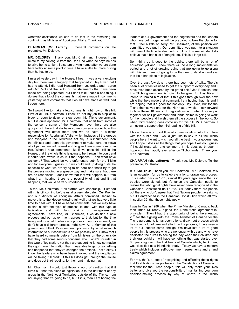whatever assistance we can to do that in the remaining life continuing as Minister of Aboriginal Affairs. Thank you.

**CHAIRMAN (Mr. Lafferty):** General comments on the preamble. Mr. Delorey.

**MR. DELOREY**: Thank you, Mr. Chairman. I guess I can relate to my colleague from the Deh Cho when he says he has to drive home tonight. I also am driving home after we are done here today at some point in time. I have a little bit more driving than he has to do.

I missed yesterday in the House. I hear it was a very exciting day but there was a tragedy that happened in Hay River that I had to attend. I did read Hansard from yesterday and I agree with Mr. McLeod that a lot of the statements that have been made are being repeated, but I don't think that's a bad thing. I do see that a lot of the comments that were made in comments yesterday were comments that I would have made as well, had I been here.

So I would like to make a few comments right now on this bill. First of all, Mr. Chairman, I know it's not my job to stop or to block or even to delay or slow down this Tlicho government, but it is quite apparent, Mr. Chairman, that apart from some of the concerns some of the Members have, there are also groups out there that do have some concerns about how this agreement will affect them and we do have a Minister responsible for Aboriginal Affairs, which includes all the groups and everyone in the Territories actually. It is incumbent upon the Minister and upon this government to make sure the views of all parties are addressed and to give them some comfort in this. When I hear comments like if we pass this bill in the House, that the whole thing is going to be thrown into court and it could take awhile in court if that happens. Then what have we done? That would be very unfortunate both for the Tlicho and for everyone, I guess. So we could end up doing quite the opposite of what we are trying to do here and that's try to get the process moving in a speedy way and make sure that there are no roadblocks. I don't know that that will happen, but from what I am hearing, there is a possibility of that and if that happens, that would be very unfortunate.

To me, Mr. Chairman, it all started with leadership. It started with this bill coming before us at a very late date. Our Premier and our Minister of Aboriginal Affairs convinced Cabinet to move this to the House knowing full well that we had very little time to deal with it. I have heard comments that we may have to find a different type of process to deal with this type of legislation and with land claims or self-government agreements. That's fine, Mr. Chairman, if we do find a new process and our government agrees to that, but for the time being and for what I believe is a process in our government, we don't have a different process right now. As a Member of this government, I think it's incumbent upon us to try to get as much information to our constituents as we possibly can. I know that I have heard comments before from Ministers on the other side that they had some serious concerns about what's included in this type of legislation, yet they are supporting it now so maybe they got more information than I was able to get or something has happened that they've changed their minds. That's okay. I know the leaders who have been involved and the negotiators will be taking full credit, if this bill does get through the House and does get third reading, for their part in doing that.

Mr. Chairman, I would just throw a word of caution that if it turns out that this piece of legislation is to the detriment of any group in the Northwest Territories outside of the Tlicho. I am not saying that it's going to be, but if it is, then I am hoping the

leaders of our government and the negotiators and the leaders who have put it together will be prepared to take the blame for that. I feel a little bit sorry, Mr. Chairman, of the position our committee was put in. Our committee was put into a situation with very little time to deal with a bill of this magnitude. I do believe that it has a lot of magnitude. This is a large bill.

So I think as it goes to the public, there will be a lot of education yet and I know there will be a long implementation period and a lot of growing pains that are going to go along with this and I am not going to be the one to stand up and say that it's a bad piece of legislation.

Over the past few days, there has been lots of talks. There's been a lot of tactics used to get the support of everybody and I have even been assured by the grand chief, Joe Rabesca, that this Tlicho government is going to be great for Hay River. I intend to remind him of that if this goes through over the next while that he's made that comment. I am hoping that it is and I am hoping that it's good for not only Hay River, but for the Tlicho themselves and for the North as a whole. I look forward to how these 10 years of negotiations and what they've put together for self-government and lands claims is going to work for their people and I wish them all the success in the world. So when third reading does come up for this bill, Mr. Chairman, I am going to support the third reading of this bill.

I hope there is a good flow of communication into the future with the public and I would just like to say to all the Tlicho people here, I want to wish you all the best in your government and I hope it does all the things that you hope it will do. I guess if I could close with one comment, if this does go through, I hope you live happily ever after on Tlicho lands. Thank you, Mr. Chairman.

**CHAIRMAN (Mr. Lafferty):** Thank you, Mr. Delorey. To the preamble, Mr. Krutko.

**MR. KRUTKO:** Thank you, Mr. Chairman. Mr. Chairman, this is an occasion for us to celebrate a long, drawn out process. This started back in 1921, almost 80 years ago, since the first treaties were signed, but it's taken the Canadian public to realize that aboriginal rights have never been recognized in the Canadian Constitution until 1982. Still today there are people out there who don't agree that First Nations people have rights, but it's entrenched in the Canadian Constitution which affirms, in section 35, that these rights apply.

I was in Rae in 1988 when the Prime Minister of Canada, back then Brian Mulroney, signed the Dene-Metis agreement-inprinciple. Then I had the opportunity of being there August  $25<sup>th</sup>$  for the signing with the Prime Minister of Canada for the Tlicho agreement. It has been a long, drawn out process which has taken a lot of time and effort. In the process, I have seen a lot of our leaders come and go. We have lost a lot of good people in this process who are no longer with us and who have dedicated their lives to seeing the day when their children and their grandchildren will have something that was started over 80 years ago with the first treaty of Canada which, back then, was classified as a friendship treaty. Today we have a modern treaty which includes self-government agreements and a land claims agreement.

For me, that's a step of recognizing and affirming those rights that First Nations people have in the Constitution of Canada. I feel that for the Tlicho people, this will only make your lives better and give you the responsibility of maintaining your own decision-making process by way of what's in the Tlicho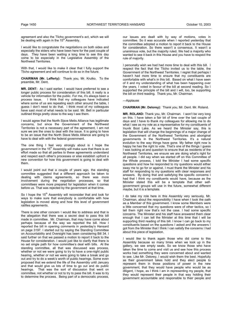agreement and also the Tlicho government's act, which we will be dealing with again in the 15<sup>th</sup> Assembly.

I would like to congratulate the negotiations on both sides and especially the elders who have been here for the past couple of days. They have been waiting a long time to see this day come to be especially in the Legislative Assembly of the Northwest Territories.

With that, I would like to make it clear that I fully support the Tlicho agreement and will continue to do so in the future.

**CHAIRMAN (Mr. Lafferty):** Thank you, Mr. Krutko. To the preamble, Mr. Dent.

**MR. DENT:** As I said earlier, I would have preferred to see a longer public process for consideration of this bill. It really is a vehicle for information for the public. For me, it's always been a process issue. I think that my colleagues have indicated where some of us are repeating each other around the table, I guess I don't need to do that. I think most of my colleagues have said most of what needs to be said. Mr. Bell in particular outlined things pretty close to the way I see them.

I would agree that the North Slave Metis Alliance has legitimate concerns, but since the Government of the Northwest Territories is not a necessary part of the agreement, I am not sure we are the ones to deal with the issue. It is going to have to be an issue that the North Slave Metis Alliance are going to have to deal with with the federal government.

The one thing I feel very strongly about is I hope the government in the 15<sup>th</sup> Assembly will make sure that there is an effort made so that all parties to these agreements understand and respect each other's processes or else establish upfront a new convention for how this government is going to deal with them.

I would point out that a couple of years ago, the standing committee suggested that a different approach be taken to dealing with claims agreements, so there was more involvement during the negotiation processes, so that committees were more prepared for legislation when it comes before us. That was rejected by the government at that time.

So I hope the  $15<sup>th</sup>$  Assembly will reconsider that and look for ways to make sure that everybody is comfortable with how legislation is moved along and how this level of government ratifies agreements.

There is one other concern I would like to address and that is the allegation that there was a secret deal to pass this bill made in committee. Mr. Chairman, that may have come about perhaps because of the way we reported the bill. How I reported the bill in opening comments in yesterday's Hansard on page 3197. I started out by saying the Standing Committee on Accountability and Oversight has been considering Bill 34. I said further on that we passed a motion to report it back to the House for consideration. I would just like to clarify that there is no set single path for how committee's deal with bills. At the standing committee, all that was discussed was process, whether or not we were going to try to have a one-night public hearing, whether or not we were going to take a break and go out and try to do a week's worth of public hearings. Some even proposed that we extend the life of the Assembly until January and that would give us lots of time to go out and do public hearings. That was the sort of discussion that went on committee, not whether or not to try to pass the bill. It was to try to determine the process. Being part of a democratic process,

our issues are dealt with by way of motions, votes in committee. So it was accurate when I reported yesterday that the committee adopted a motion to report it back to the House for consideration. So there wasn't a consensus. It wasn't a unanimous vote, but the majority ruled. We had a majority who wanted to see it back in this House and you have to respect the rule of majority.

I personally wish we had had more time to deal with this bill. I respect the fact that the Tlicho invited us to the table, the Government of the Northwest Territories. I regret that perhaps I haven't had more time to ensure that my constituents are comfortable with what's in this bill. Based on what I have seen of it and my understanding of what has been happening over the years, I voted in favour of the bill at second reading. So I supported the principle of the bill and I will, too, be supporting the bill on third reading. Thank you, Mr. Chairman.

# ---Applause

**CHAIRMAN (Mr. Delorey):** Thank you, Mr. Dent. Mr. Roland.

**MR. ROLAND:** Thank you, Mr. Chairman. I won't be very long on this. I have taken a fair bit of time over the last couple of days and I have to thank my colleagues for allowing me to do what I see as my role as a representative for my constituents of Inuvik Boot Lake. As we heard the Minister say, this is legislation that will change the beginnings of a major change of the Government of the Northwest Territories and aboriginal governments in the Northwest Territories. It's a natural evolution to the way things have gone. My father right now is happy he has the right to vote. That's one of the things I guess I was looking at and question to ensure that as residents of the Northwest Territories, we ensure we are doing what's right for all people. I did say when we started off on this Committee of the Whole process, I told the Minister I had some specific questions and how he responded to my questions would either sway me to go for or against. I must thank the Minister and his staff for responding to my questions with clear responses and answers. By doing that and satisfying the specific concerns I had that I think my constituents would have, because as the Minister stated this will be a template that other selfgovernment groups will use in the future, somewhat different maybe, but it is a template.

I do take my role here in this Assembly very seriously, Mr. Chairman, about the responsibility I have when I took the oath as a Member of this government. I know some Members were a little concerned that my questions were of other tactics, so I tell them right now that's not the case. I had some specific concerns. The Minister and his staff have answered them clear enough that I can tell the Minister at this time that I will be supporting third reading of this bill. I know I can go back to my constituents based on the questions I asked and the answers I got from the Minister that I think I can satisfy the concerns I had about this piece of legislation.

I would like to thank again those who did come to this Assembly because so many times when we look up in the gallery, we see empty seats. So we know those who have taken the time to come and visit us and see how this process works had something they were concerned about and wanted to see. Like Mr. Delorey, I would wish them the best. Hopefully as their government takes hold and they elect people to represent them in those positions of power in the new government, that they would have people who would be as diligent, I hope, as I think I am in representing my people, that they would represent their people in that way holding their government accountable and responsible to their people and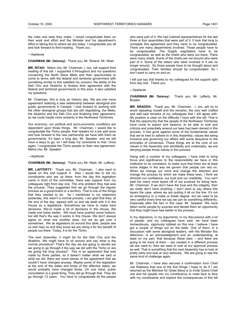the rules and laws they make. I would congratulate them on their work and effort and the Minister and his department's effort in taking this to where we are today. I congratulate you all and look forward to third reading. Thank you.

#### ---Applause

#### **CHAIRMAN (Mr. Delorey):** Thank you, Mr. Roland. Mr. Nitah.

**MR. NITAH:** Mahsi cho, Mr. Chairman. I, too, will support third reading of this bill. I supported it throughout and my questions concerning the North Slave Metis and their opportunities to come to terms with the federal and territorial government with something similar to this satisfied my concern, the ability of the Deh Cho and Akaitcho to finalize their agreement with the federal and territorial governments in this area. It also satisfied my questions.

Mr. Chairman, this is truly an historic day. We are one more agreement realizing a new relationship between aboriginal and public governments in Canada. I look forward to working with the other aboriginal groups that are still negotiating, the Metis, the Akaitcho and the Deh Cho and finalizing their agreement, so we could create more certainty in the Northwest Territories.

Our economy, our political and socio-economic conditions are dependent upon those things. Mr. Chairman, I would like to congratulate the Tlicho people, their leaders for a job well done and look forward to the new partnership we have with them as governments. It's been a long day, Mr. Speaker, and we still have a ways to go, so I will keep my comments to that. Once again, I congratulate the Tlicho people on their new agreement. Mahsi cho, Mr. Speaker.

#### ---Applause

# **CHAIRMAN (Mr. Delorey):** Thank you, Mr. Nitah. Mr. Lafferty.

**MR. LAFFERTY:** Thank you, Mr. Chairman. I also want to speak on this and support it. Also I would like to tell my constituents who are up there, from the day this legislation came in front of the committee, there was support from my colleagues right from day one. The only problem they had was the process. They suggested that we go through the regular process as a government or a territory. That is one of the things that they needed to do. As I mentioned in my statement yesterday, this wasn't a normal process. I am glad that they, at the end of the day, agreed with us and we dealt with it in the House as a legislature. Sometimes we have to make hard decisions. We've made a lot of decisions in this House. We made one today earlier. We must have pushed some buttons, but still that's the way it works in this House. We don't always agree on what one another does, but we do get over it sometimes. We as legislators sit around this table, people see us and hear us and they know we are doing it for the benefit of people out there. Today, it is for the Tlicho.

The next Assembly, it might be for the Deh Cho and the Akaitcho. We might have to sit around and say what is the normal procedure? That's the day we are going to decide are we going to go through it the way we did with the Tlicho or are we going the long process? This is an agreement that was made by three parties, so it doesn't matter what we said or what we did, there are some pieces of the agreement that we couldn't have changed anyway. Maybe some of the legislation at the end of the dates and times of the effective dates, we would probably have changed those. On one hand, public consultation is a great thing. They did go through that. They did go through 12 years. You have to congratulate all the people

who were part of it. We had Cabinet representatives for the last three or four assemblies that were part of it. It took that long to complete this agreement and they have to be congratulated. There are many departments involved. Those people have to be congratulated. The Dogrib negotiators have to be congratulated, as well as the chiefs who were out there. There were many chiefs. Some of the chiefs are not around who were part of it. Some of the elders who were involved in it are no longer around. So those people have to be thought about and congratulated. Their families should be congratulated. So I don't want to carry on and on.

I will just say that thanks to my colleagues for the support right from day one. Thank you.

#### ---Applause

**CHAIRMAN (Mr. Delorey**): Thank you, Mr. Lafferty. Mr. Braden.

**MR. BRADEN:** Thank you, Mr. Chairman. I, too, will try to avoid repeating myself and the remarks, the very well crafted and well said remarks of my colleagues that I will agree with. My position is clear on the difficulty I have with this bill. That is that the opportunity that the people of the Northwest Territories have come to expect and deserve, to be able to look and criticize and potentially amend our laws has been denied in this process. It has gone against some of the fundamental values that we've tried to adhere to in this Assembly, values like being inclusive and governing our affairs with some abeyance to the principles of consensus. These things are at the core of our values in the Assembly and admittedly and undeniably, we are denying people those values in this process.

Along with a number of my colleagues, I have tried to bring focus and significance to the responsibility we have in this institution to be consistent, to make sure that there are at least some stages in the way we govern that people can rely on. When we change our mind and change the direction and change the process by which we make these laws, I think we diminish our confidence, our trust and our credibility. You can't peel too many more layers off of our purpose for being here, Mr. Chairman. If we don't have the trust and the integrity, then we really don't have anything. I don't want to say where this layers the case, where we are putting it all on the line. It's not an emergency or a make or break degree, but we need to be very careful every time we say we can do something differently. Especially after the fact in this case, Mr. Speaker. We have taken some people by surprise and denied them an opportunity that they might have had earlier in the process.

In my objections, in my arguments, in my discussions with a lot of people, and my colleagues have said, we have been tremendously, vigorously lobbied on this one. I believe I have got a couple of things out on the table. One of them, in a discussion with some aboriginal leaders, with the Minister this afternoon, is an acknowledgment and an understanding, at least on my part, that because these laws – and there are going to be more of them – are created in a different process we are used to, then we need to look at our approval process as well. That is something that the next Assembly has to look at pretty early and look at very seriously. We are going to see the same kind of challenge again.

Mr. Chairman, I have also secured a confirmation from Chief Joe Rabesca that one of the first things I hope to do if I am returned as the Member for Great Slave is to invite Grand Chief Joe and his people into my constituency to meet face to face with my constituents and explore the consequences of this bill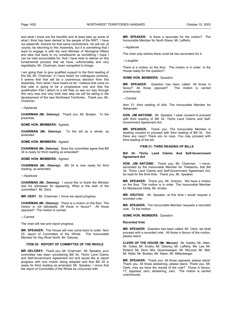and what I know are the benefits and at least take up some of what I think has been denied to the people of the NWT. I have not asked Mr. Antoine for that same commitment. He will not, of course, be returning to this Assembly, but it is something that I want to engage in with the next Minister of Aboriginal Affairs and take that back to my constituents as something I hope I can be held accountable for, that I have tried to deliver on this fundamental process that we have, unfortunately and very regrettably, Mr. Chairman, been compelled to forego.

I am going then to give qualified support to the third reading of this bill, Mr. Chairman. If I have heard my colleagues correctly, it seems that that will be a unanimous decision from this Assembly, from what I have heard so far. I believe that voice on that side is going to be a progressive one and that the qualification that I attach to it will help us see our way through this very new and very bold new step we will be taking in the development of the new Northwest Territories. Thank you, Mr. Chairman.

---Applause

**CHAIRMAN (Mr. Delorey):** Thank you, Mr. Braden. To the preamble.

**SOME HON. MEMBERS:** Agreed.

**CHAIRMAN (Mr. Delorey):** To the bill as a whole, as amended.

**SOME HON. MEMBERS:** Agreed.

**CHAIRMAN (Mr. Delorey):** Does the committee agree that Bill 34 is ready for third reading as amended?

**SOME HON. MEMBERS:** Agreed.

**CHAIRMAN (Mr. Delorey):** Bill 34 is now ready for third reading, as amended.

---Applause

**CHAIRMAN (Mr. Delorey):** I would like to thank the Minister and his witnesses for appearing. What is the wish of the committee? Mr. Dent.

**MR. DENT**: Mr. Chairman, I move we report progress.

**CHAIRMAN (Mr. Delorey):** There is a motion on the floor. The motion is not debatable. All those in favour? All those opposed? The motion is carried.

---Carried

The chair will rise and report progress.

**MR. SPEAKER:** The House will now come back to order. Item 20, report of Committee of the Whole. The honourable Member for Hay River North, Mr. Delorey.

# **ITEM 20: REPORT OF COMMITTEE OF THE WHOLE**

**MR. DELOREY:** Thank you, Mr. Chairman. Mr. Speaker, your committee has been considering Bill 34, Tlicho Land Claims and Self-Government Agreement Act and would like to report progress with one motion being adopted and that Bill 34 is ready for third reading as amended, Mr. Speaker, I move that the report of Committee of the Whole be concurred with.

**MR. SPEAKER:** Is there a seconder for the motion? The honourable Member for North Slave, Mr. Lafferty.

---Applause

The chair only wishes there could be two seconders for it.

---Laughter

There is a motion on the floor. The motion is in order. Is the House ready for the question?

**SOME HON. MEMBERS:** Question.

**MR. SPEAKER:** Question has been called. All those in favour? All those opposed? unanimously.

---Carried

Item 21, third reading of bills. The honourable Member for Nahendeh.

**HON. JIM ANTOINE**: Mr. Speaker, I seek consent to proceed with third reading of Bill 34, Tlicho Land Claims and Self-Government Agreement Act.

**MR. SPEAKER:** Thank you. The honourable Member is seeking consent to proceed with third reading of Bill 34. Are there any nays? There are no nays. You may proceed with third reading of the bill.

# **ITEM 21: THIRD READING OF BILLS**

**Bill 34: Tlicho Land Claims And Self-Government Agreement Act** 

**HON. JIM ANTOINE:** Thank you, Mr. Chairman. I move, seconded by the honourable Member for Thebacha, that Bill 34, Tlicho Land Claims and Self-Government Agreement Act, be read for the third time. Thank you, Mr. Speaker.

**MR. SPEAKER:** Thank you, Mr. Antoine. We have a motion on the floor. The motion is in order. The honourable Member for Mackenzie Delta, Mr. Krutko.

**MR. KRUTKO**: Mr. Speaker, at this time I would request a recorded vote.

**MR. SPEAKER:** The honourable Member requests a recorded vote. To the motion.

**SOME HON. MEMBERS**: Question.

#### **Recorded Vote**

**MR. SPEAKER**: Question has been called. Mr. Clerk, we shall proceed with a recorded vote. All those in favour of the motion, please stand.

**CLERK OF THE HOUSE (Mr. Mercer):** Mr. Kakfwi, Mr. Allen, Mr. Ootes, Mr. Krutko, Mr. Delorey, Mr. Lafferty, Ms. Lee, Mr. Roland, Mr. Dent, Mrs. Groenewegen, Mr. McLeod, Mr. Bell, Mr. Nitah, Mr. Braden, Mr. Steen, Mr. Miltenberger.

**MR. SPEAKER:** Thank you. All those opposed, please stand. Thank you. All those abstaining, please stand. Thank you. Mr. Clerk, may we have the results of the vote? Those in favour, 17; opposed, zero; abstaining, zero. The motion is carried unanimously.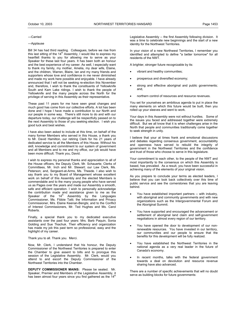#### ---Carried

#### ---Applause

Bill 34 has had third reading. Colleagues, before we rise from this last sitting of the  $14<sup>th</sup>$  Assembly, I would like to express my heartfelt thanks to you for allowing me to serve as your Speaker for these last four years. It has been both an honour and the best experience of my career. As well, I especially want to thank my family, my mother, Amelia, my dear wife, Elaine, and the children, Warren, Blaire, Ian and my many friends and supporters whose love and confidence in me never diminished and made my work here possible and enjoyable. I have already announced that I will not be seeking re-election this November and, therefore, I wish to thank the constituents of Yellowknife South and Kam Lake ridings. I wish to thank the people of Yellowknife and the many people across the North for the privilege of serving in this Assembly as their representative.

These past 11 years for me have seen great changes and much good has come from our collective efforts. A lot has been done and I hope I have made a contribution to our North and our people in some way. There's still more to do and with our departure today, our challenge will be respectfully passed on to the next Assembly to those of you seeking election. I wish you good luck and best wishes.

I have also been asked to include at this time, on behalf of the many former Members who served in this House, a thank you to Mr. David Hamilton, our retiring Clerk for his 21 years of dedicated service to all the Members of this House. Without his skill, knowledge and commitment to our system of government and all Members and to me and my office, our job would have been more difficult. Thank you, David.

I wish to express my personal thanks and appreciation to all of the House officers, the Deputy Clerk, Mr. Schauerte; Clerks of Committees, Mr. Inch and Mr. Stewart; our Law Clerk, Ms. Peterson; and, Sergeant-at-Arms, Ms. Theede. I also wish to say thank you to my Board of Management whose excellent work on behalf of this Assembly and the elected Members is commendable and to the many young people who have served us as Pages over the years and made our Assembly a smooth, safe and efficient operation. I wish to personally acknowledge the contribution made and assistance given to me as the<br>Speaker of the 14<sup>th</sup> Assembly by the Languages Commissioner, Ms. Fibbie Tatti; the Information and Privacy Commissioner, Mrs. Elaine Keenan-Bengts; and to the Conflict of Interest Commissioners, Mr. Ted Hughes and Ms. Carol Roberts.

Finally, a special thank you to my dedicated executive assistants over the past four years: Mrs. Barb Paquin, Sonia Golding and Sue Tkachuk. Their efficiency and organization has made my job this past term so professional, easy and the highlight of my career.

Thank you to all. Thank you. Merci.

Now, Mr. Clerk, I understand that his honour, the Deputy Commissioner of the Northwest Territories is prepared to enter the Chamber to give assent to bills and to prorogue this session of the Legislative Assembly. Mr. Clerk, would you attend to and escort the Deputy Commissioner of the Northwest Territories into the Chamber.

**DEPUTY COMMISSIONER MAINS:** Please be seated. Mr. Speaker, Premier and Members of the Legislative Assembly, it has been almost four years since you first gathered as the  $14<sup>th</sup>$ 

Legislative Assembly -- the first Assembly following division. It was a time to celebrate new beginnings and the start of a new identity for the Northwest Territories.

In your vision of a new Northwest Territories, I remember you identified and attempted to define "a better tomorrow" for all residents of the NWT.

A brighter, stronger future recognizable by its:

- vibrant and healthy communities;
- prosperous and diversified economy;
- strong and effective aboriginal and public governments; and,
- northern control of resources and resource revenues.

You set for yourselves an ambitious agenda to put in place the many elements on which this future would be built, then you rolled up your sleeves and went to work.

Your days in this Assembly were not without hurdles. Some of the issues you faced and addressed together were extremely difficult. But we all know that it is when challenges arise in the North that people and communities traditionally come together to seek strength in unity.

I believe that your at times frank and emotional discussions and debates regarding consensus government, accountability and openness have served to rebuild the integrity of government in the Northwest Territories and the confidence and trust of those who choose to serve in this legislature.

Your commitment to each other, to the people of the NWT and most importantly to the consensus on which this Assembly is based, has prevailed. As a result, you have been successful in achieving many of the elements of your original vision.

As you prepare to conclude your terms as elected leaders, I believe that you can look back collectively over this time of public service and see the cornerstones that you are leaving behind.

- You have established important partners -- with industry, with aboriginal and community governments and with new organizations such as the Intergovernmental Forum and the Aboriginal Summit.
- You have supported and encouraged the advancement or settlement of aboriginal land claim and self-government negotiations in almost every region of our territory.
- You have opened the door to development of our nonrenewable resources. You have invested in our territory, our communities and our people to ensure that the benefits for this development will be fully realized.
- You have established the Northwest Territories in the national agenda as a very real leader in the future of Canada's economy.
- In recent months, talks with the federal government towards a deal on devolution and resource revenue sharing have also advanced.

There are a number of specific achievements that will no doubt serve as building blocks for future governments: